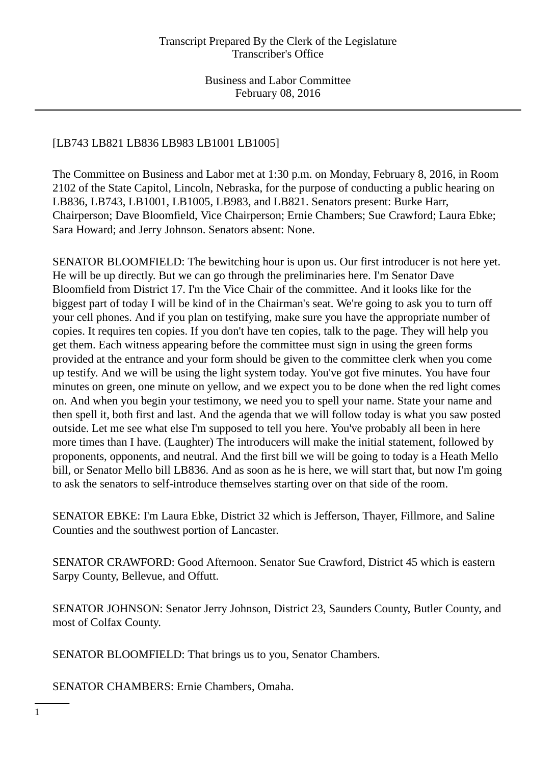# [LB743 LB821 LB836 LB983 LB1001 LB1005]

The Committee on Business and Labor met at 1:30 p.m. on Monday, February 8, 2016, in Room 2102 of the State Capitol, Lincoln, Nebraska, for the purpose of conducting a public hearing on LB836, LB743, LB1001, LB1005, LB983, and LB821. Senators present: Burke Harr, Chairperson; Dave Bloomfield, Vice Chairperson; Ernie Chambers; Sue Crawford; Laura Ebke; Sara Howard; and Jerry Johnson. Senators absent: None.

SENATOR BLOOMFIELD: The bewitching hour is upon us. Our first introducer is not here yet. He will be up directly. But we can go through the preliminaries here. I'm Senator Dave Bloomfield from District 17. I'm the Vice Chair of the committee. And it looks like for the biggest part of today I will be kind of in the Chairman's seat. We're going to ask you to turn off your cell phones. And if you plan on testifying, make sure you have the appropriate number of copies. It requires ten copies. If you don't have ten copies, talk to the page. They will help you get them. Each witness appearing before the committee must sign in using the green forms provided at the entrance and your form should be given to the committee clerk when you come up testify. And we will be using the light system today. You've got five minutes. You have four minutes on green, one minute on yellow, and we expect you to be done when the red light comes on. And when you begin your testimony, we need you to spell your name. State your name and then spell it, both first and last. And the agenda that we will follow today is what you saw posted outside. Let me see what else I'm supposed to tell you here. You've probably all been in here more times than I have. (Laughter) The introducers will make the initial statement, followed by proponents, opponents, and neutral. And the first bill we will be going to today is a Heath Mello bill, or Senator Mello bill LB836. And as soon as he is here, we will start that, but now I'm going to ask the senators to self-introduce themselves starting over on that side of the room.

SENATOR EBKE: I'm Laura Ebke, District 32 which is Jefferson, Thayer, Fillmore, and Saline Counties and the southwest portion of Lancaster.

SENATOR CRAWFORD: Good Afternoon. Senator Sue Crawford, District 45 which is eastern Sarpy County, Bellevue, and Offutt.

SENATOR JOHNSON: Senator Jerry Johnson, District 23, Saunders County, Butler County, and most of Colfax County.

SENATOR BLOOMFIELD: That brings us to you, Senator Chambers.

SENATOR CHAMBERS: Ernie Chambers, Omaha.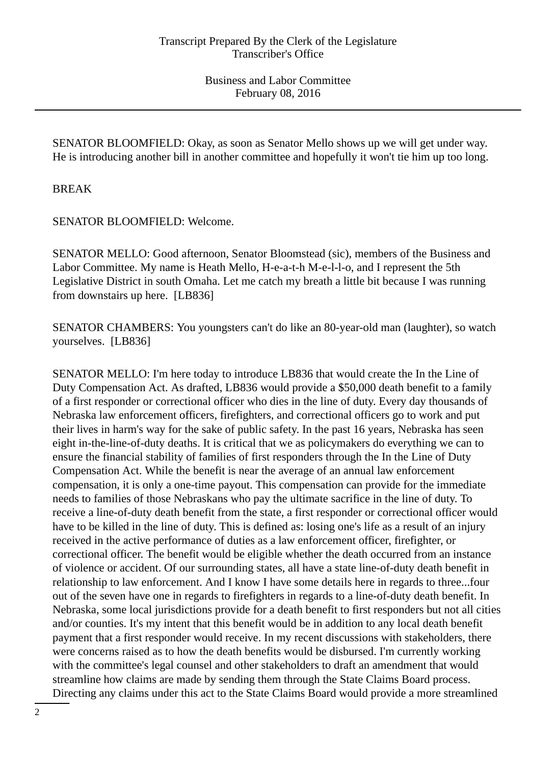SENATOR BLOOMFIELD: Okay, as soon as Senator Mello shows up we will get under way. He is introducing another bill in another committee and hopefully it won't tie him up too long.

BREAK

SENATOR BLOOMFIELD: Welcome.

SENATOR MELLO: Good afternoon, Senator Bloomstead (sic), members of the Business and Labor Committee. My name is Heath Mello, H-e-a-t-h M-e-l-l-o, and I represent the 5th Legislative District in south Omaha. Let me catch my breath a little bit because I was running from downstairs up here. [LB836]

SENATOR CHAMBERS: You youngsters can't do like an 80-year-old man (laughter), so watch yourselves. [LB836]

SENATOR MELLO: I'm here today to introduce LB836 that would create the In the Line of Duty Compensation Act. As drafted, LB836 would provide a \$50,000 death benefit to a family of a first responder or correctional officer who dies in the line of duty. Every day thousands of Nebraska law enforcement officers, firefighters, and correctional officers go to work and put their lives in harm's way for the sake of public safety. In the past 16 years, Nebraska has seen eight in-the-line-of-duty deaths. It is critical that we as policymakers do everything we can to ensure the financial stability of families of first responders through the In the Line of Duty Compensation Act. While the benefit is near the average of an annual law enforcement compensation, it is only a one-time payout. This compensation can provide for the immediate needs to families of those Nebraskans who pay the ultimate sacrifice in the line of duty. To receive a line-of-duty death benefit from the state, a first responder or correctional officer would have to be killed in the line of duty. This is defined as: losing one's life as a result of an injury received in the active performance of duties as a law enforcement officer, firefighter, or correctional officer. The benefit would be eligible whether the death occurred from an instance of violence or accident. Of our surrounding states, all have a state line-of-duty death benefit in relationship to law enforcement. And I know I have some details here in regards to three...four out of the seven have one in regards to firefighters in regards to a line-of-duty death benefit. In Nebraska, some local jurisdictions provide for a death benefit to first responders but not all cities and/or counties. It's my intent that this benefit would be in addition to any local death benefit payment that a first responder would receive. In my recent discussions with stakeholders, there were concerns raised as to how the death benefits would be disbursed. I'm currently working with the committee's legal counsel and other stakeholders to draft an amendment that would streamline how claims are made by sending them through the State Claims Board process. Directing any claims under this act to the State Claims Board would provide a more streamlined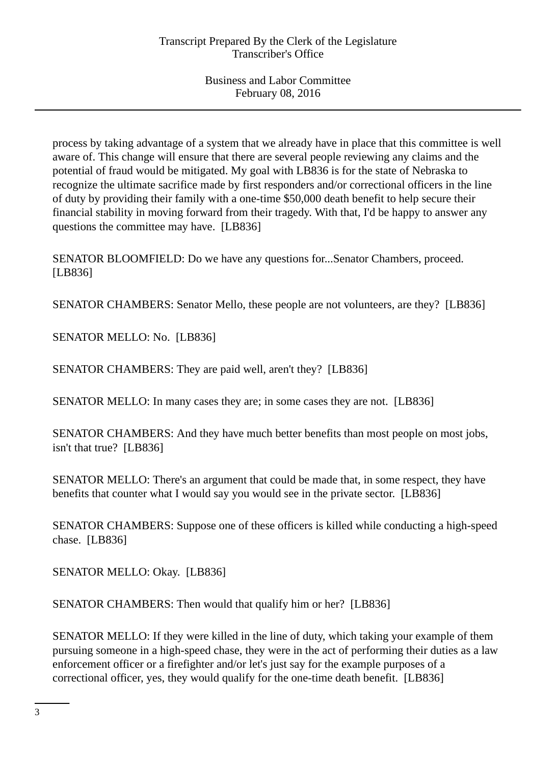process by taking advantage of a system that we already have in place that this committee is well aware of. This change will ensure that there are several people reviewing any claims and the potential of fraud would be mitigated. My goal with LB836 is for the state of Nebraska to recognize the ultimate sacrifice made by first responders and/or correctional officers in the line of duty by providing their family with a one-time \$50,000 death benefit to help secure their financial stability in moving forward from their tragedy. With that, I'd be happy to answer any questions the committee may have. [LB836]

SENATOR BLOOMFIELD: Do we have any questions for...Senator Chambers, proceed. [LB836]

SENATOR CHAMBERS: Senator Mello, these people are not volunteers, are they? [LB836]

SENATOR MELLO: No. [LB836]

SENATOR CHAMBERS: They are paid well, aren't they? [LB836]

SENATOR MELLO: In many cases they are; in some cases they are not. [LB836]

SENATOR CHAMBERS: And they have much better benefits than most people on most jobs, isn't that true? [LB836]

SENATOR MELLO: There's an argument that could be made that, in some respect, they have benefits that counter what I would say you would see in the private sector. [LB836]

SENATOR CHAMBERS: Suppose one of these officers is killed while conducting a high-speed chase. [LB836]

SENATOR MELLO: Okay. [LB836]

SENATOR CHAMBERS: Then would that qualify him or her? [LB836]

SENATOR MELLO: If they were killed in the line of duty, which taking your example of them pursuing someone in a high-speed chase, they were in the act of performing their duties as a law enforcement officer or a firefighter and/or let's just say for the example purposes of a correctional officer, yes, they would qualify for the one-time death benefit. [LB836]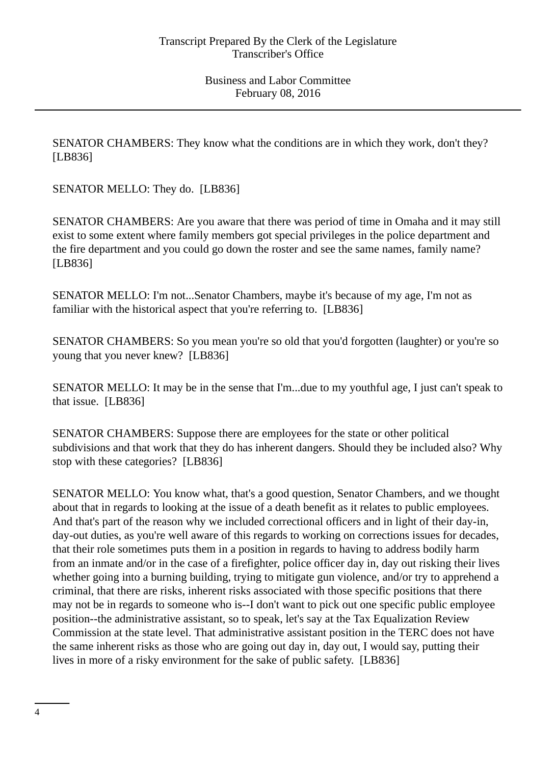SENATOR CHAMBERS: They know what the conditions are in which they work, don't they? [LB836]

SENATOR MELLO: They do. [LB836]

SENATOR CHAMBERS: Are you aware that there was period of time in Omaha and it may still exist to some extent where family members got special privileges in the police department and the fire department and you could go down the roster and see the same names, family name? [LB836]

SENATOR MELLO: I'm not...Senator Chambers, maybe it's because of my age, I'm not as familiar with the historical aspect that you're referring to. [LB836]

SENATOR CHAMBERS: So you mean you're so old that you'd forgotten (laughter) or you're so young that you never knew? [LB836]

SENATOR MELLO: It may be in the sense that I'm...due to my youthful age, I just can't speak to that issue. [LB836]

SENATOR CHAMBERS: Suppose there are employees for the state or other political subdivisions and that work that they do has inherent dangers. Should they be included also? Why stop with these categories? [LB836]

SENATOR MELLO: You know what, that's a good question, Senator Chambers, and we thought about that in regards to looking at the issue of a death benefit as it relates to public employees. And that's part of the reason why we included correctional officers and in light of their day-in, day-out duties, as you're well aware of this regards to working on corrections issues for decades, that their role sometimes puts them in a position in regards to having to address bodily harm from an inmate and/or in the case of a firefighter, police officer day in, day out risking their lives whether going into a burning building, trying to mitigate gun violence, and/or try to apprehend a criminal, that there are risks, inherent risks associated with those specific positions that there may not be in regards to someone who is--I don't want to pick out one specific public employee position--the administrative assistant, so to speak, let's say at the Tax Equalization Review Commission at the state level. That administrative assistant position in the TERC does not have the same inherent risks as those who are going out day in, day out, I would say, putting their lives in more of a risky environment for the sake of public safety. [LB836]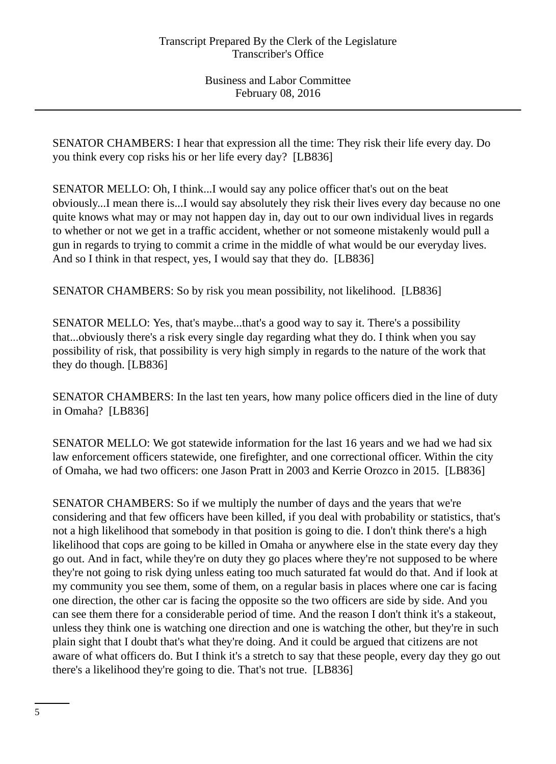SENATOR CHAMBERS: I hear that expression all the time: They risk their life every day. Do you think every cop risks his or her life every day? [LB836]

SENATOR MELLO: Oh, I think...I would say any police officer that's out on the beat obviously...I mean there is...I would say absolutely they risk their lives every day because no one quite knows what may or may not happen day in, day out to our own individual lives in regards to whether or not we get in a traffic accident, whether or not someone mistakenly would pull a gun in regards to trying to commit a crime in the middle of what would be our everyday lives. And so I think in that respect, yes, I would say that they do. [LB836]

SENATOR CHAMBERS: So by risk you mean possibility, not likelihood. [LB836]

SENATOR MELLO: Yes, that's maybe...that's a good way to say it. There's a possibility that...obviously there's a risk every single day regarding what they do. I think when you say possibility of risk, that possibility is very high simply in regards to the nature of the work that they do though. [LB836]

SENATOR CHAMBERS: In the last ten years, how many police officers died in the line of duty in Omaha? [LB836]

SENATOR MELLO: We got statewide information for the last 16 years and we had we had six law enforcement officers statewide, one firefighter, and one correctional officer. Within the city of Omaha, we had two officers: one Jason Pratt in 2003 and Kerrie Orozco in 2015. [LB836]

SENATOR CHAMBERS: So if we multiply the number of days and the years that we're considering and that few officers have been killed, if you deal with probability or statistics, that's not a high likelihood that somebody in that position is going to die. I don't think there's a high likelihood that cops are going to be killed in Omaha or anywhere else in the state every day they go out. And in fact, while they're on duty they go places where they're not supposed to be where they're not going to risk dying unless eating too much saturated fat would do that. And if look at my community you see them, some of them, on a regular basis in places where one car is facing one direction, the other car is facing the opposite so the two officers are side by side. And you can see them there for a considerable period of time. And the reason I don't think it's a stakeout, unless they think one is watching one direction and one is watching the other, but they're in such plain sight that I doubt that's what they're doing. And it could be argued that citizens are not aware of what officers do. But I think it's a stretch to say that these people, every day they go out there's a likelihood they're going to die. That's not true. [LB836]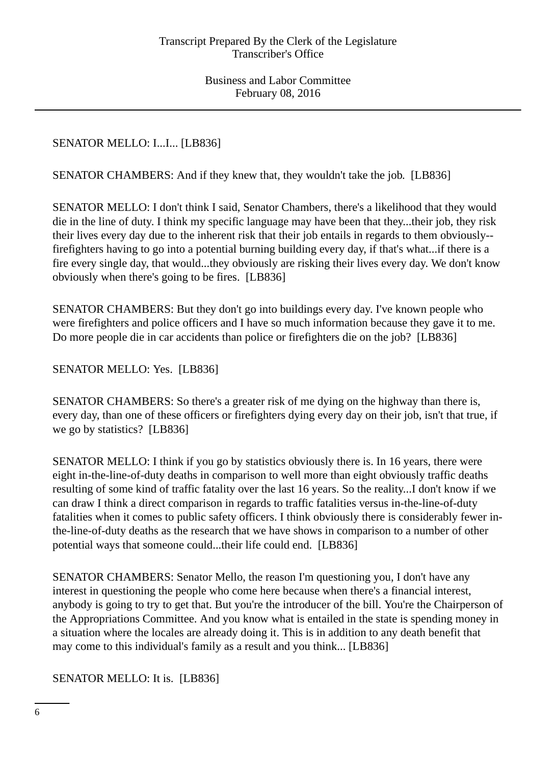# SENATOR MELLO: I...I... [LB836]

SENATOR CHAMBERS: And if they knew that, they wouldn't take the job. [LB836]

SENATOR MELLO: I don't think I said, Senator Chambers, there's a likelihood that they would die in the line of duty. I think my specific language may have been that they...their job, they risk their lives every day due to the inherent risk that their job entails in regards to them obviously- firefighters having to go into a potential burning building every day, if that's what...if there is a fire every single day, that would...they obviously are risking their lives every day. We don't know obviously when there's going to be fires. [LB836]

SENATOR CHAMBERS: But they don't go into buildings every day. I've known people who were firefighters and police officers and I have so much information because they gave it to me. Do more people die in car accidents than police or firefighters die on the job? [LB836]

## SENATOR MELLO: Yes. [LB836]

SENATOR CHAMBERS: So there's a greater risk of me dying on the highway than there is, every day, than one of these officers or firefighters dying every day on their job, isn't that true, if we go by statistics? [LB836]

SENATOR MELLO: I think if you go by statistics obviously there is. In 16 years, there were eight in-the-line-of-duty deaths in comparison to well more than eight obviously traffic deaths resulting of some kind of traffic fatality over the last 16 years. So the reality...I don't know if we can draw I think a direct comparison in regards to traffic fatalities versus in-the-line-of-duty fatalities when it comes to public safety officers. I think obviously there is considerably fewer inthe-line-of-duty deaths as the research that we have shows in comparison to a number of other potential ways that someone could...their life could end. [LB836]

SENATOR CHAMBERS: Senator Mello, the reason I'm questioning you, I don't have any interest in questioning the people who come here because when there's a financial interest, anybody is going to try to get that. But you're the introducer of the bill. You're the Chairperson of the Appropriations Committee. And you know what is entailed in the state is spending money in a situation where the locales are already doing it. This is in addition to any death benefit that may come to this individual's family as a result and you think... [LB836]

## SENATOR MELLO: It is. [LB836]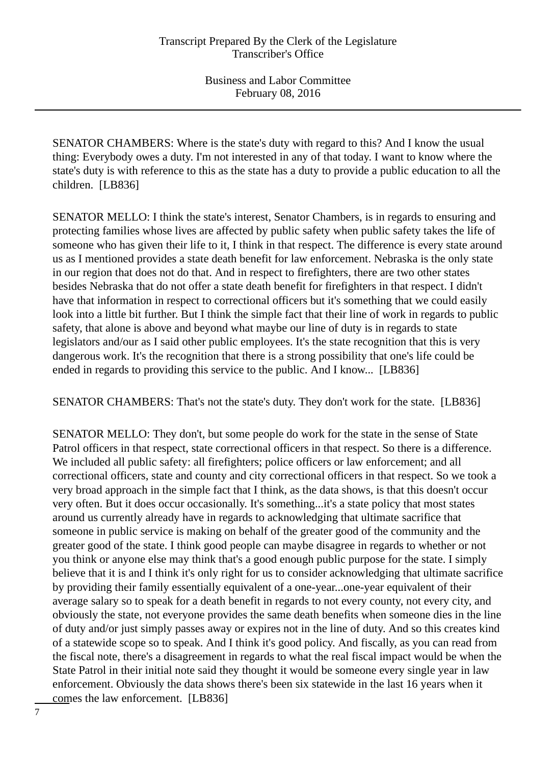SENATOR CHAMBERS: Where is the state's duty with regard to this? And I know the usual thing: Everybody owes a duty. I'm not interested in any of that today. I want to know where the state's duty is with reference to this as the state has a duty to provide a public education to all the children. [LB836]

SENATOR MELLO: I think the state's interest, Senator Chambers, is in regards to ensuring and protecting families whose lives are affected by public safety when public safety takes the life of someone who has given their life to it, I think in that respect. The difference is every state around us as I mentioned provides a state death benefit for law enforcement. Nebraska is the only state in our region that does not do that. And in respect to firefighters, there are two other states besides Nebraska that do not offer a state death benefit for firefighters in that respect. I didn't have that information in respect to correctional officers but it's something that we could easily look into a little bit further. But I think the simple fact that their line of work in regards to public safety, that alone is above and beyond what maybe our line of duty is in regards to state legislators and/our as I said other public employees. It's the state recognition that this is very dangerous work. It's the recognition that there is a strong possibility that one's life could be ended in regards to providing this service to the public. And I know... [LB836]

SENATOR CHAMBERS: That's not the state's duty. They don't work for the state. [LB836]

SENATOR MELLO: They don't, but some people do work for the state in the sense of State Patrol officers in that respect, state correctional officers in that respect. So there is a difference. We included all public safety: all firefighters; police officers or law enforcement; and all correctional officers, state and county and city correctional officers in that respect. So we took a very broad approach in the simple fact that I think, as the data shows, is that this doesn't occur very often. But it does occur occasionally. It's something...it's a state policy that most states around us currently already have in regards to acknowledging that ultimate sacrifice that someone in public service is making on behalf of the greater good of the community and the greater good of the state. I think good people can maybe disagree in regards to whether or not you think or anyone else may think that's a good enough public purpose for the state. I simply believe that it is and I think it's only right for us to consider acknowledging that ultimate sacrifice by providing their family essentially equivalent of a one-year...one-year equivalent of their average salary so to speak for a death benefit in regards to not every county, not every city, and obviously the state, not everyone provides the same death benefits when someone dies in the line of duty and/or just simply passes away or expires not in the line of duty. And so this creates kind of a statewide scope so to speak. And I think it's good policy. And fiscally, as you can read from the fiscal note, there's a disagreement in regards to what the real fiscal impact would be when the State Patrol in their initial note said they thought it would be someone every single year in law enforcement. Obviously the data shows there's been six statewide in the last 16 years when it comes the law enforcement. [LB836]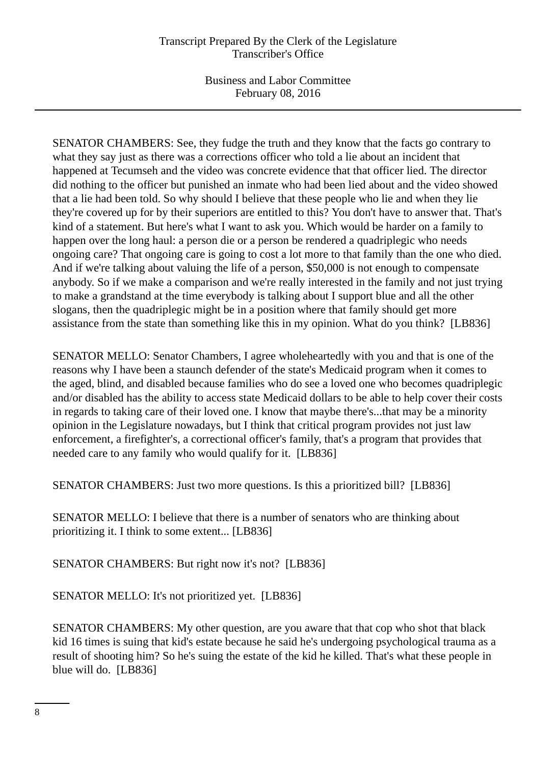SENATOR CHAMBERS: See, they fudge the truth and they know that the facts go contrary to what they say just as there was a corrections officer who told a lie about an incident that happened at Tecumseh and the video was concrete evidence that that officer lied. The director did nothing to the officer but punished an inmate who had been lied about and the video showed that a lie had been told. So why should I believe that these people who lie and when they lie they're covered up for by their superiors are entitled to this? You don't have to answer that. That's kind of a statement. But here's what I want to ask you. Which would be harder on a family to happen over the long haul: a person die or a person be rendered a quadriplegic who needs ongoing care? That ongoing care is going to cost a lot more to that family than the one who died. And if we're talking about valuing the life of a person, \$50,000 is not enough to compensate anybody. So if we make a comparison and we're really interested in the family and not just trying to make a grandstand at the time everybody is talking about I support blue and all the other slogans, then the quadriplegic might be in a position where that family should get more assistance from the state than something like this in my opinion. What do you think? [LB836]

SENATOR MELLO: Senator Chambers, I agree wholeheartedly with you and that is one of the reasons why I have been a staunch defender of the state's Medicaid program when it comes to the aged, blind, and disabled because families who do see a loved one who becomes quadriplegic and/or disabled has the ability to access state Medicaid dollars to be able to help cover their costs in regards to taking care of their loved one. I know that maybe there's...that may be a minority opinion in the Legislature nowadays, but I think that critical program provides not just law enforcement, a firefighter's, a correctional officer's family, that's a program that provides that needed care to any family who would qualify for it. [LB836]

SENATOR CHAMBERS: Just two more questions. Is this a prioritized bill? [LB836]

SENATOR MELLO: I believe that there is a number of senators who are thinking about prioritizing it. I think to some extent... [LB836]

SENATOR CHAMBERS: But right now it's not? [LB836]

SENATOR MELLO: It's not prioritized yet. [LB836]

SENATOR CHAMBERS: My other question, are you aware that that cop who shot that black kid 16 times is suing that kid's estate because he said he's undergoing psychological trauma as a result of shooting him? So he's suing the estate of the kid he killed. That's what these people in blue will do. [LB836]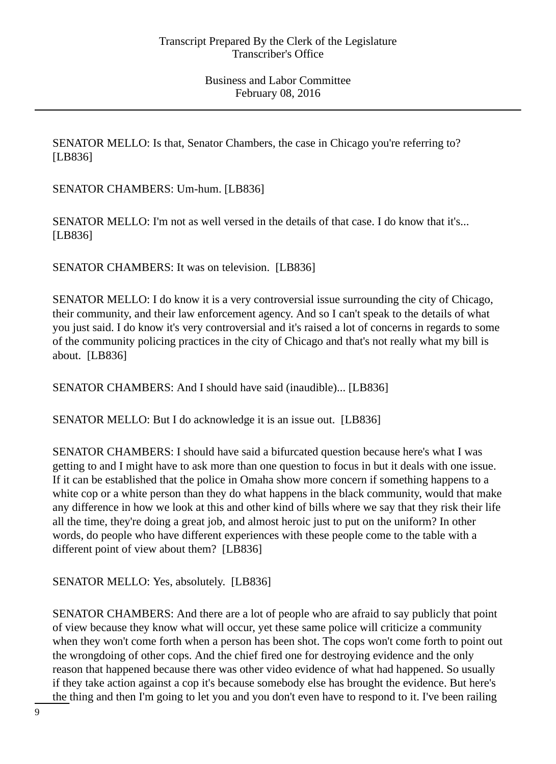SENATOR MELLO: Is that, Senator Chambers, the case in Chicago you're referring to? [LB836]

SENATOR CHAMBERS: Um-hum. [LB836]

SENATOR MELLO: I'm not as well versed in the details of that case. I do know that it's... [LB836]

SENATOR CHAMBERS: It was on television. [LB836]

SENATOR MELLO: I do know it is a very controversial issue surrounding the city of Chicago, their community, and their law enforcement agency. And so I can't speak to the details of what you just said. I do know it's very controversial and it's raised a lot of concerns in regards to some of the community policing practices in the city of Chicago and that's not really what my bill is about. [LB836]

SENATOR CHAMBERS: And I should have said (inaudible)... [LB836]

SENATOR MELLO: But I do acknowledge it is an issue out. [LB836]

SENATOR CHAMBERS: I should have said a bifurcated question because here's what I was getting to and I might have to ask more than one question to focus in but it deals with one issue. If it can be established that the police in Omaha show more concern if something happens to a white cop or a white person than they do what happens in the black community, would that make any difference in how we look at this and other kind of bills where we say that they risk their life all the time, they're doing a great job, and almost heroic just to put on the uniform? In other words, do people who have different experiences with these people come to the table with a different point of view about them? [LB836]

SENATOR MELLO: Yes, absolutely. [LB836]

SENATOR CHAMBERS: And there are a lot of people who are afraid to say publicly that point of view because they know what will occur, yet these same police will criticize a community when they won't come forth when a person has been shot. The cops won't come forth to point out the wrongdoing of other cops. And the chief fired one for destroying evidence and the only reason that happened because there was other video evidence of what had happened. So usually if they take action against a cop it's because somebody else has brought the evidence. But here's the thing and then I'm going to let you and you don't even have to respond to it. I've been railing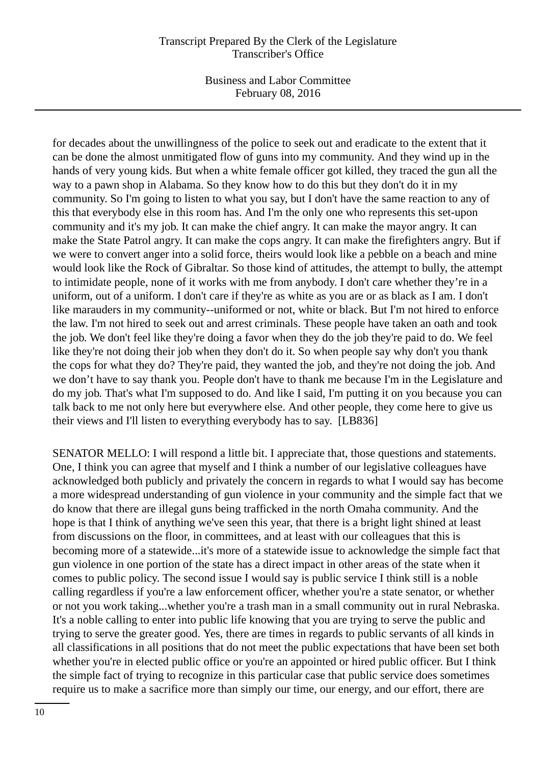Business and Labor Committee February 08, 2016

for decades about the unwillingness of the police to seek out and eradicate to the extent that it can be done the almost unmitigated flow of guns into my community. And they wind up in the hands of very young kids. But when a white female officer got killed, they traced the gun all the way to a pawn shop in Alabama. So they know how to do this but they don't do it in my community. So I'm going to listen to what you say, but I don't have the same reaction to any of this that everybody else in this room has. And I'm the only one who represents this set-upon community and it's my job. It can make the chief angry. It can make the mayor angry. It can make the State Patrol angry. It can make the cops angry. It can make the firefighters angry. But if we were to convert anger into a solid force, theirs would look like a pebble on a beach and mine would look like the Rock of Gibraltar. So those kind of attitudes, the attempt to bully, the attempt to intimidate people, none of it works with me from anybody. I don't care whether they're in a uniform, out of a uniform. I don't care if they're as white as you are or as black as I am. I don't like marauders in my community--uniformed or not, white or black. But I'm not hired to enforce the law. I'm not hired to seek out and arrest criminals. These people have taken an oath and took the job. We don't feel like they're doing a favor when they do the job they're paid to do. We feel like they're not doing their job when they don't do it. So when people say why don't you thank the cops for what they do? They're paid, they wanted the job, and they're not doing the job. And we don't have to say thank you. People don't have to thank me because I'm in the Legislature and do my job. That's what I'm supposed to do. And like I said, I'm putting it on you because you can talk back to me not only here but everywhere else. And other people, they come here to give us their views and I'll listen to everything everybody has to say. [LB836]

SENATOR MELLO: I will respond a little bit. I appreciate that, those questions and statements. One, I think you can agree that myself and I think a number of our legislative colleagues have acknowledged both publicly and privately the concern in regards to what I would say has become a more widespread understanding of gun violence in your community and the simple fact that we do know that there are illegal guns being trafficked in the north Omaha community. And the hope is that I think of anything we've seen this year, that there is a bright light shined at least from discussions on the floor, in committees, and at least with our colleagues that this is becoming more of a statewide...it's more of a statewide issue to acknowledge the simple fact that gun violence in one portion of the state has a direct impact in other areas of the state when it comes to public policy. The second issue I would say is public service I think still is a noble calling regardless if you're a law enforcement officer, whether you're a state senator, or whether or not you work taking...whether you're a trash man in a small community out in rural Nebraska. It's a noble calling to enter into public life knowing that you are trying to serve the public and trying to serve the greater good. Yes, there are times in regards to public servants of all kinds in all classifications in all positions that do not meet the public expectations that have been set both whether you're in elected public office or you're an appointed or hired public officer. But I think the simple fact of trying to recognize in this particular case that public service does sometimes require us to make a sacrifice more than simply our time, our energy, and our effort, there are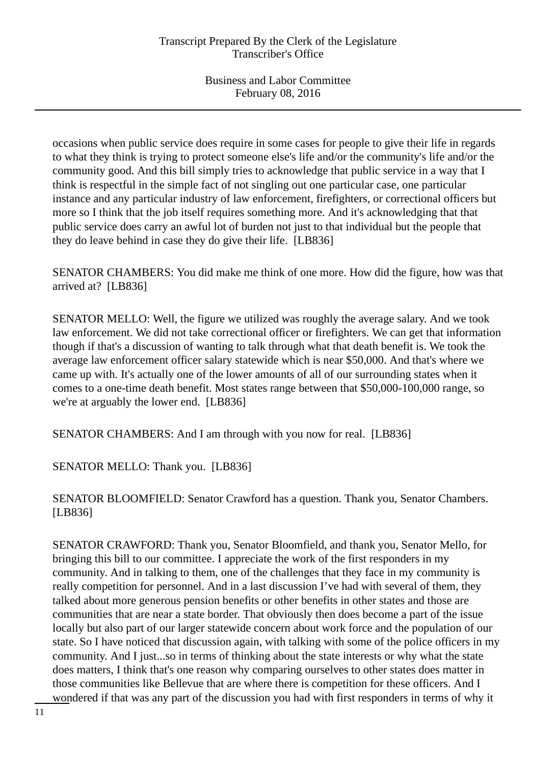occasions when public service does require in some cases for people to give their life in regards to what they think is trying to protect someone else's life and/or the community's life and/or the community good. And this bill simply tries to acknowledge that public service in a way that I think is respectful in the simple fact of not singling out one particular case, one particular instance and any particular industry of law enforcement, firefighters, or correctional officers but more so I think that the job itself requires something more. And it's acknowledging that that public service does carry an awful lot of burden not just to that individual but the people that they do leave behind in case they do give their life. [LB836]

SENATOR CHAMBERS: You did make me think of one more. How did the figure, how was that arrived at? [LB836]

SENATOR MELLO: Well, the figure we utilized was roughly the average salary. And we took law enforcement. We did not take correctional officer or firefighters. We can get that information though if that's a discussion of wanting to talk through what that death benefit is. We took the average law enforcement officer salary statewide which is near \$50,000. And that's where we came up with. It's actually one of the lower amounts of all of our surrounding states when it comes to a one-time death benefit. Most states range between that \$50,000-100,000 range, so we're at arguably the lower end. [LB836]

SENATOR CHAMBERS: And I am through with you now for real. [LB836]

SENATOR MELLO: Thank you. [LB836]

SENATOR BLOOMFIELD: Senator Crawford has a question. Thank you, Senator Chambers. [LB836]

SENATOR CRAWFORD: Thank you, Senator Bloomfield, and thank you, Senator Mello, for bringing this bill to our committee. I appreciate the work of the first responders in my community. And in talking to them, one of the challenges that they face in my community is really competition for personnel. And in a last discussion I've had with several of them, they talked about more generous pension benefits or other benefits in other states and those are communities that are near a state border. That obviously then does become a part of the issue locally but also part of our larger statewide concern about work force and the population of our state. So I have noticed that discussion again, with talking with some of the police officers in my community. And I just...so in terms of thinking about the state interests or why what the state does matters, I think that's one reason why comparing ourselves to other states does matter in those communities like Bellevue that are where there is competition for these officers. And I wondered if that was any part of the discussion you had with first responders in terms of why it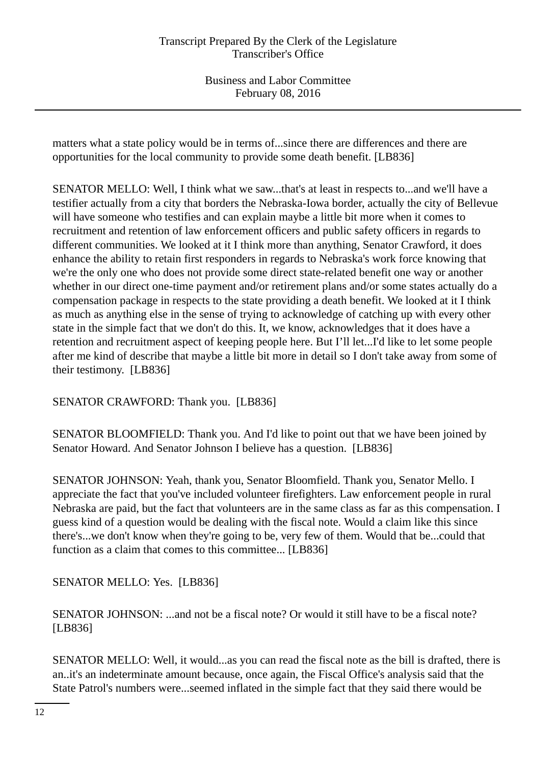matters what a state policy would be in terms of...since there are differences and there are opportunities for the local community to provide some death benefit. [LB836]

SENATOR MELLO: Well, I think what we saw...that's at least in respects to...and we'll have a testifier actually from a city that borders the Nebraska-Iowa border, actually the city of Bellevue will have someone who testifies and can explain maybe a little bit more when it comes to recruitment and retention of law enforcement officers and public safety officers in regards to different communities. We looked at it I think more than anything, Senator Crawford, it does enhance the ability to retain first responders in regards to Nebraska's work force knowing that we're the only one who does not provide some direct state-related benefit one way or another whether in our direct one-time payment and/or retirement plans and/or some states actually do a compensation package in respects to the state providing a death benefit. We looked at it I think as much as anything else in the sense of trying to acknowledge of catching up with every other state in the simple fact that we don't do this. It, we know, acknowledges that it does have a retention and recruitment aspect of keeping people here. But I'll let...I'd like to let some people after me kind of describe that maybe a little bit more in detail so I don't take away from some of their testimony. [LB836]

SENATOR CRAWFORD: Thank you. [LB836]

SENATOR BLOOMFIELD: Thank you. And I'd like to point out that we have been joined by Senator Howard. And Senator Johnson I believe has a question. [LB836]

SENATOR JOHNSON: Yeah, thank you, Senator Bloomfield. Thank you, Senator Mello. I appreciate the fact that you've included volunteer firefighters. Law enforcement people in rural Nebraska are paid, but the fact that volunteers are in the same class as far as this compensation. I guess kind of a question would be dealing with the fiscal note. Would a claim like this since there's...we don't know when they're going to be, very few of them. Would that be...could that function as a claim that comes to this committee... [LB836]

SENATOR MELLO: Yes. [LB836]

SENATOR JOHNSON: ...and not be a fiscal note? Or would it still have to be a fiscal note? [LB836]

SENATOR MELLO: Well, it would...as you can read the fiscal note as the bill is drafted, there is an..it's an indeterminate amount because, once again, the Fiscal Office's analysis said that the State Patrol's numbers were...seemed inflated in the simple fact that they said there would be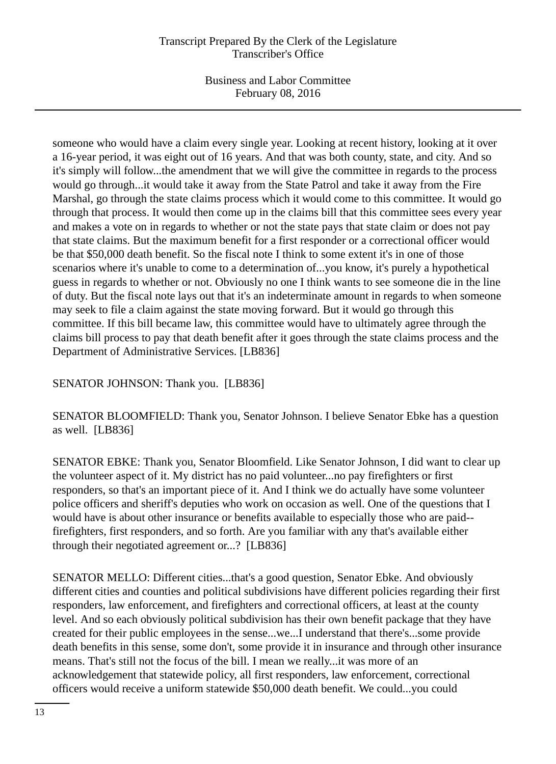Business and Labor Committee February 08, 2016

someone who would have a claim every single year. Looking at recent history, looking at it over a 16-year period, it was eight out of 16 years. And that was both county, state, and city. And so it's simply will follow...the amendment that we will give the committee in regards to the process would go through...it would take it away from the State Patrol and take it away from the Fire Marshal, go through the state claims process which it would come to this committee. It would go through that process. It would then come up in the claims bill that this committee sees every year and makes a vote on in regards to whether or not the state pays that state claim or does not pay that state claims. But the maximum benefit for a first responder or a correctional officer would be that \$50,000 death benefit. So the fiscal note I think to some extent it's in one of those scenarios where it's unable to come to a determination of...you know, it's purely a hypothetical guess in regards to whether or not. Obviously no one I think wants to see someone die in the line of duty. But the fiscal note lays out that it's an indeterminate amount in regards to when someone may seek to file a claim against the state moving forward. But it would go through this committee. If this bill became law, this committee would have to ultimately agree through the claims bill process to pay that death benefit after it goes through the state claims process and the Department of Administrative Services. [LB836]

# SENATOR JOHNSON: Thank you. [LB836]

SENATOR BLOOMFIELD: Thank you, Senator Johnson. I believe Senator Ebke has a question as well. [LB836]

SENATOR EBKE: Thank you, Senator Bloomfield. Like Senator Johnson, I did want to clear up the volunteer aspect of it. My district has no paid volunteer...no pay firefighters or first responders, so that's an important piece of it. And I think we do actually have some volunteer police officers and sheriff's deputies who work on occasion as well. One of the questions that I would have is about other insurance or benefits available to especially those who are paid- firefighters, first responders, and so forth. Are you familiar with any that's available either through their negotiated agreement or...? [LB836]

SENATOR MELLO: Different cities...that's a good question, Senator Ebke. And obviously different cities and counties and political subdivisions have different policies regarding their first responders, law enforcement, and firefighters and correctional officers, at least at the county level. And so each obviously political subdivision has their own benefit package that they have created for their public employees in the sense...we...I understand that there's...some provide death benefits in this sense, some don't, some provide it in insurance and through other insurance means. That's still not the focus of the bill. I mean we really...it was more of an acknowledgement that statewide policy, all first responders, law enforcement, correctional officers would receive a uniform statewide \$50,000 death benefit. We could...you could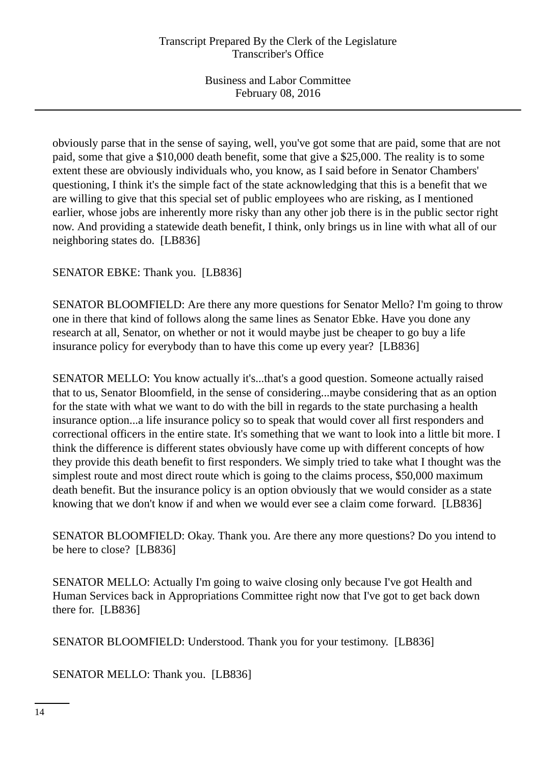obviously parse that in the sense of saying, well, you've got some that are paid, some that are not paid, some that give a \$10,000 death benefit, some that give a \$25,000. The reality is to some extent these are obviously individuals who, you know, as I said before in Senator Chambers' questioning, I think it's the simple fact of the state acknowledging that this is a benefit that we are willing to give that this special set of public employees who are risking, as I mentioned earlier, whose jobs are inherently more risky than any other job there is in the public sector right now. And providing a statewide death benefit, I think, only brings us in line with what all of our neighboring states do. [LB836]

SENATOR EBKE: Thank you. [LB836]

SENATOR BLOOMFIELD: Are there any more questions for Senator Mello? I'm going to throw one in there that kind of follows along the same lines as Senator Ebke. Have you done any research at all, Senator, on whether or not it would maybe just be cheaper to go buy a life insurance policy for everybody than to have this come up every year? [LB836]

SENATOR MELLO: You know actually it's...that's a good question. Someone actually raised that to us, Senator Bloomfield, in the sense of considering...maybe considering that as an option for the state with what we want to do with the bill in regards to the state purchasing a health insurance option...a life insurance policy so to speak that would cover all first responders and correctional officers in the entire state. It's something that we want to look into a little bit more. I think the difference is different states obviously have come up with different concepts of how they provide this death benefit to first responders. We simply tried to take what I thought was the simplest route and most direct route which is going to the claims process, \$50,000 maximum death benefit. But the insurance policy is an option obviously that we would consider as a state knowing that we don't know if and when we would ever see a claim come forward. [LB836]

SENATOR BLOOMFIELD: Okay. Thank you. Are there any more questions? Do you intend to be here to close? [LB836]

SENATOR MELLO: Actually I'm going to waive closing only because I've got Health and Human Services back in Appropriations Committee right now that I've got to get back down there for. [LB836]

SENATOR BLOOMFIELD: Understood. Thank you for your testimony. [LB836]

SENATOR MELLO: Thank you. [LB836]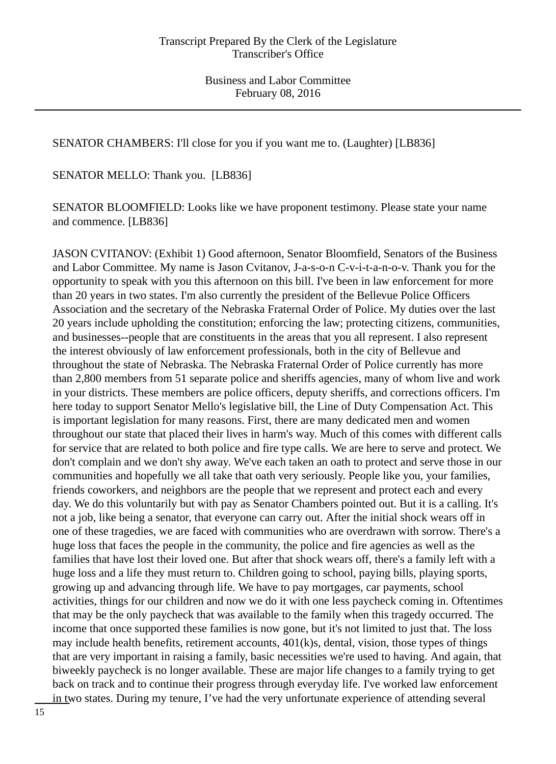SENATOR CHAMBERS: I'll close for you if you want me to. (Laughter) [LB836]

SENATOR MELLO: Thank you. [LB836]

SENATOR BLOOMFIELD: Looks like we have proponent testimony. Please state your name and commence. [LB836]

JASON CVITANOV: (Exhibit 1) Good afternoon, Senator Bloomfield, Senators of the Business and Labor Committee. My name is Jason Cvitanov, J-a-s-o-n C-v-i-t-a-n-o-v. Thank you for the opportunity to speak with you this afternoon on this bill. I've been in law enforcement for more than 20 years in two states. I'm also currently the president of the Bellevue Police Officers Association and the secretary of the Nebraska Fraternal Order of Police. My duties over the last 20 years include upholding the constitution; enforcing the law; protecting citizens, communities, and businesses--people that are constituents in the areas that you all represent. I also represent the interest obviously of law enforcement professionals, both in the city of Bellevue and throughout the state of Nebraska. The Nebraska Fraternal Order of Police currently has more than 2,800 members from 51 separate police and sheriffs agencies, many of whom live and work in your districts. These members are police officers, deputy sheriffs, and corrections officers. I'm here today to support Senator Mello's legislative bill, the Line of Duty Compensation Act. This is important legislation for many reasons. First, there are many dedicated men and women throughout our state that placed their lives in harm's way. Much of this comes with different calls for service that are related to both police and fire type calls. We are here to serve and protect. We don't complain and we don't shy away. We've each taken an oath to protect and serve those in our communities and hopefully we all take that oath very seriously. People like you, your families, friends coworkers, and neighbors are the people that we represent and protect each and every day. We do this voluntarily but with pay as Senator Chambers pointed out. But it is a calling. It's not a job, like being a senator, that everyone can carry out. After the initial shock wears off in one of these tragedies, we are faced with communities who are overdrawn with sorrow. There's a huge loss that faces the people in the community, the police and fire agencies as well as the families that have lost their loved one. But after that shock wears off, there's a family left with a huge loss and a life they must return to. Children going to school, paying bills, playing sports, growing up and advancing through life. We have to pay mortgages, car payments, school activities, things for our children and now we do it with one less paycheck coming in. Oftentimes that may be the only paycheck that was available to the family when this tragedy occurred. The income that once supported these families is now gone, but it's not limited to just that. The loss may include health benefits, retirement accounts, 401(k)s, dental, vision, those types of things that are very important in raising a family, basic necessities we're used to having. And again, that biweekly paycheck is no longer available. These are major life changes to a family trying to get back on track and to continue their progress through everyday life. I've worked law enforcement in two states. During my tenure, I've had the very unfortunate experience of attending several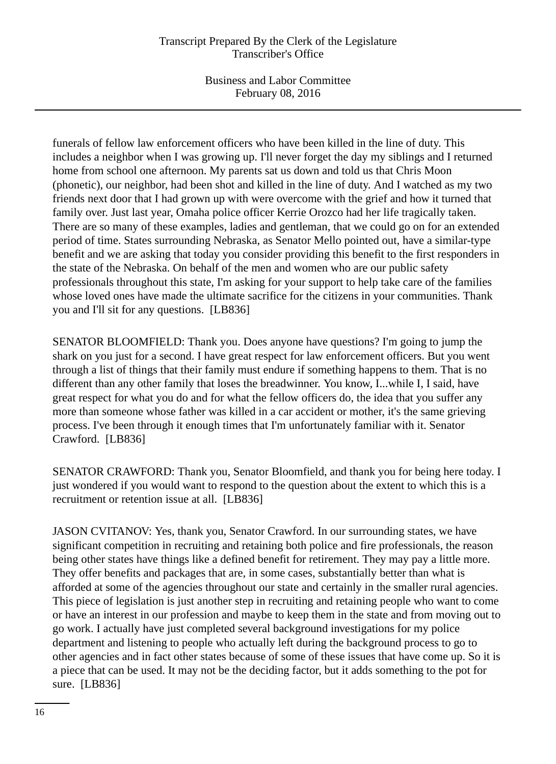Business and Labor Committee February 08, 2016

funerals of fellow law enforcement officers who have been killed in the line of duty. This includes a neighbor when I was growing up. I'll never forget the day my siblings and I returned home from school one afternoon. My parents sat us down and told us that Chris Moon (phonetic), our neighbor, had been shot and killed in the line of duty. And I watched as my two friends next door that I had grown up with were overcome with the grief and how it turned that family over. Just last year, Omaha police officer Kerrie Orozco had her life tragically taken. There are so many of these examples, ladies and gentleman, that we could go on for an extended period of time. States surrounding Nebraska, as Senator Mello pointed out, have a similar-type benefit and we are asking that today you consider providing this benefit to the first responders in the state of the Nebraska. On behalf of the men and women who are our public safety professionals throughout this state, I'm asking for your support to help take care of the families whose loved ones have made the ultimate sacrifice for the citizens in your communities. Thank you and I'll sit for any questions. [LB836]

SENATOR BLOOMFIELD: Thank you. Does anyone have questions? I'm going to jump the shark on you just for a second. I have great respect for law enforcement officers. But you went through a list of things that their family must endure if something happens to them. That is no different than any other family that loses the breadwinner. You know, I...while I, I said, have great respect for what you do and for what the fellow officers do, the idea that you suffer any more than someone whose father was killed in a car accident or mother, it's the same grieving process. I've been through it enough times that I'm unfortunately familiar with it. Senator Crawford. [LB836]

SENATOR CRAWFORD: Thank you, Senator Bloomfield, and thank you for being here today. I just wondered if you would want to respond to the question about the extent to which this is a recruitment or retention issue at all. [LB836]

JASON CVITANOV: Yes, thank you, Senator Crawford. In our surrounding states, we have significant competition in recruiting and retaining both police and fire professionals, the reason being other states have things like a defined benefit for retirement. They may pay a little more. They offer benefits and packages that are, in some cases, substantially better than what is afforded at some of the agencies throughout our state and certainly in the smaller rural agencies. This piece of legislation is just another step in recruiting and retaining people who want to come or have an interest in our profession and maybe to keep them in the state and from moving out to go work. I actually have just completed several background investigations for my police department and listening to people who actually left during the background process to go to other agencies and in fact other states because of some of these issues that have come up. So it is a piece that can be used. It may not be the deciding factor, but it adds something to the pot for sure. [LB836]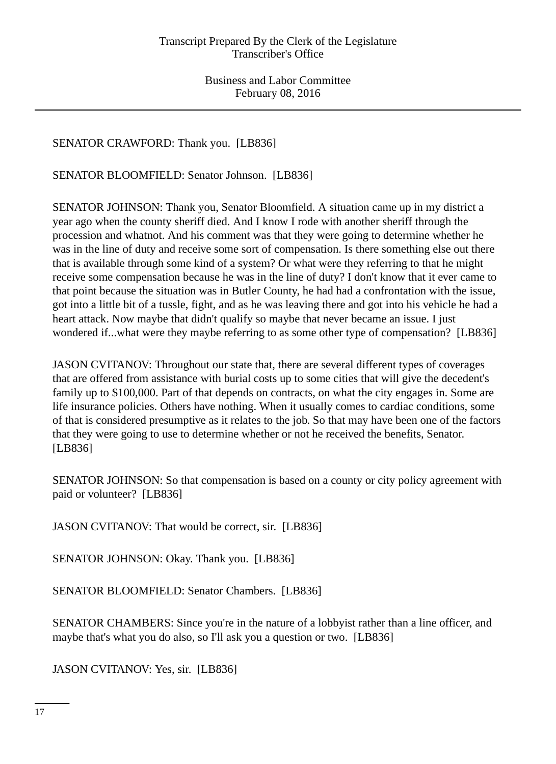SENATOR CRAWFORD: Thank you. [LB836]

SENATOR BLOOMFIELD: Senator Johnson. [LB836]

SENATOR JOHNSON: Thank you, Senator Bloomfield. A situation came up in my district a year ago when the county sheriff died. And I know I rode with another sheriff through the procession and whatnot. And his comment was that they were going to determine whether he was in the line of duty and receive some sort of compensation. Is there something else out there that is available through some kind of a system? Or what were they referring to that he might receive some compensation because he was in the line of duty? I don't know that it ever came to that point because the situation was in Butler County, he had had a confrontation with the issue, got into a little bit of a tussle, fight, and as he was leaving there and got into his vehicle he had a heart attack. Now maybe that didn't qualify so maybe that never became an issue. I just wondered if...what were they maybe referring to as some other type of compensation? [LB836]

JASON CVITANOV: Throughout our state that, there are several different types of coverages that are offered from assistance with burial costs up to some cities that will give the decedent's family up to \$100,000. Part of that depends on contracts, on what the city engages in. Some are life insurance policies. Others have nothing. When it usually comes to cardiac conditions, some of that is considered presumptive as it relates to the job. So that may have been one of the factors that they were going to use to determine whether or not he received the benefits, Senator. [LB836]

SENATOR JOHNSON: So that compensation is based on a county or city policy agreement with paid or volunteer? [LB836]

JASON CVITANOV: That would be correct, sir. [LB836]

SENATOR JOHNSON: Okay. Thank you. [LB836]

SENATOR BLOOMFIELD: Senator Chambers. [LB836]

SENATOR CHAMBERS: Since you're in the nature of a lobbyist rather than a line officer, and maybe that's what you do also, so I'll ask you a question or two. [LB836]

JASON CVITANOV: Yes, sir. [LB836]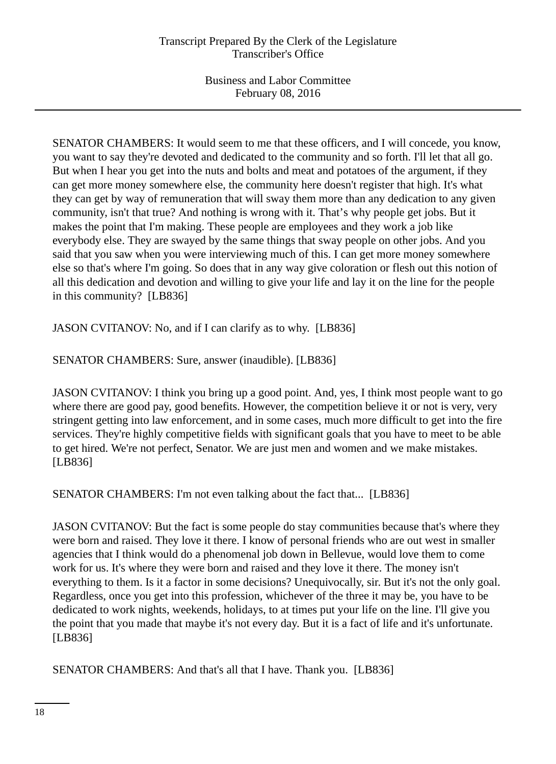SENATOR CHAMBERS: It would seem to me that these officers, and I will concede, you know, you want to say they're devoted and dedicated to the community and so forth. I'll let that all go. But when I hear you get into the nuts and bolts and meat and potatoes of the argument, if they can get more money somewhere else, the community here doesn't register that high. It's what they can get by way of remuneration that will sway them more than any dedication to any given community, isn't that true? And nothing is wrong with it. That's why people get jobs. But it makes the point that I'm making. These people are employees and they work a job like everybody else. They are swayed by the same things that sway people on other jobs. And you said that you saw when you were interviewing much of this. I can get more money somewhere else so that's where I'm going. So does that in any way give coloration or flesh out this notion of all this dedication and devotion and willing to give your life and lay it on the line for the people in this community? [LB836]

JASON CVITANOV: No, and if I can clarify as to why. [LB836]

SENATOR CHAMBERS: Sure, answer (inaudible). [LB836]

JASON CVITANOV: I think you bring up a good point. And, yes, I think most people want to go where there are good pay, good benefits. However, the competition believe it or not is very, very stringent getting into law enforcement, and in some cases, much more difficult to get into the fire services. They're highly competitive fields with significant goals that you have to meet to be able to get hired. We're not perfect, Senator. We are just men and women and we make mistakes. [LB836]

SENATOR CHAMBERS: I'm not even talking about the fact that... [LB836]

JASON CVITANOV: But the fact is some people do stay communities because that's where they were born and raised. They love it there. I know of personal friends who are out west in smaller agencies that I think would do a phenomenal job down in Bellevue, would love them to come work for us. It's where they were born and raised and they love it there. The money isn't everything to them. Is it a factor in some decisions? Unequivocally, sir. But it's not the only goal. Regardless, once you get into this profession, whichever of the three it may be, you have to be dedicated to work nights, weekends, holidays, to at times put your life on the line. I'll give you the point that you made that maybe it's not every day. But it is a fact of life and it's unfortunate. [LB836]

SENATOR CHAMBERS: And that's all that I have. Thank you. [LB836]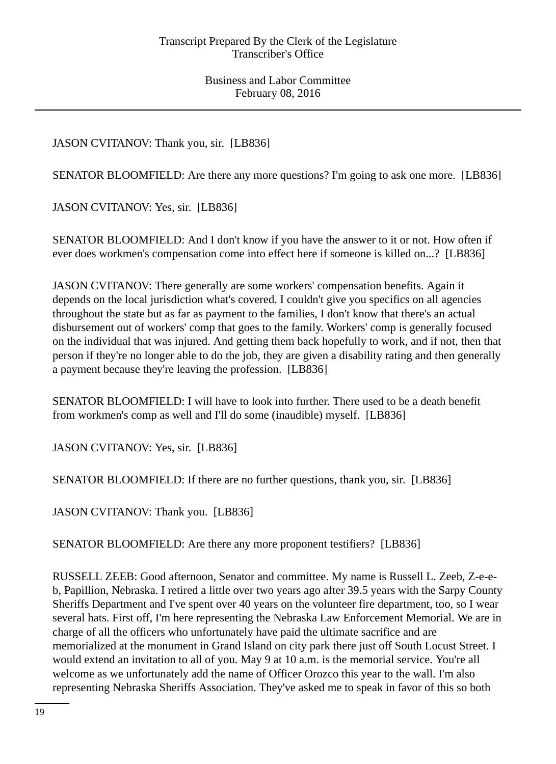JASON CVITANOV: Thank you, sir. [LB836]

SENATOR BLOOMFIELD: Are there any more questions? I'm going to ask one more. [LB836]

JASON CVITANOV: Yes, sir. [LB836]

SENATOR BLOOMFIELD: And I don't know if you have the answer to it or not. How often if ever does workmen's compensation come into effect here if someone is killed on...? [LB836]

JASON CVITANOV: There generally are some workers' compensation benefits. Again it depends on the local jurisdiction what's covered. I couldn't give you specifics on all agencies throughout the state but as far as payment to the families, I don't know that there's an actual disbursement out of workers' comp that goes to the family. Workers' comp is generally focused on the individual that was injured. And getting them back hopefully to work, and if not, then that person if they're no longer able to do the job, they are given a disability rating and then generally a payment because they're leaving the profession. [LB836]

SENATOR BLOOMFIELD: I will have to look into further. There used to be a death benefit from workmen's comp as well and I'll do some (inaudible) myself. [LB836]

JASON CVITANOV: Yes, sir. [LB836]

SENATOR BLOOMFIELD: If there are no further questions, thank you, sir. [LB836]

JASON CVITANOV: Thank you. [LB836]

SENATOR BLOOMFIELD: Are there any more proponent testifiers? [LB836]

RUSSELL ZEEB: Good afternoon, Senator and committee. My name is Russell L. Zeeb, Z-e-eb, Papillion, Nebraska. I retired a little over two years ago after 39.5 years with the Sarpy County Sheriffs Department and I've spent over 40 years on the volunteer fire department, too, so I wear several hats. First off, I'm here representing the Nebraska Law Enforcement Memorial. We are in charge of all the officers who unfortunately have paid the ultimate sacrifice and are memorialized at the monument in Grand Island on city park there just off South Locust Street. I would extend an invitation to all of you. May 9 at 10 a.m. is the memorial service. You're all welcome as we unfortunately add the name of Officer Orozco this year to the wall. I'm also representing Nebraska Sheriffs Association. They've asked me to speak in favor of this so both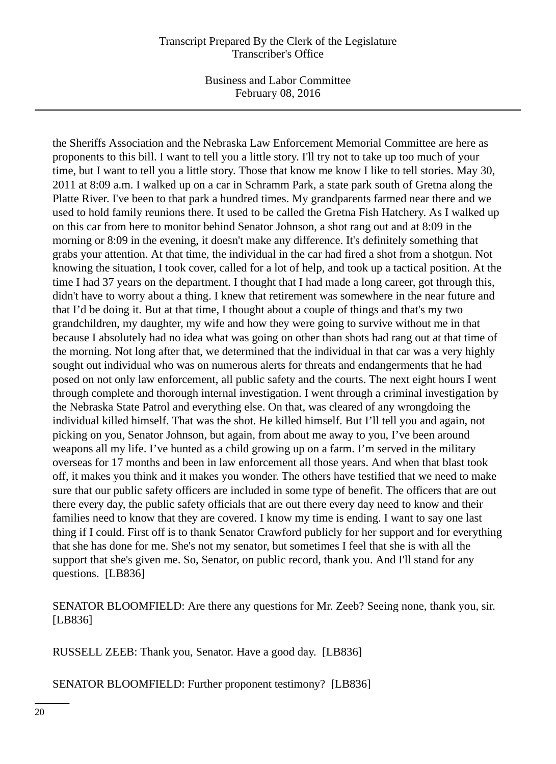Business and Labor Committee February 08, 2016

the Sheriffs Association and the Nebraska Law Enforcement Memorial Committee are here as proponents to this bill. I want to tell you a little story. I'll try not to take up too much of your time, but I want to tell you a little story. Those that know me know I like to tell stories. May 30, 2011 at 8:09 a.m. I walked up on a car in Schramm Park, a state park south of Gretna along the Platte River. I've been to that park a hundred times. My grandparents farmed near there and we used to hold family reunions there. It used to be called the Gretna Fish Hatchery. As I walked up on this car from here to monitor behind Senator Johnson, a shot rang out and at 8:09 in the morning or 8:09 in the evening, it doesn't make any difference. It's definitely something that grabs your attention. At that time, the individual in the car had fired a shot from a shotgun. Not knowing the situation, I took cover, called for a lot of help, and took up a tactical position. At the time I had 37 years on the department. I thought that I had made a long career, got through this, didn't have to worry about a thing. I knew that retirement was somewhere in the near future and that I'd be doing it. But at that time, I thought about a couple of things and that's my two grandchildren, my daughter, my wife and how they were going to survive without me in that because I absolutely had no idea what was going on other than shots had rang out at that time of the morning. Not long after that, we determined that the individual in that car was a very highly sought out individual who was on numerous alerts for threats and endangerments that he had posed on not only law enforcement, all public safety and the courts. The next eight hours I went through complete and thorough internal investigation. I went through a criminal investigation by the Nebraska State Patrol and everything else. On that, was cleared of any wrongdoing the individual killed himself. That was the shot. He killed himself. But I'll tell you and again, not picking on you, Senator Johnson, but again, from about me away to you, I've been around weapons all my life. I've hunted as a child growing up on a farm. I'm served in the military overseas for 17 months and been in law enforcement all those years. And when that blast took off, it makes you think and it makes you wonder. The others have testified that we need to make sure that our public safety officers are included in some type of benefit. The officers that are out there every day, the public safety officials that are out there every day need to know and their families need to know that they are covered. I know my time is ending. I want to say one last thing if I could. First off is to thank Senator Crawford publicly for her support and for everything that she has done for me. She's not my senator, but sometimes I feel that she is with all the support that she's given me. So, Senator, on public record, thank you. And I'll stand for any questions. [LB836]

SENATOR BLOOMFIELD: Are there any questions for Mr. Zeeb? Seeing none, thank you, sir. [LB836]

RUSSELL ZEEB: Thank you, Senator. Have a good day. [LB836]

SENATOR BLOOMFIELD: Further proponent testimony? [LB836]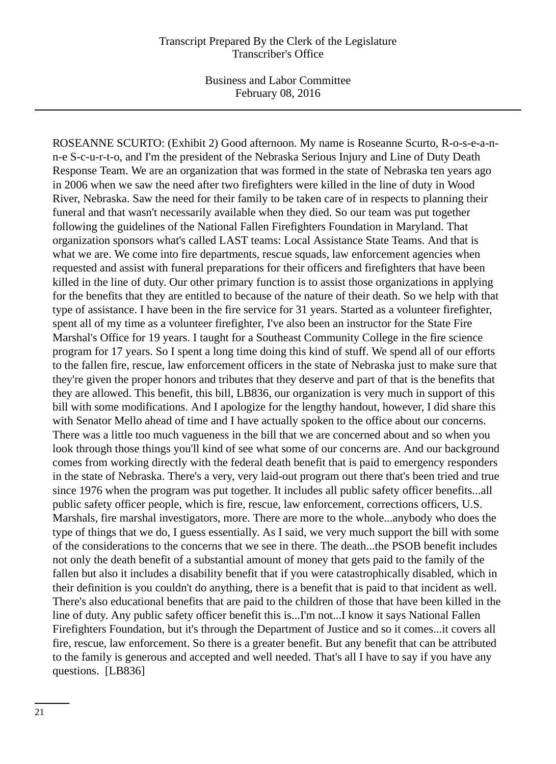ROSEANNE SCURTO: (Exhibit 2) Good afternoon. My name is Roseanne Scurto, R-o-s-e-a-nn-e S-c-u-r-t-o, and I'm the president of the Nebraska Serious Injury and Line of Duty Death Response Team. We are an organization that was formed in the state of Nebraska ten years ago in 2006 when we saw the need after two firefighters were killed in the line of duty in Wood River, Nebraska. Saw the need for their family to be taken care of in respects to planning their funeral and that wasn't necessarily available when they died. So our team was put together following the guidelines of the National Fallen Firefighters Foundation in Maryland. That organization sponsors what's called LAST teams: Local Assistance State Teams. And that is what we are. We come into fire departments, rescue squads, law enforcement agencies when requested and assist with funeral preparations for their officers and firefighters that have been killed in the line of duty. Our other primary function is to assist those organizations in applying for the benefits that they are entitled to because of the nature of their death. So we help with that type of assistance. I have been in the fire service for 31 years. Started as a volunteer firefighter, spent all of my time as a volunteer firefighter, I've also been an instructor for the State Fire Marshal's Office for 19 years. I taught for a Southeast Community College in the fire science program for 17 years. So I spent a long time doing this kind of stuff. We spend all of our efforts to the fallen fire, rescue, law enforcement officers in the state of Nebraska just to make sure that they're given the proper honors and tributes that they deserve and part of that is the benefits that they are allowed. This benefit, this bill, LB836, our organization is very much in support of this bill with some modifications. And I apologize for the lengthy handout, however, I did share this with Senator Mello ahead of time and I have actually spoken to the office about our concerns. There was a little too much vagueness in the bill that we are concerned about and so when you look through those things you'll kind of see what some of our concerns are. And our background comes from working directly with the federal death benefit that is paid to emergency responders in the state of Nebraska. There's a very, very laid-out program out there that's been tried and true since 1976 when the program was put together. It includes all public safety officer benefits...all public safety officer people, which is fire, rescue, law enforcement, corrections officers, U.S. Marshals, fire marshal investigators, more. There are more to the whole...anybody who does the type of things that we do, I guess essentially. As I said, we very much support the bill with some of the considerations to the concerns that we see in there. The death...the PSOB benefit includes not only the death benefit of a substantial amount of money that gets paid to the family of the fallen but also it includes a disability benefit that if you were catastrophically disabled, which in their definition is you couldn't do anything, there is a benefit that is paid to that incident as well. There's also educational benefits that are paid to the children of those that have been killed in the line of duty. Any public safety officer benefit this is...I'm not...I know it says National Fallen Firefighters Foundation, but it's through the Department of Justice and so it comes...it covers all fire, rescue, law enforcement. So there is a greater benefit. But any benefit that can be attributed to the family is generous and accepted and well needed. That's all I have to say if you have any questions. [LB836]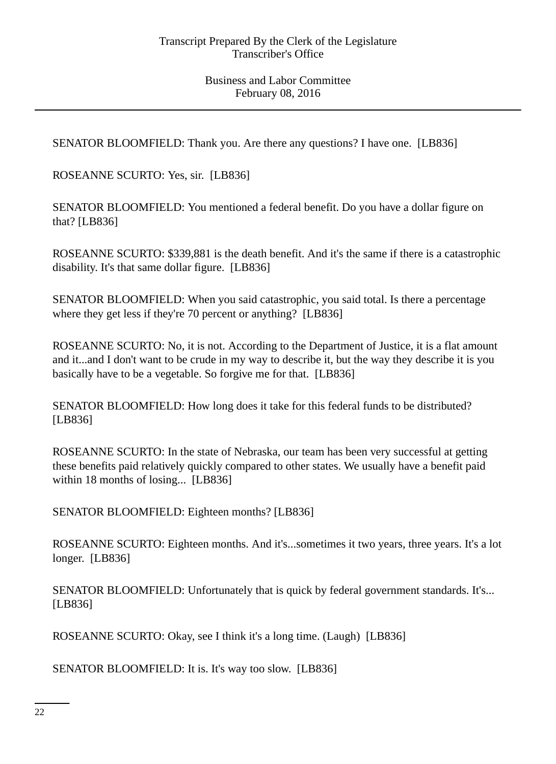SENATOR BLOOMFIELD: Thank you. Are there any questions? I have one. [LB836]

ROSEANNE SCURTO: Yes, sir. [LB836]

SENATOR BLOOMFIELD: You mentioned a federal benefit. Do you have a dollar figure on that? [LB836]

ROSEANNE SCURTO: \$339,881 is the death benefit. And it's the same if there is a catastrophic disability. It's that same dollar figure. [LB836]

SENATOR BLOOMFIELD: When you said catastrophic, you said total. Is there a percentage where they get less if they're 70 percent or anything? [LB836]

ROSEANNE SCURTO: No, it is not. According to the Department of Justice, it is a flat amount and it...and I don't want to be crude in my way to describe it, but the way they describe it is you basically have to be a vegetable. So forgive me for that. [LB836]

SENATOR BLOOMFIELD: How long does it take for this federal funds to be distributed? [LB836]

ROSEANNE SCURTO: In the state of Nebraska, our team has been very successful at getting these benefits paid relatively quickly compared to other states. We usually have a benefit paid within 18 months of losing... [LB836]

SENATOR BLOOMFIELD: Eighteen months? [LB836]

ROSEANNE SCURTO: Eighteen months. And it's...sometimes it two years, three years. It's a lot longer. [LB836]

SENATOR BLOOMFIELD: Unfortunately that is quick by federal government standards. It's... [LB836]

ROSEANNE SCURTO: Okay, see I think it's a long time. (Laugh) [LB836]

SENATOR BLOOMFIELD: It is. It's way too slow. [LB836]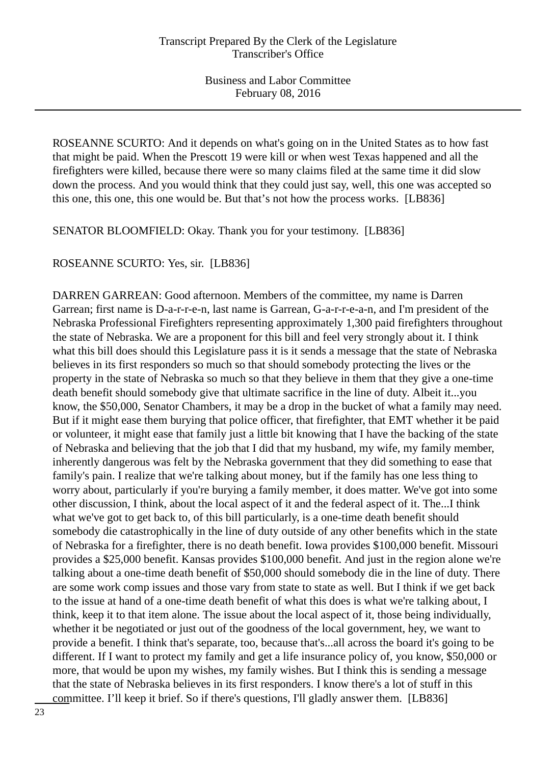ROSEANNE SCURTO: And it depends on what's going on in the United States as to how fast that might be paid. When the Prescott 19 were kill or when west Texas happened and all the firefighters were killed, because there were so many claims filed at the same time it did slow down the process. And you would think that they could just say, well, this one was accepted so this one, this one, this one would be. But that's not how the process works. [LB836]

SENATOR BLOOMFIELD: Okay. Thank you for your testimony. [LB836]

ROSEANNE SCURTO: Yes, sir. [LB836]

DARREN GARREAN: Good afternoon. Members of the committee, my name is Darren Garrean; first name is D-a-r-r-e-n, last name is Garrean, G-a-r-r-e-a-n, and I'm president of the Nebraska Professional Firefighters representing approximately 1,300 paid firefighters throughout the state of Nebraska. We are a proponent for this bill and feel very strongly about it. I think what this bill does should this Legislature pass it is it sends a message that the state of Nebraska believes in its first responders so much so that should somebody protecting the lives or the property in the state of Nebraska so much so that they believe in them that they give a one-time death benefit should somebody give that ultimate sacrifice in the line of duty. Albeit it...you know, the \$50,000, Senator Chambers, it may be a drop in the bucket of what a family may need. But if it might ease them burying that police officer, that firefighter, that EMT whether it be paid or volunteer, it might ease that family just a little bit knowing that I have the backing of the state of Nebraska and believing that the job that I did that my husband, my wife, my family member, inherently dangerous was felt by the Nebraska government that they did something to ease that family's pain. I realize that we're talking about money, but if the family has one less thing to worry about, particularly if you're burying a family member, it does matter. We've got into some other discussion, I think, about the local aspect of it and the federal aspect of it. The...I think what we've got to get back to, of this bill particularly, is a one-time death benefit should somebody die catastrophically in the line of duty outside of any other benefits which in the state of Nebraska for a firefighter, there is no death benefit. Iowa provides \$100,000 benefit. Missouri provides a \$25,000 benefit. Kansas provides \$100,000 benefit. And just in the region alone we're talking about a one-time death benefit of \$50,000 should somebody die in the line of duty. There are some work comp issues and those vary from state to state as well. But I think if we get back to the issue at hand of a one-time death benefit of what this does is what we're talking about, I think, keep it to that item alone. The issue about the local aspect of it, those being individually, whether it be negotiated or just out of the goodness of the local government, hey, we want to provide a benefit. I think that's separate, too, because that's...all across the board it's going to be different. If I want to protect my family and get a life insurance policy of, you know, \$50,000 or more, that would be upon my wishes, my family wishes. But I think this is sending a message that the state of Nebraska believes in its first responders. I know there's a lot of stuff in this committee. I'll keep it brief. So if there's questions, I'll gladly answer them. [LB836]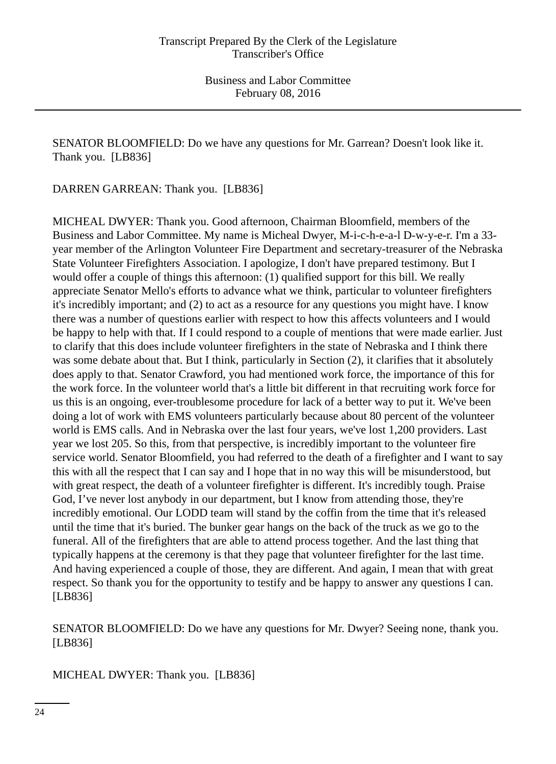SENATOR BLOOMFIELD: Do we have any questions for Mr. Garrean? Doesn't look like it. Thank you. [LB836]

DARREN GARREAN: Thank you. [LB836]

MICHEAL DWYER: Thank you. Good afternoon, Chairman Bloomfield, members of the Business and Labor Committee. My name is Micheal Dwyer, M-i-c-h-e-a-l D-w-y-e-r. I'm a 33 year member of the Arlington Volunteer Fire Department and secretary-treasurer of the Nebraska State Volunteer Firefighters Association. I apologize, I don't have prepared testimony. But I would offer a couple of things this afternoon: (1) qualified support for this bill. We really appreciate Senator Mello's efforts to advance what we think, particular to volunteer firefighters it's incredibly important; and (2) to act as a resource for any questions you might have. I know there was a number of questions earlier with respect to how this affects volunteers and I would be happy to help with that. If I could respond to a couple of mentions that were made earlier. Just to clarify that this does include volunteer firefighters in the state of Nebraska and I think there was some debate about that. But I think, particularly in Section (2), it clarifies that it absolutely does apply to that. Senator Crawford, you had mentioned work force, the importance of this for the work force. In the volunteer world that's a little bit different in that recruiting work force for us this is an ongoing, ever-troublesome procedure for lack of a better way to put it. We've been doing a lot of work with EMS volunteers particularly because about 80 percent of the volunteer world is EMS calls. And in Nebraska over the last four years, we've lost 1,200 providers. Last year we lost 205. So this, from that perspective, is incredibly important to the volunteer fire service world. Senator Bloomfield, you had referred to the death of a firefighter and I want to say this with all the respect that I can say and I hope that in no way this will be misunderstood, but with great respect, the death of a volunteer firefighter is different. It's incredibly tough. Praise God, I've never lost anybody in our department, but I know from attending those, they're incredibly emotional. Our LODD team will stand by the coffin from the time that it's released until the time that it's buried. The bunker gear hangs on the back of the truck as we go to the funeral. All of the firefighters that are able to attend process together. And the last thing that typically happens at the ceremony is that they page that volunteer firefighter for the last time. And having experienced a couple of those, they are different. And again, I mean that with great respect. So thank you for the opportunity to testify and be happy to answer any questions I can. [LB836]

SENATOR BLOOMFIELD: Do we have any questions for Mr. Dwyer? Seeing none, thank you. [LB836]

MICHEAL DWYER: Thank you. [LB836]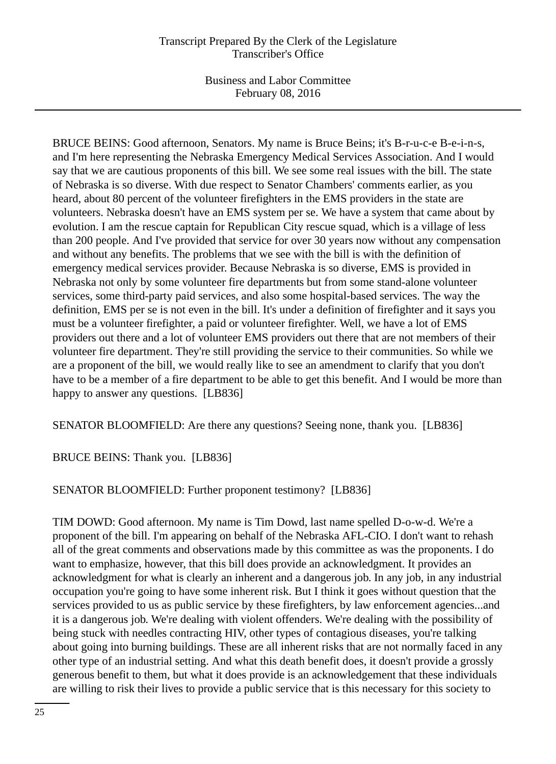Business and Labor Committee February 08, 2016

BRUCE BEINS: Good afternoon, Senators. My name is Bruce Beins; it's B-r-u-c-e B-e-i-n-s, and I'm here representing the Nebraska Emergency Medical Services Association. And I would say that we are cautious proponents of this bill. We see some real issues with the bill. The state of Nebraska is so diverse. With due respect to Senator Chambers' comments earlier, as you heard, about 80 percent of the volunteer firefighters in the EMS providers in the state are volunteers. Nebraska doesn't have an EMS system per se. We have a system that came about by evolution. I am the rescue captain for Republican City rescue squad, which is a village of less than 200 people. And I've provided that service for over 30 years now without any compensation and without any benefits. The problems that we see with the bill is with the definition of emergency medical services provider. Because Nebraska is so diverse, EMS is provided in Nebraska not only by some volunteer fire departments but from some stand-alone volunteer services, some third-party paid services, and also some hospital-based services. The way the definition, EMS per se is not even in the bill. It's under a definition of firefighter and it says you must be a volunteer firefighter, a paid or volunteer firefighter. Well, we have a lot of EMS providers out there and a lot of volunteer EMS providers out there that are not members of their volunteer fire department. They're still providing the service to their communities. So while we are a proponent of the bill, we would really like to see an amendment to clarify that you don't have to be a member of a fire department to be able to get this benefit. And I would be more than happy to answer any questions. [LB836]

SENATOR BLOOMFIELD: Are there any questions? Seeing none, thank you. [LB836]

BRUCE BEINS: Thank you. [LB836]

SENATOR BLOOMFIELD: Further proponent testimony? [LB836]

TIM DOWD: Good afternoon. My name is Tim Dowd, last name spelled D-o-w-d. We're a proponent of the bill. I'm appearing on behalf of the Nebraska AFL-CIO. I don't want to rehash all of the great comments and observations made by this committee as was the proponents. I do want to emphasize, however, that this bill does provide an acknowledgment. It provides an acknowledgment for what is clearly an inherent and a dangerous job. In any job, in any industrial occupation you're going to have some inherent risk. But I think it goes without question that the services provided to us as public service by these firefighters, by law enforcement agencies...and it is a dangerous job. We're dealing with violent offenders. We're dealing with the possibility of being stuck with needles contracting HIV, other types of contagious diseases, you're talking about going into burning buildings. These are all inherent risks that are not normally faced in any other type of an industrial setting. And what this death benefit does, it doesn't provide a grossly generous benefit to them, but what it does provide is an acknowledgement that these individuals are willing to risk their lives to provide a public service that is this necessary for this society to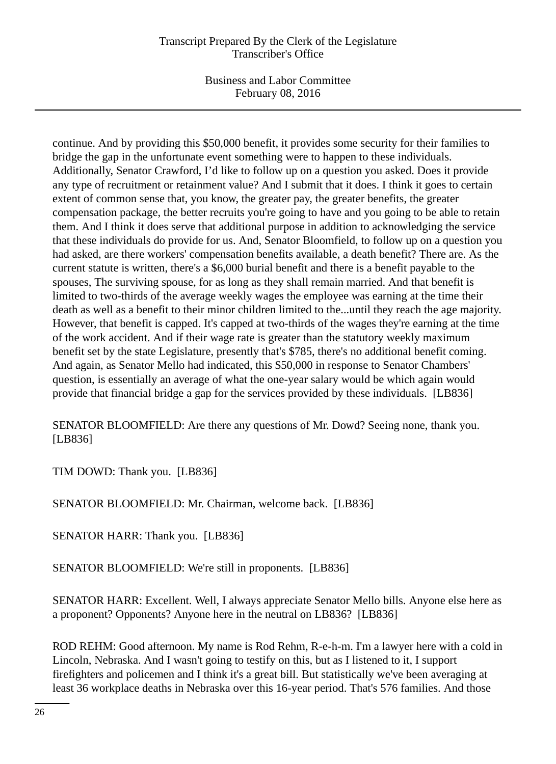Business and Labor Committee February 08, 2016

continue. And by providing this \$50,000 benefit, it provides some security for their families to bridge the gap in the unfortunate event something were to happen to these individuals. Additionally, Senator Crawford, I'd like to follow up on a question you asked. Does it provide any type of recruitment or retainment value? And I submit that it does. I think it goes to certain extent of common sense that, you know, the greater pay, the greater benefits, the greater compensation package, the better recruits you're going to have and you going to be able to retain them. And I think it does serve that additional purpose in addition to acknowledging the service that these individuals do provide for us. And, Senator Bloomfield, to follow up on a question you had asked, are there workers' compensation benefits available, a death benefit? There are. As the current statute is written, there's a \$6,000 burial benefit and there is a benefit payable to the spouses, The surviving spouse, for as long as they shall remain married. And that benefit is limited to two-thirds of the average weekly wages the employee was earning at the time their death as well as a benefit to their minor children limited to the...until they reach the age majority. However, that benefit is capped. It's capped at two-thirds of the wages they're earning at the time of the work accident. And if their wage rate is greater than the statutory weekly maximum benefit set by the state Legislature, presently that's \$785, there's no additional benefit coming. And again, as Senator Mello had indicated, this \$50,000 in response to Senator Chambers' question, is essentially an average of what the one-year salary would be which again would provide that financial bridge a gap for the services provided by these individuals. [LB836]

SENATOR BLOOMFIELD: Are there any questions of Mr. Dowd? Seeing none, thank you. [LB836]

TIM DOWD: Thank you. [LB836]

SENATOR BLOOMFIELD: Mr. Chairman, welcome back. [LB836]

SENATOR HARR: Thank you. [LB836]

SENATOR BLOOMFIELD: We're still in proponents. [LB836]

SENATOR HARR: Excellent. Well, I always appreciate Senator Mello bills. Anyone else here as a proponent? Opponents? Anyone here in the neutral on LB836? [LB836]

ROD REHM: Good afternoon. My name is Rod Rehm, R-e-h-m. I'm a lawyer here with a cold in Lincoln, Nebraska. And I wasn't going to testify on this, but as I listened to it, I support firefighters and policemen and I think it's a great bill. But statistically we've been averaging at least 36 workplace deaths in Nebraska over this 16-year period. That's 576 families. And those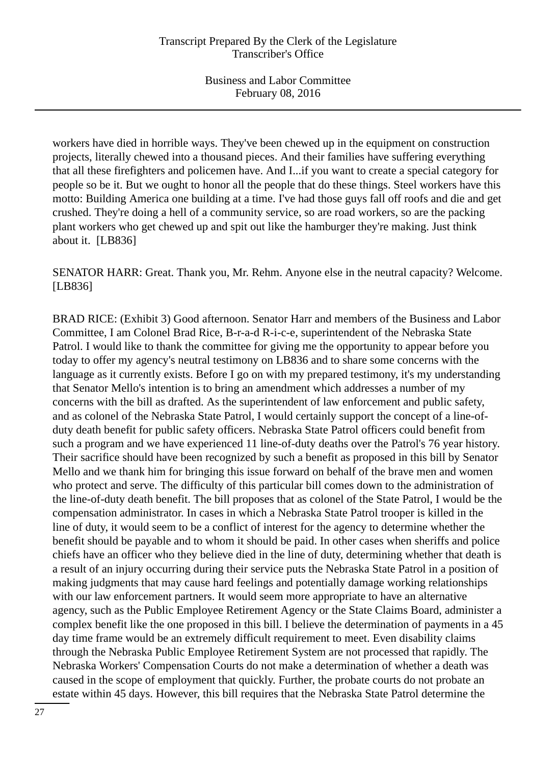workers have died in horrible ways. They've been chewed up in the equipment on construction projects, literally chewed into a thousand pieces. And their families have suffering everything that all these firefighters and policemen have. And I...if you want to create a special category for people so be it. But we ought to honor all the people that do these things. Steel workers have this motto: Building America one building at a time. I've had those guys fall off roofs and die and get crushed. They're doing a hell of a community service, so are road workers, so are the packing plant workers who get chewed up and spit out like the hamburger they're making. Just think about it. [LB836]

SENATOR HARR: Great. Thank you, Mr. Rehm. Anyone else in the neutral capacity? Welcome. [LB836]

BRAD RICE: (Exhibit 3) Good afternoon. Senator Harr and members of the Business and Labor Committee, I am Colonel Brad Rice, B-r-a-d R-i-c-e, superintendent of the Nebraska State Patrol. I would like to thank the committee for giving me the opportunity to appear before you today to offer my agency's neutral testimony on LB836 and to share some concerns with the language as it currently exists. Before I go on with my prepared testimony, it's my understanding that Senator Mello's intention is to bring an amendment which addresses a number of my concerns with the bill as drafted. As the superintendent of law enforcement and public safety, and as colonel of the Nebraska State Patrol, I would certainly support the concept of a line-ofduty death benefit for public safety officers. Nebraska State Patrol officers could benefit from such a program and we have experienced 11 line-of-duty deaths over the Patrol's 76 year history. Their sacrifice should have been recognized by such a benefit as proposed in this bill by Senator Mello and we thank him for bringing this issue forward on behalf of the brave men and women who protect and serve. The difficulty of this particular bill comes down to the administration of the line-of-duty death benefit. The bill proposes that as colonel of the State Patrol, I would be the compensation administrator. In cases in which a Nebraska State Patrol trooper is killed in the line of duty, it would seem to be a conflict of interest for the agency to determine whether the benefit should be payable and to whom it should be paid. In other cases when sheriffs and police chiefs have an officer who they believe died in the line of duty, determining whether that death is a result of an injury occurring during their service puts the Nebraska State Patrol in a position of making judgments that may cause hard feelings and potentially damage working relationships with our law enforcement partners. It would seem more appropriate to have an alternative agency, such as the Public Employee Retirement Agency or the State Claims Board, administer a complex benefit like the one proposed in this bill. I believe the determination of payments in a 45 day time frame would be an extremely difficult requirement to meet. Even disability claims through the Nebraska Public Employee Retirement System are not processed that rapidly. The Nebraska Workers' Compensation Courts do not make a determination of whether a death was caused in the scope of employment that quickly. Further, the probate courts do not probate an estate within 45 days. However, this bill requires that the Nebraska State Patrol determine the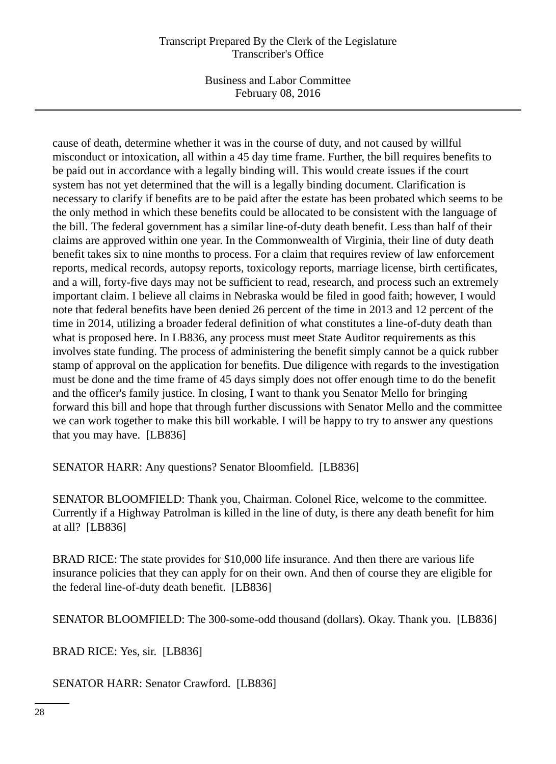Business and Labor Committee February 08, 2016

cause of death, determine whether it was in the course of duty, and not caused by willful misconduct or intoxication, all within a 45 day time frame. Further, the bill requires benefits to be paid out in accordance with a legally binding will. This would create issues if the court system has not yet determined that the will is a legally binding document. Clarification is necessary to clarify if benefits are to be paid after the estate has been probated which seems to be the only method in which these benefits could be allocated to be consistent with the language of the bill. The federal government has a similar line-of-duty death benefit. Less than half of their claims are approved within one year. In the Commonwealth of Virginia, their line of duty death benefit takes six to nine months to process. For a claim that requires review of law enforcement reports, medical records, autopsy reports, toxicology reports, marriage license, birth certificates, and a will, forty-five days may not be sufficient to read, research, and process such an extremely important claim. I believe all claims in Nebraska would be filed in good faith; however, I would note that federal benefits have been denied 26 percent of the time in 2013 and 12 percent of the time in 2014, utilizing a broader federal definition of what constitutes a line-of-duty death than what is proposed here. In LB836, any process must meet State Auditor requirements as this involves state funding. The process of administering the benefit simply cannot be a quick rubber stamp of approval on the application for benefits. Due diligence with regards to the investigation must be done and the time frame of 45 days simply does not offer enough time to do the benefit and the officer's family justice. In closing, I want to thank you Senator Mello for bringing forward this bill and hope that through further discussions with Senator Mello and the committee we can work together to make this bill workable. I will be happy to try to answer any questions that you may have. [LB836]

SENATOR HARR: Any questions? Senator Bloomfield. [LB836]

SENATOR BLOOMFIELD: Thank you, Chairman. Colonel Rice, welcome to the committee. Currently if a Highway Patrolman is killed in the line of duty, is there any death benefit for him at all? [LB836]

BRAD RICE: The state provides for \$10,000 life insurance. And then there are various life insurance policies that they can apply for on their own. And then of course they are eligible for the federal line-of-duty death benefit. [LB836]

SENATOR BLOOMFIELD: The 300-some-odd thousand (dollars). Okay. Thank you. [LB836]

BRAD RICE: Yes, sir. [LB836]

SENATOR HARR: Senator Crawford. [LB836]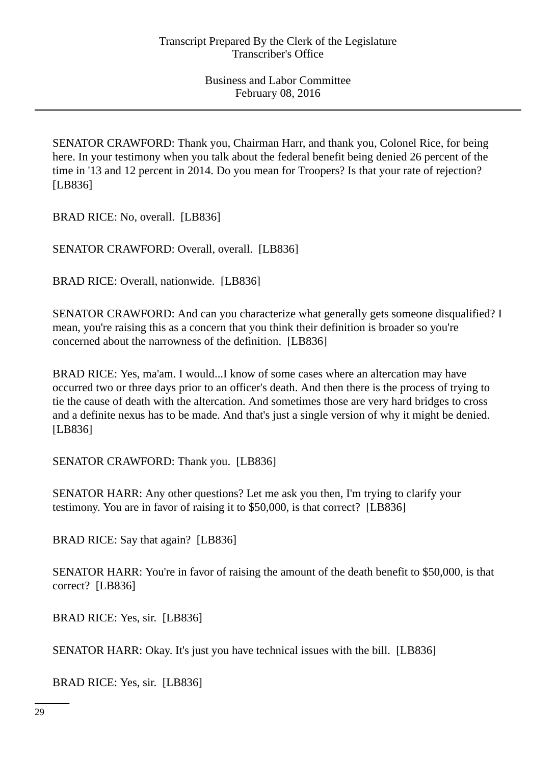SENATOR CRAWFORD: Thank you, Chairman Harr, and thank you, Colonel Rice, for being here. In your testimony when you talk about the federal benefit being denied 26 percent of the time in '13 and 12 percent in 2014. Do you mean for Troopers? Is that your rate of rejection? [LB836]

BRAD RICE: No, overall. [LB836]

SENATOR CRAWFORD: Overall, overall. [LB836]

BRAD RICE: Overall, nationwide. [LB836]

SENATOR CRAWFORD: And can you characterize what generally gets someone disqualified? I mean, you're raising this as a concern that you think their definition is broader so you're concerned about the narrowness of the definition. [LB836]

BRAD RICE: Yes, ma'am. I would...I know of some cases where an altercation may have occurred two or three days prior to an officer's death. And then there is the process of trying to tie the cause of death with the altercation. And sometimes those are very hard bridges to cross and a definite nexus has to be made. And that's just a single version of why it might be denied. [LB836]

SENATOR CRAWFORD: Thank you. [LB836]

SENATOR HARR: Any other questions? Let me ask you then, I'm trying to clarify your testimony. You are in favor of raising it to \$50,000, is that correct? [LB836]

BRAD RICE: Say that again? [LB836]

SENATOR HARR: You're in favor of raising the amount of the death benefit to \$50,000, is that correct? [LB836]

BRAD RICE: Yes, sir. [LB836]

SENATOR HARR: Okay. It's just you have technical issues with the bill. [LB836]

BRAD RICE: Yes, sir. [LB836]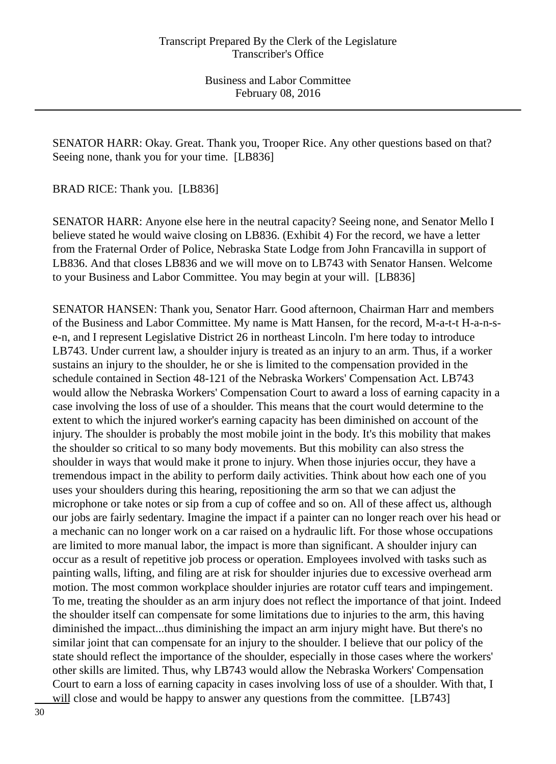SENATOR HARR: Okay. Great. Thank you, Trooper Rice. Any other questions based on that? Seeing none, thank you for your time. [LB836]

BRAD RICE: Thank you. [LB836]

SENATOR HARR: Anyone else here in the neutral capacity? Seeing none, and Senator Mello I believe stated he would waive closing on LB836. (Exhibit 4) For the record, we have a letter from the Fraternal Order of Police, Nebraska State Lodge from John Francavilla in support of LB836. And that closes LB836 and we will move on to LB743 with Senator Hansen. Welcome to your Business and Labor Committee. You may begin at your will. [LB836]

SENATOR HANSEN: Thank you, Senator Harr. Good afternoon, Chairman Harr and members of the Business and Labor Committee. My name is Matt Hansen, for the record, M-a-t-t H-a-n-se-n, and I represent Legislative District 26 in northeast Lincoln. I'm here today to introduce LB743. Under current law, a shoulder injury is treated as an injury to an arm. Thus, if a worker sustains an injury to the shoulder, he or she is limited to the compensation provided in the schedule contained in Section 48-121 of the Nebraska Workers' Compensation Act. LB743 would allow the Nebraska Workers' Compensation Court to award a loss of earning capacity in a case involving the loss of use of a shoulder. This means that the court would determine to the extent to which the injured worker's earning capacity has been diminished on account of the injury. The shoulder is probably the most mobile joint in the body. It's this mobility that makes the shoulder so critical to so many body movements. But this mobility can also stress the shoulder in ways that would make it prone to injury. When those injuries occur, they have a tremendous impact in the ability to perform daily activities. Think about how each one of you uses your shoulders during this hearing, repositioning the arm so that we can adjust the microphone or take notes or sip from a cup of coffee and so on. All of these affect us, although our jobs are fairly sedentary. Imagine the impact if a painter can no longer reach over his head or a mechanic can no longer work on a car raised on a hydraulic lift. For those whose occupations are limited to more manual labor, the impact is more than significant. A shoulder injury can occur as a result of repetitive job process or operation. Employees involved with tasks such as painting walls, lifting, and filing are at risk for shoulder injuries due to excessive overhead arm motion. The most common workplace shoulder injuries are rotator cuff tears and impingement. To me, treating the shoulder as an arm injury does not reflect the importance of that joint. Indeed the shoulder itself can compensate for some limitations due to injuries to the arm, this having diminished the impact...thus diminishing the impact an arm injury might have. But there's no similar joint that can compensate for an injury to the shoulder. I believe that our policy of the state should reflect the importance of the shoulder, especially in those cases where the workers' other skills are limited. Thus, why LB743 would allow the Nebraska Workers' Compensation Court to earn a loss of earning capacity in cases involving loss of use of a shoulder. With that, I will close and would be happy to answer any questions from the committee. [LB743]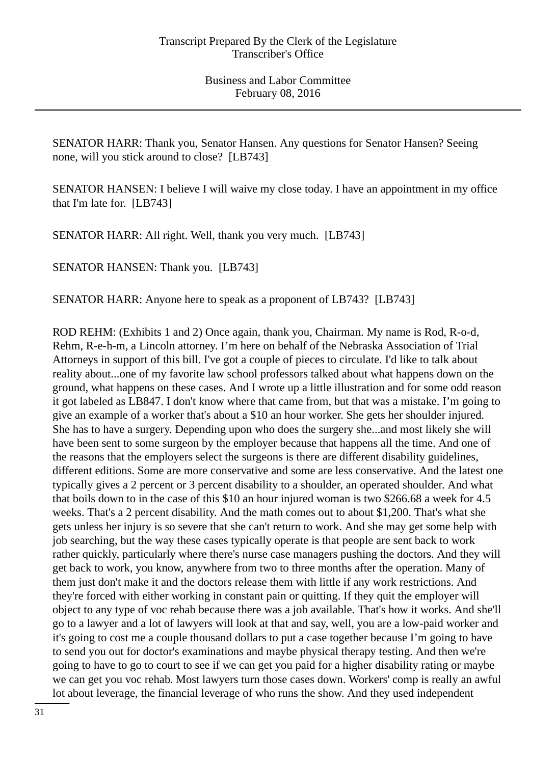SENATOR HARR: Thank you, Senator Hansen. Any questions for Senator Hansen? Seeing none, will you stick around to close? [LB743]

SENATOR HANSEN: I believe I will waive my close today. I have an appointment in my office that I'm late for. [LB743]

SENATOR HARR: All right. Well, thank you very much. [LB743]

SENATOR HANSEN: Thank you. [LB743]

SENATOR HARR: Anyone here to speak as a proponent of LB743? [LB743]

ROD REHM: (Exhibits 1 and 2) Once again, thank you, Chairman. My name is Rod, R-o-d, Rehm, R-e-h-m, a Lincoln attorney. I'm here on behalf of the Nebraska Association of Trial Attorneys in support of this bill. I've got a couple of pieces to circulate. I'd like to talk about reality about...one of my favorite law school professors talked about what happens down on the ground, what happens on these cases. And I wrote up a little illustration and for some odd reason it got labeled as LB847. I don't know where that came from, but that was a mistake. I'm going to give an example of a worker that's about a \$10 an hour worker. She gets her shoulder injured. She has to have a surgery. Depending upon who does the surgery she...and most likely she will have been sent to some surgeon by the employer because that happens all the time. And one of the reasons that the employers select the surgeons is there are different disability guidelines, different editions. Some are more conservative and some are less conservative. And the latest one typically gives a 2 percent or 3 percent disability to a shoulder, an operated shoulder. And what that boils down to in the case of this \$10 an hour injured woman is two \$266.68 a week for 4.5 weeks. That's a 2 percent disability. And the math comes out to about \$1,200. That's what she gets unless her injury is so severe that she can't return to work. And she may get some help with job searching, but the way these cases typically operate is that people are sent back to work rather quickly, particularly where there's nurse case managers pushing the doctors. And they will get back to work, you know, anywhere from two to three months after the operation. Many of them just don't make it and the doctors release them with little if any work restrictions. And they're forced with either working in constant pain or quitting. If they quit the employer will object to any type of voc rehab because there was a job available. That's how it works. And she'll go to a lawyer and a lot of lawyers will look at that and say, well, you are a low-paid worker and it's going to cost me a couple thousand dollars to put a case together because I'm going to have to send you out for doctor's examinations and maybe physical therapy testing. And then we're going to have to go to court to see if we can get you paid for a higher disability rating or maybe we can get you voc rehab. Most lawyers turn those cases down. Workers' comp is really an awful lot about leverage, the financial leverage of who runs the show. And they used independent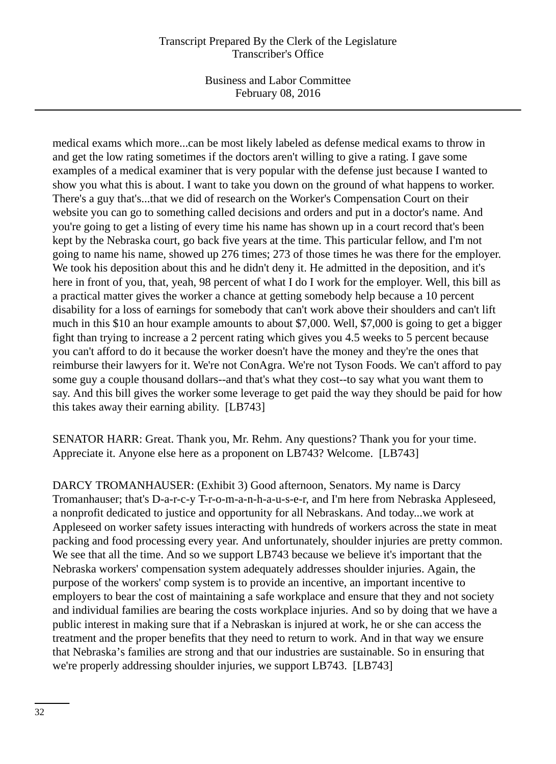Business and Labor Committee February 08, 2016

medical exams which more...can be most likely labeled as defense medical exams to throw in and get the low rating sometimes if the doctors aren't willing to give a rating. I gave some examples of a medical examiner that is very popular with the defense just because I wanted to show you what this is about. I want to take you down on the ground of what happens to worker. There's a guy that's...that we did of research on the Worker's Compensation Court on their website you can go to something called decisions and orders and put in a doctor's name. And you're going to get a listing of every time his name has shown up in a court record that's been kept by the Nebraska court, go back five years at the time. This particular fellow, and I'm not going to name his name, showed up 276 times; 273 of those times he was there for the employer. We took his deposition about this and he didn't deny it. He admitted in the deposition, and it's here in front of you, that, yeah, 98 percent of what I do I work for the employer. Well, this bill as a practical matter gives the worker a chance at getting somebody help because a 10 percent disability for a loss of earnings for somebody that can't work above their shoulders and can't lift much in this \$10 an hour example amounts to about \$7,000. Well, \$7,000 is going to get a bigger fight than trying to increase a 2 percent rating which gives you 4.5 weeks to 5 percent because you can't afford to do it because the worker doesn't have the money and they're the ones that reimburse their lawyers for it. We're not ConAgra. We're not Tyson Foods. We can't afford to pay some guy a couple thousand dollars--and that's what they cost--to say what you want them to say. And this bill gives the worker some leverage to get paid the way they should be paid for how this takes away their earning ability. [LB743]

SENATOR HARR: Great. Thank you, Mr. Rehm. Any questions? Thank you for your time. Appreciate it. Anyone else here as a proponent on LB743? Welcome. [LB743]

DARCY TROMANHAUSER: (Exhibit 3) Good afternoon, Senators. My name is Darcy Tromanhauser; that's D-a-r-c-y T-r-o-m-a-n-h-a-u-s-e-r, and I'm here from Nebraska Appleseed, a nonprofit dedicated to justice and opportunity for all Nebraskans. And today...we work at Appleseed on worker safety issues interacting with hundreds of workers across the state in meat packing and food processing every year. And unfortunately, shoulder injuries are pretty common. We see that all the time. And so we support LB743 because we believe it's important that the Nebraska workers' compensation system adequately addresses shoulder injuries. Again, the purpose of the workers' comp system is to provide an incentive, an important incentive to employers to bear the cost of maintaining a safe workplace and ensure that they and not society and individual families are bearing the costs workplace injuries. And so by doing that we have a public interest in making sure that if a Nebraskan is injured at work, he or she can access the treatment and the proper benefits that they need to return to work. And in that way we ensure that Nebraska's families are strong and that our industries are sustainable. So in ensuring that we're properly addressing shoulder injuries, we support LB743. [LB743]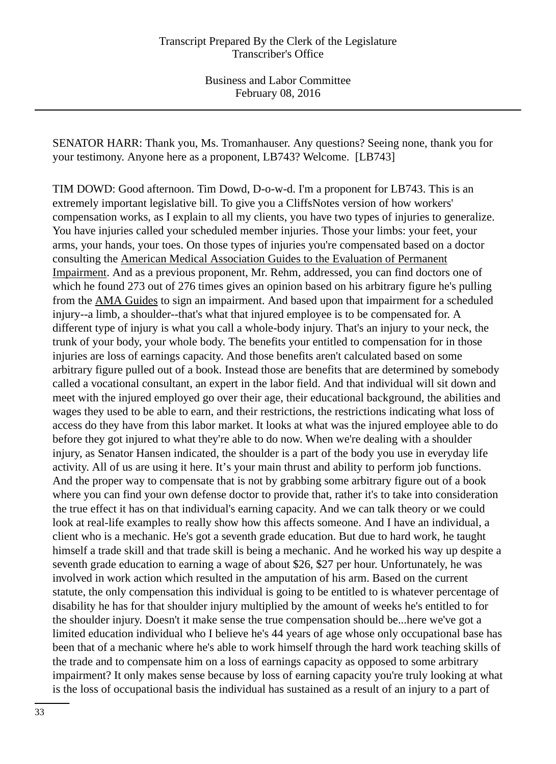SENATOR HARR: Thank you, Ms. Tromanhauser. Any questions? Seeing none, thank you for your testimony. Anyone here as a proponent, LB743? Welcome. [LB743]

TIM DOWD: Good afternoon. Tim Dowd, D-o-w-d. I'm a proponent for LB743. This is an extremely important legislative bill. To give you a CliffsNotes version of how workers' compensation works, as I explain to all my clients, you have two types of injuries to generalize. You have injuries called your scheduled member injuries. Those your limbs: your feet, your arms, your hands, your toes. On those types of injuries you're compensated based on a doctor consulting the American Medical Association Guides to the Evaluation of Permanent Impairment. And as a previous proponent, Mr. Rehm, addressed, you can find doctors one of which he found 273 out of 276 times gives an opinion based on his arbitrary figure he's pulling from the AMA Guides to sign an impairment. And based upon that impairment for a scheduled injury--a limb, a shoulder--that's what that injured employee is to be compensated for. A different type of injury is what you call a whole-body injury. That's an injury to your neck, the trunk of your body, your whole body. The benefits your entitled to compensation for in those injuries are loss of earnings capacity. And those benefits aren't calculated based on some arbitrary figure pulled out of a book. Instead those are benefits that are determined by somebody called a vocational consultant, an expert in the labor field. And that individual will sit down and meet with the injured employed go over their age, their educational background, the abilities and wages they used to be able to earn, and their restrictions, the restrictions indicating what loss of access do they have from this labor market. It looks at what was the injured employee able to do before they got injured to what they're able to do now. When we're dealing with a shoulder injury, as Senator Hansen indicated, the shoulder is a part of the body you use in everyday life activity. All of us are using it here. It's your main thrust and ability to perform job functions. And the proper way to compensate that is not by grabbing some arbitrary figure out of a book where you can find your own defense doctor to provide that, rather it's to take into consideration the true effect it has on that individual's earning capacity. And we can talk theory or we could look at real-life examples to really show how this affects someone. And I have an individual, a client who is a mechanic. He's got a seventh grade education. But due to hard work, he taught himself a trade skill and that trade skill is being a mechanic. And he worked his way up despite a seventh grade education to earning a wage of about \$26, \$27 per hour. Unfortunately, he was involved in work action which resulted in the amputation of his arm. Based on the current statute, the only compensation this individual is going to be entitled to is whatever percentage of disability he has for that shoulder injury multiplied by the amount of weeks he's entitled to for the shoulder injury. Doesn't it make sense the true compensation should be...here we've got a limited education individual who I believe he's 44 years of age whose only occupational base has been that of a mechanic where he's able to work himself through the hard work teaching skills of the trade and to compensate him on a loss of earnings capacity as opposed to some arbitrary impairment? It only makes sense because by loss of earning capacity you're truly looking at what is the loss of occupational basis the individual has sustained as a result of an injury to a part of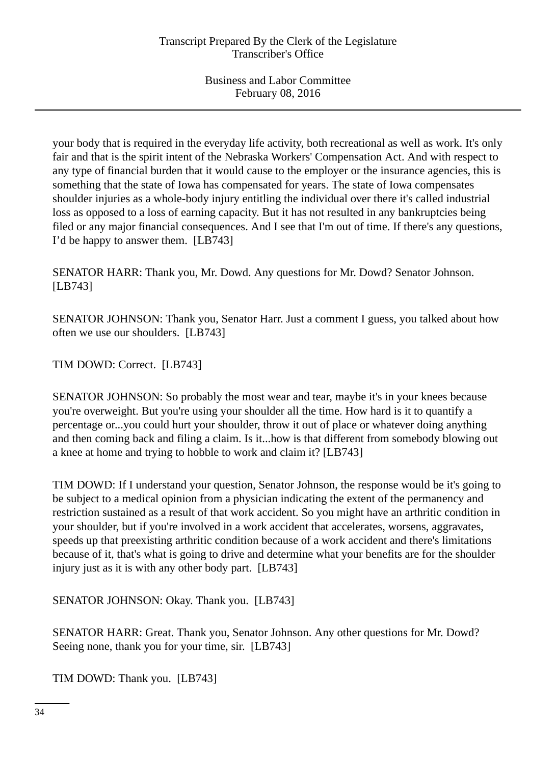your body that is required in the everyday life activity, both recreational as well as work. It's only fair and that is the spirit intent of the Nebraska Workers' Compensation Act. And with respect to any type of financial burden that it would cause to the employer or the insurance agencies, this is something that the state of Iowa has compensated for years. The state of Iowa compensates shoulder injuries as a whole-body injury entitling the individual over there it's called industrial loss as opposed to a loss of earning capacity. But it has not resulted in any bankruptcies being filed or any major financial consequences. And I see that I'm out of time. If there's any questions, I'd be happy to answer them. [LB743]

SENATOR HARR: Thank you, Mr. Dowd. Any questions for Mr. Dowd? Senator Johnson. [LB743]

SENATOR JOHNSON: Thank you, Senator Harr. Just a comment I guess, you talked about how often we use our shoulders. [LB743]

TIM DOWD: Correct. [LB743]

SENATOR JOHNSON: So probably the most wear and tear, maybe it's in your knees because you're overweight. But you're using your shoulder all the time. How hard is it to quantify a percentage or...you could hurt your shoulder, throw it out of place or whatever doing anything and then coming back and filing a claim. Is it...how is that different from somebody blowing out a knee at home and trying to hobble to work and claim it? [LB743]

TIM DOWD: If I understand your question, Senator Johnson, the response would be it's going to be subject to a medical opinion from a physician indicating the extent of the permanency and restriction sustained as a result of that work accident. So you might have an arthritic condition in your shoulder, but if you're involved in a work accident that accelerates, worsens, aggravates, speeds up that preexisting arthritic condition because of a work accident and there's limitations because of it, that's what is going to drive and determine what your benefits are for the shoulder injury just as it is with any other body part. [LB743]

SENATOR JOHNSON: Okay. Thank you. [LB743]

SENATOR HARR: Great. Thank you, Senator Johnson. Any other questions for Mr. Dowd? Seeing none, thank you for your time, sir. [LB743]

TIM DOWD: Thank you. [LB743]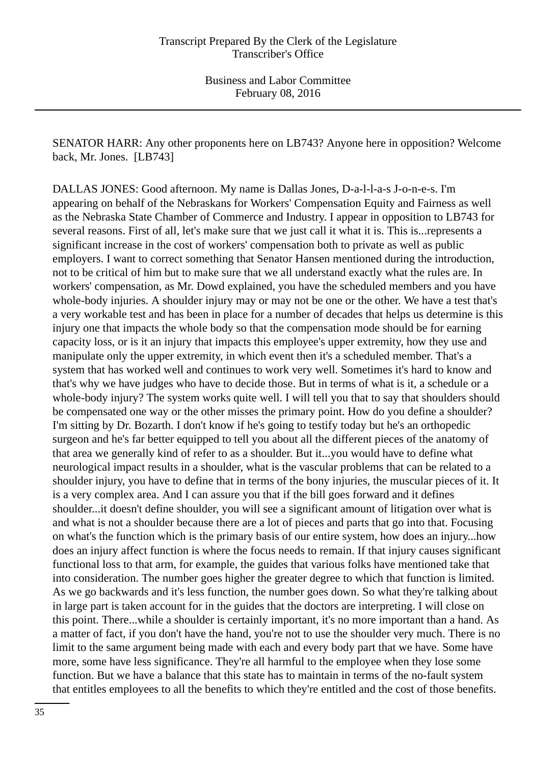SENATOR HARR: Any other proponents here on LB743? Anyone here in opposition? Welcome back, Mr. Jones. [LB743]

DALLAS JONES: Good afternoon. My name is Dallas Jones, D-a-l-l-a-s J-o-n-e-s. I'm appearing on behalf of the Nebraskans for Workers' Compensation Equity and Fairness as well as the Nebraska State Chamber of Commerce and Industry. I appear in opposition to LB743 for several reasons. First of all, let's make sure that we just call it what it is. This is...represents a significant increase in the cost of workers' compensation both to private as well as public employers. I want to correct something that Senator Hansen mentioned during the introduction, not to be critical of him but to make sure that we all understand exactly what the rules are. In workers' compensation, as Mr. Dowd explained, you have the scheduled members and you have whole-body injuries. A shoulder injury may or may not be one or the other. We have a test that's a very workable test and has been in place for a number of decades that helps us determine is this injury one that impacts the whole body so that the compensation mode should be for earning capacity loss, or is it an injury that impacts this employee's upper extremity, how they use and manipulate only the upper extremity, in which event then it's a scheduled member. That's a system that has worked well and continues to work very well. Sometimes it's hard to know and that's why we have judges who have to decide those. But in terms of what is it, a schedule or a whole-body injury? The system works quite well. I will tell you that to say that shoulders should be compensated one way or the other misses the primary point. How do you define a shoulder? I'm sitting by Dr. Bozarth. I don't know if he's going to testify today but he's an orthopedic surgeon and he's far better equipped to tell you about all the different pieces of the anatomy of that area we generally kind of refer to as a shoulder. But it...you would have to define what neurological impact results in a shoulder, what is the vascular problems that can be related to a shoulder injury, you have to define that in terms of the bony injuries, the muscular pieces of it. It is a very complex area. And I can assure you that if the bill goes forward and it defines shoulder...it doesn't define shoulder, you will see a significant amount of litigation over what is and what is not a shoulder because there are a lot of pieces and parts that go into that. Focusing on what's the function which is the primary basis of our entire system, how does an injury...how does an injury affect function is where the focus needs to remain. If that injury causes significant functional loss to that arm, for example, the guides that various folks have mentioned take that into consideration. The number goes higher the greater degree to which that function is limited. As we go backwards and it's less function, the number goes down. So what they're talking about in large part is taken account for in the guides that the doctors are interpreting. I will close on this point. There...while a shoulder is certainly important, it's no more important than a hand. As a matter of fact, if you don't have the hand, you're not to use the shoulder very much. There is no limit to the same argument being made with each and every body part that we have. Some have more, some have less significance. They're all harmful to the employee when they lose some function. But we have a balance that this state has to maintain in terms of the no-fault system that entitles employees to all the benefits to which they're entitled and the cost of those benefits.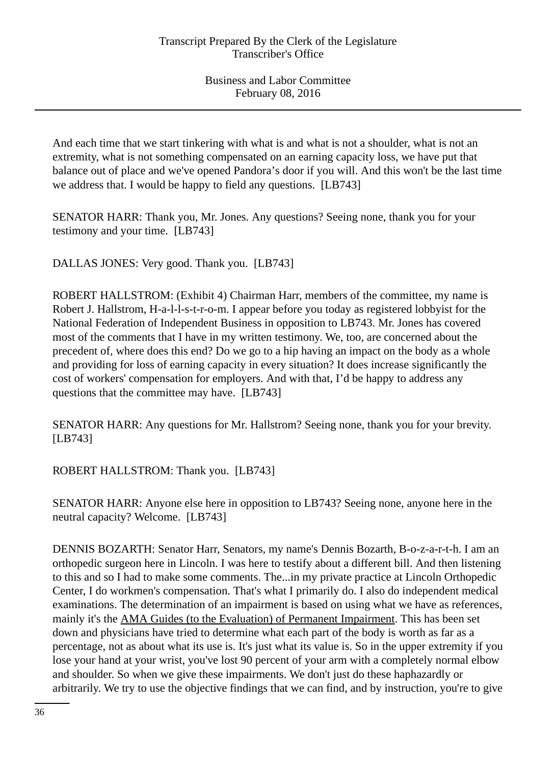And each time that we start tinkering with what is and what is not a shoulder, what is not an extremity, what is not something compensated on an earning capacity loss, we have put that balance out of place and we've opened Pandora's door if you will. And this won't be the last time we address that. I would be happy to field any questions. [LB743]

SENATOR HARR: Thank you, Mr. Jones. Any questions? Seeing none, thank you for your testimony and your time. [LB743]

DALLAS JONES: Very good. Thank you. [LB743]

ROBERT HALLSTROM: (Exhibit 4) Chairman Harr, members of the committee, my name is Robert J. Hallstrom, H-a-l-l-s-t-r-o-m. I appear before you today as registered lobbyist for the National Federation of Independent Business in opposition to LB743. Mr. Jones has covered most of the comments that I have in my written testimony. We, too, are concerned about the precedent of, where does this end? Do we go to a hip having an impact on the body as a whole and providing for loss of earning capacity in every situation? It does increase significantly the cost of workers' compensation for employers. And with that, I'd be happy to address any questions that the committee may have. [LB743]

SENATOR HARR: Any questions for Mr. Hallstrom? Seeing none, thank you for your brevity. [LB743]

ROBERT HALLSTROM: Thank you. [LB743]

SENATOR HARR: Anyone else here in opposition to LB743? Seeing none, anyone here in the neutral capacity? Welcome. [LB743]

DENNIS BOZARTH: Senator Harr, Senators, my name's Dennis Bozarth, B-o-z-a-r-t-h. I am an orthopedic surgeon here in Lincoln. I was here to testify about a different bill. And then listening to this and so I had to make some comments. The...in my private practice at Lincoln Orthopedic Center, I do workmen's compensation. That's what I primarily do. I also do independent medical examinations. The determination of an impairment is based on using what we have as references, mainly it's the AMA Guides (to the Evaluation) of Permanent Impairment. This has been set down and physicians have tried to determine what each part of the body is worth as far as a percentage, not as about what its use is. It's just what its value is. So in the upper extremity if you lose your hand at your wrist, you've lost 90 percent of your arm with a completely normal elbow and shoulder. So when we give these impairments. We don't just do these haphazardly or arbitrarily. We try to use the objective findings that we can find, and by instruction, you're to give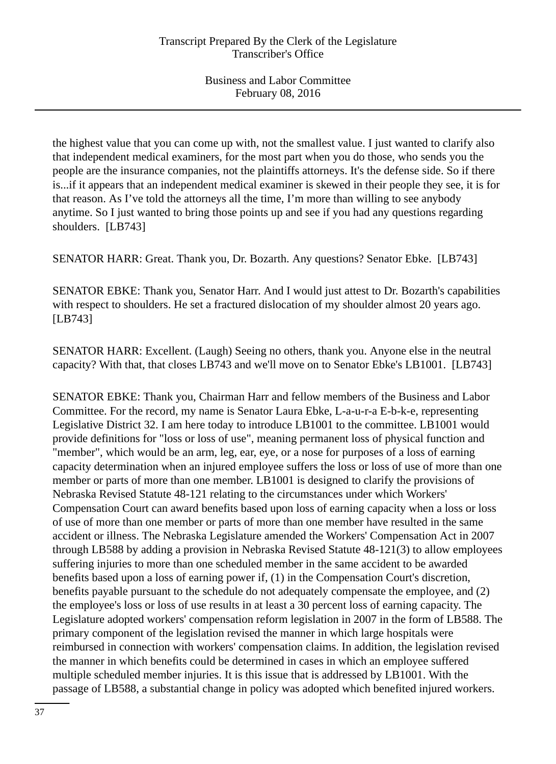the highest value that you can come up with, not the smallest value. I just wanted to clarify also that independent medical examiners, for the most part when you do those, who sends you the people are the insurance companies, not the plaintiffs attorneys. It's the defense side. So if there is...if it appears that an independent medical examiner is skewed in their people they see, it is for that reason. As I've told the attorneys all the time, I'm more than willing to see anybody anytime. So I just wanted to bring those points up and see if you had any questions regarding shoulders. [LB743]

SENATOR HARR: Great. Thank you, Dr. Bozarth. Any questions? Senator Ebke. [LB743]

SENATOR EBKE: Thank you, Senator Harr. And I would just attest to Dr. Bozarth's capabilities with respect to shoulders. He set a fractured dislocation of my shoulder almost 20 years ago. [LB743]

SENATOR HARR: Excellent. (Laugh) Seeing no others, thank you. Anyone else in the neutral capacity? With that, that closes LB743 and we'll move on to Senator Ebke's LB1001. [LB743]

SENATOR EBKE: Thank you, Chairman Harr and fellow members of the Business and Labor Committee. For the record, my name is Senator Laura Ebke, L-a-u-r-a E-b-k-e, representing Legislative District 32. I am here today to introduce LB1001 to the committee. LB1001 would provide definitions for "loss or loss of use", meaning permanent loss of physical function and "member", which would be an arm, leg, ear, eye, or a nose for purposes of a loss of earning capacity determination when an injured employee suffers the loss or loss of use of more than one member or parts of more than one member. LB1001 is designed to clarify the provisions of Nebraska Revised Statute 48-121 relating to the circumstances under which Workers' Compensation Court can award benefits based upon loss of earning capacity when a loss or loss of use of more than one member or parts of more than one member have resulted in the same accident or illness. The Nebraska Legislature amended the Workers' Compensation Act in 2007 through LB588 by adding a provision in Nebraska Revised Statute 48-121(3) to allow employees suffering injuries to more than one scheduled member in the same accident to be awarded benefits based upon a loss of earning power if, (1) in the Compensation Court's discretion, benefits payable pursuant to the schedule do not adequately compensate the employee, and (2) the employee's loss or loss of use results in at least a 30 percent loss of earning capacity. The Legislature adopted workers' compensation reform legislation in 2007 in the form of LB588. The primary component of the legislation revised the manner in which large hospitals were reimbursed in connection with workers' compensation claims. In addition, the legislation revised the manner in which benefits could be determined in cases in which an employee suffered multiple scheduled member injuries. It is this issue that is addressed by LB1001. With the passage of LB588, a substantial change in policy was adopted which benefited injured workers.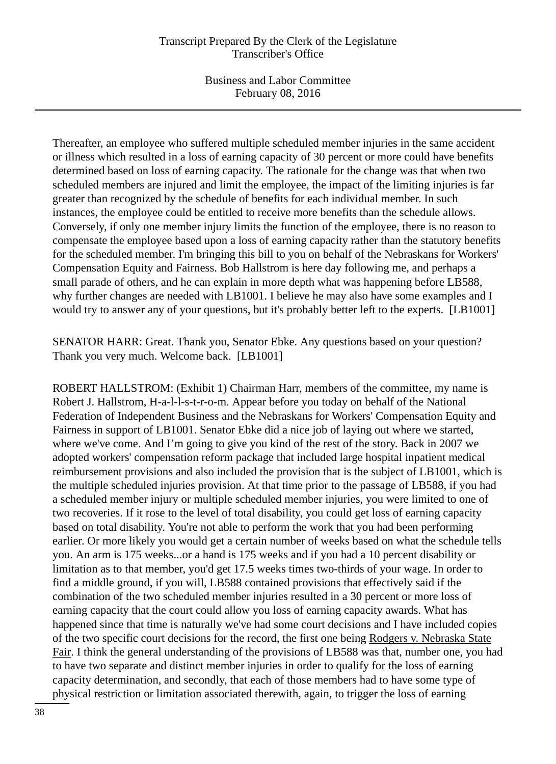Business and Labor Committee February 08, 2016

Thereafter, an employee who suffered multiple scheduled member injuries in the same accident or illness which resulted in a loss of earning capacity of 30 percent or more could have benefits determined based on loss of earning capacity. The rationale for the change was that when two scheduled members are injured and limit the employee, the impact of the limiting injuries is far greater than recognized by the schedule of benefits for each individual member. In such instances, the employee could be entitled to receive more benefits than the schedule allows. Conversely, if only one member injury limits the function of the employee, there is no reason to compensate the employee based upon a loss of earning capacity rather than the statutory benefits for the scheduled member. I'm bringing this bill to you on behalf of the Nebraskans for Workers' Compensation Equity and Fairness. Bob Hallstrom is here day following me, and perhaps a small parade of others, and he can explain in more depth what was happening before LB588, why further changes are needed with LB1001. I believe he may also have some examples and I would try to answer any of your questions, but it's probably better left to the experts. [LB1001]

SENATOR HARR: Great. Thank you, Senator Ebke. Any questions based on your question? Thank you very much. Welcome back. [LB1001]

ROBERT HALLSTROM: (Exhibit 1) Chairman Harr, members of the committee, my name is Robert J. Hallstrom, H-a-l-l-s-t-r-o-m. Appear before you today on behalf of the National Federation of Independent Business and the Nebraskans for Workers' Compensation Equity and Fairness in support of LB1001. Senator Ebke did a nice job of laying out where we started, where we've come. And I'm going to give you kind of the rest of the story. Back in 2007 we adopted workers' compensation reform package that included large hospital inpatient medical reimbursement provisions and also included the provision that is the subject of LB1001, which is the multiple scheduled injuries provision. At that time prior to the passage of LB588, if you had a scheduled member injury or multiple scheduled member injuries, you were limited to one of two recoveries. If it rose to the level of total disability, you could get loss of earning capacity based on total disability. You're not able to perform the work that you had been performing earlier. Or more likely you would get a certain number of weeks based on what the schedule tells you. An arm is 175 weeks...or a hand is 175 weeks and if you had a 10 percent disability or limitation as to that member, you'd get 17.5 weeks times two-thirds of your wage. In order to find a middle ground, if you will, LB588 contained provisions that effectively said if the combination of the two scheduled member injuries resulted in a 30 percent or more loss of earning capacity that the court could allow you loss of earning capacity awards. What has happened since that time is naturally we've had some court decisions and I have included copies of the two specific court decisions for the record, the first one being Rodgers v. Nebraska State Fair. I think the general understanding of the provisions of LB588 was that, number one, you had to have two separate and distinct member injuries in order to qualify for the loss of earning capacity determination, and secondly, that each of those members had to have some type of physical restriction or limitation associated therewith, again, to trigger the loss of earning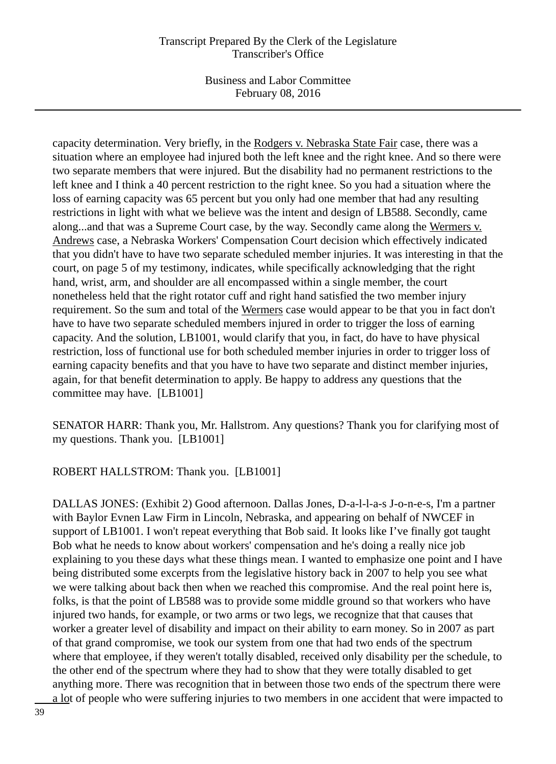Business and Labor Committee February 08, 2016

capacity determination. Very briefly, in the Rodgers v. Nebraska State Fair case, there was a situation where an employee had injured both the left knee and the right knee. And so there were two separate members that were injured. But the disability had no permanent restrictions to the left knee and I think a 40 percent restriction to the right knee. So you had a situation where the loss of earning capacity was 65 percent but you only had one member that had any resulting restrictions in light with what we believe was the intent and design of LB588. Secondly, came along...and that was a Supreme Court case, by the way. Secondly came along the Wermers v. Andrews case, a Nebraska Workers' Compensation Court decision which effectively indicated that you didn't have to have two separate scheduled member injuries. It was interesting in that the court, on page 5 of my testimony, indicates, while specifically acknowledging that the right hand, wrist, arm, and shoulder are all encompassed within a single member, the court nonetheless held that the right rotator cuff and right hand satisfied the two member injury requirement. So the sum and total of the Wermers case would appear to be that you in fact don't have to have two separate scheduled members injured in order to trigger the loss of earning capacity. And the solution, LB1001, would clarify that you, in fact, do have to have physical restriction, loss of functional use for both scheduled member injuries in order to trigger loss of earning capacity benefits and that you have to have two separate and distinct member injuries, again, for that benefit determination to apply. Be happy to address any questions that the committee may have. [LB1001]

SENATOR HARR: Thank you, Mr. Hallstrom. Any questions? Thank you for clarifying most of my questions. Thank you. [LB1001]

## ROBERT HALLSTROM: Thank you. [LB1001]

DALLAS JONES: (Exhibit 2) Good afternoon. Dallas Jones, D-a-l-l-a-s J-o-n-e-s, I'm a partner with Baylor Evnen Law Firm in Lincoln, Nebraska, and appearing on behalf of NWCEF in support of LB1001. I won't repeat everything that Bob said. It looks like I've finally got taught Bob what he needs to know about workers' compensation and he's doing a really nice job explaining to you these days what these things mean. I wanted to emphasize one point and I have being distributed some excerpts from the legislative history back in 2007 to help you see what we were talking about back then when we reached this compromise. And the real point here is, folks, is that the point of LB588 was to provide some middle ground so that workers who have injured two hands, for example, or two arms or two legs, we recognize that that causes that worker a greater level of disability and impact on their ability to earn money. So in 2007 as part of that grand compromise, we took our system from one that had two ends of the spectrum where that employee, if they weren't totally disabled, received only disability per the schedule, to the other end of the spectrum where they had to show that they were totally disabled to get anything more. There was recognition that in between those two ends of the spectrum there were a lot of people who were suffering injuries to two members in one accident that were impacted to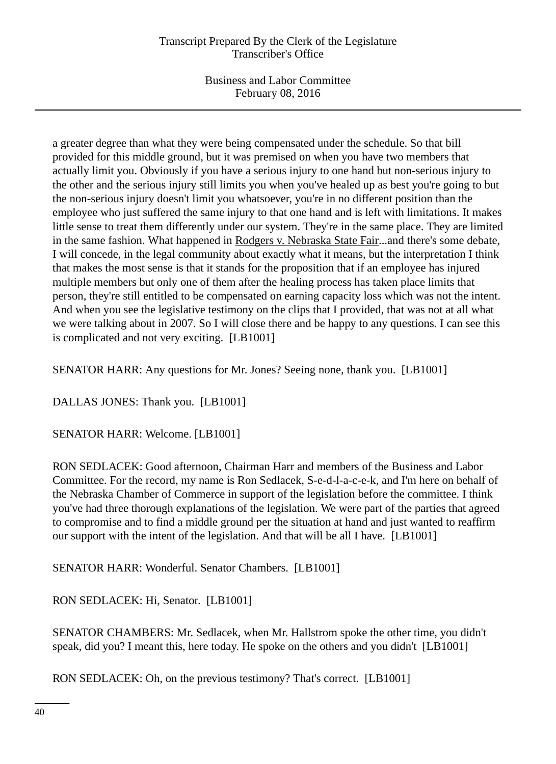Business and Labor Committee February 08, 2016

a greater degree than what they were being compensated under the schedule. So that bill provided for this middle ground, but it was premised on when you have two members that actually limit you. Obviously if you have a serious injury to one hand but non-serious injury to the other and the serious injury still limits you when you've healed up as best you're going to but the non-serious injury doesn't limit you whatsoever, you're in no different position than the employee who just suffered the same injury to that one hand and is left with limitations. It makes little sense to treat them differently under our system. They're in the same place. They are limited in the same fashion. What happened in Rodgers v. Nebraska State Fair...and there's some debate, I will concede, in the legal community about exactly what it means, but the interpretation I think that makes the most sense is that it stands for the proposition that if an employee has injured multiple members but only one of them after the healing process has taken place limits that person, they're still entitled to be compensated on earning capacity loss which was not the intent. And when you see the legislative testimony on the clips that I provided, that was not at all what we were talking about in 2007. So I will close there and be happy to any questions. I can see this is complicated and not very exciting. [LB1001]

SENATOR HARR: Any questions for Mr. Jones? Seeing none, thank you. [LB1001]

DALLAS JONES: Thank you. [LB1001]

SENATOR HARR: Welcome. [LB1001]

RON SEDLACEK: Good afternoon, Chairman Harr and members of the Business and Labor Committee. For the record, my name is Ron Sedlacek, S-e-d-l-a-c-e-k, and I'm here on behalf of the Nebraska Chamber of Commerce in support of the legislation before the committee. I think you've had three thorough explanations of the legislation. We were part of the parties that agreed to compromise and to find a middle ground per the situation at hand and just wanted to reaffirm our support with the intent of the legislation. And that will be all I have. [LB1001]

SENATOR HARR: Wonderful. Senator Chambers. [LB1001]

RON SEDLACEK: Hi, Senator. [LB1001]

SENATOR CHAMBERS: Mr. Sedlacek, when Mr. Hallstrom spoke the other time, you didn't speak, did you? I meant this, here today. He spoke on the others and you didn't [LB1001]

RON SEDLACEK: Oh, on the previous testimony? That's correct. [LB1001]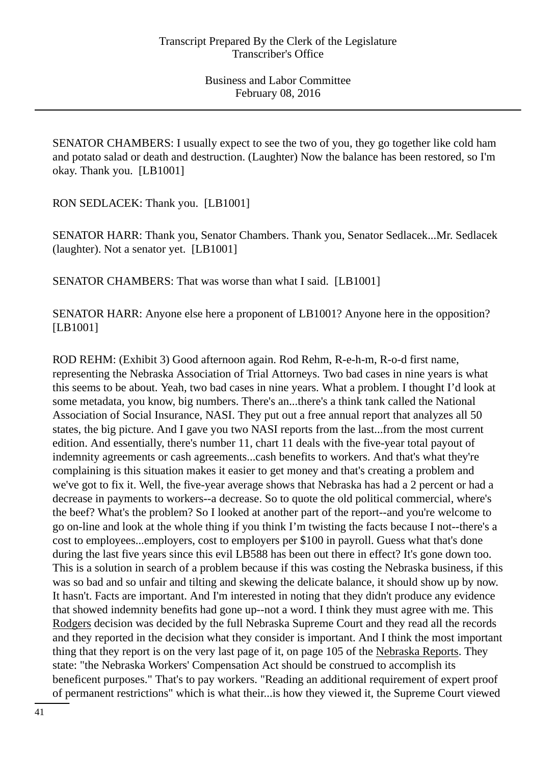SENATOR CHAMBERS: I usually expect to see the two of you, they go together like cold ham and potato salad or death and destruction. (Laughter) Now the balance has been restored, so I'm okay. Thank you. [LB1001]

RON SEDLACEK: Thank you. [LB1001]

SENATOR HARR: Thank you, Senator Chambers. Thank you, Senator Sedlacek...Mr. Sedlacek (laughter). Not a senator yet. [LB1001]

SENATOR CHAMBERS: That was worse than what I said. [LB1001]

SENATOR HARR: Anyone else here a proponent of LB1001? Anyone here in the opposition? [LB1001]

ROD REHM: (Exhibit 3) Good afternoon again. Rod Rehm, R-e-h-m, R-o-d first name, representing the Nebraska Association of Trial Attorneys. Two bad cases in nine years is what this seems to be about. Yeah, two bad cases in nine years. What a problem. I thought I'd look at some metadata, you know, big numbers. There's an...there's a think tank called the National Association of Social Insurance, NASI. They put out a free annual report that analyzes all 50 states, the big picture. And I gave you two NASI reports from the last...from the most current edition. And essentially, there's number 11, chart 11 deals with the five-year total payout of indemnity agreements or cash agreements...cash benefits to workers. And that's what they're complaining is this situation makes it easier to get money and that's creating a problem and we've got to fix it. Well, the five-year average shows that Nebraska has had a 2 percent or had a decrease in payments to workers--a decrease. So to quote the old political commercial, where's the beef? What's the problem? So I looked at another part of the report--and you're welcome to go on-line and look at the whole thing if you think I'm twisting the facts because I not--there's a cost to employees...employers, cost to employers per \$100 in payroll. Guess what that's done during the last five years since this evil LB588 has been out there in effect? It's gone down too. This is a solution in search of a problem because if this was costing the Nebraska business, if this was so bad and so unfair and tilting and skewing the delicate balance, it should show up by now. It hasn't. Facts are important. And I'm interested in noting that they didn't produce any evidence that showed indemnity benefits had gone up--not a word. I think they must agree with me. This Rodgers decision was decided by the full Nebraska Supreme Court and they read all the records and they reported in the decision what they consider is important. And I think the most important thing that they report is on the very last page of it, on page 105 of the Nebraska Reports. They state: "the Nebraska Workers' Compensation Act should be construed to accomplish its beneficent purposes." That's to pay workers. "Reading an additional requirement of expert proof of permanent restrictions" which is what their...is how they viewed it, the Supreme Court viewed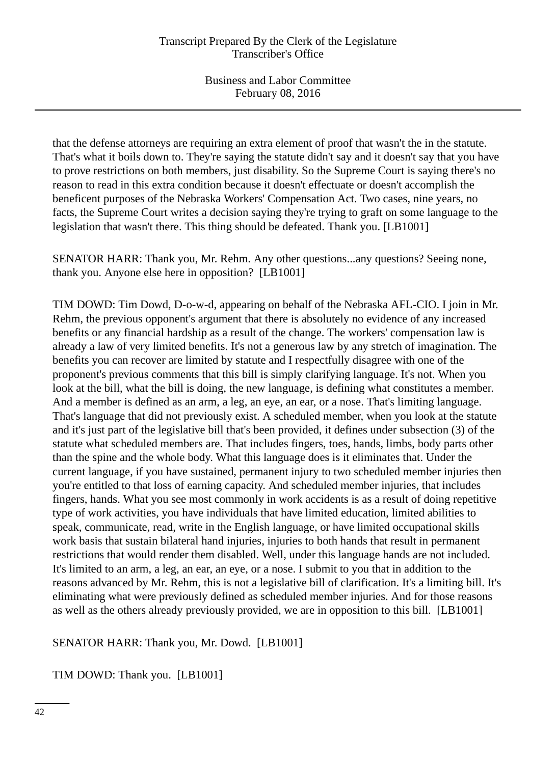that the defense attorneys are requiring an extra element of proof that wasn't the in the statute. That's what it boils down to. They're saying the statute didn't say and it doesn't say that you have to prove restrictions on both members, just disability. So the Supreme Court is saying there's no reason to read in this extra condition because it doesn't effectuate or doesn't accomplish the beneficent purposes of the Nebraska Workers' Compensation Act. Two cases, nine years, no facts, the Supreme Court writes a decision saying they're trying to graft on some language to the legislation that wasn't there. This thing should be defeated. Thank you. [LB1001]

SENATOR HARR: Thank you, Mr. Rehm. Any other questions...any questions? Seeing none, thank you. Anyone else here in opposition? [LB1001]

TIM DOWD: Tim Dowd, D-o-w-d, appearing on behalf of the Nebraska AFL-CIO. I join in Mr. Rehm, the previous opponent's argument that there is absolutely no evidence of any increased benefits or any financial hardship as a result of the change. The workers' compensation law is already a law of very limited benefits. It's not a generous law by any stretch of imagination. The benefits you can recover are limited by statute and I respectfully disagree with one of the proponent's previous comments that this bill is simply clarifying language. It's not. When you look at the bill, what the bill is doing, the new language, is defining what constitutes a member. And a member is defined as an arm, a leg, an eye, an ear, or a nose. That's limiting language. That's language that did not previously exist. A scheduled member, when you look at the statute and it's just part of the legislative bill that's been provided, it defines under subsection (3) of the statute what scheduled members are. That includes fingers, toes, hands, limbs, body parts other than the spine and the whole body. What this language does is it eliminates that. Under the current language, if you have sustained, permanent injury to two scheduled member injuries then you're entitled to that loss of earning capacity. And scheduled member injuries, that includes fingers, hands. What you see most commonly in work accidents is as a result of doing repetitive type of work activities, you have individuals that have limited education, limited abilities to speak, communicate, read, write in the English language, or have limited occupational skills work basis that sustain bilateral hand injuries, injuries to both hands that result in permanent restrictions that would render them disabled. Well, under this language hands are not included. It's limited to an arm, a leg, an ear, an eye, or a nose. I submit to you that in addition to the reasons advanced by Mr. Rehm, this is not a legislative bill of clarification. It's a limiting bill. It's eliminating what were previously defined as scheduled member injuries. And for those reasons as well as the others already previously provided, we are in opposition to this bill. [LB1001]

# SENATOR HARR: Thank you, Mr. Dowd. [LB1001]

TIM DOWD: Thank you. [LB1001]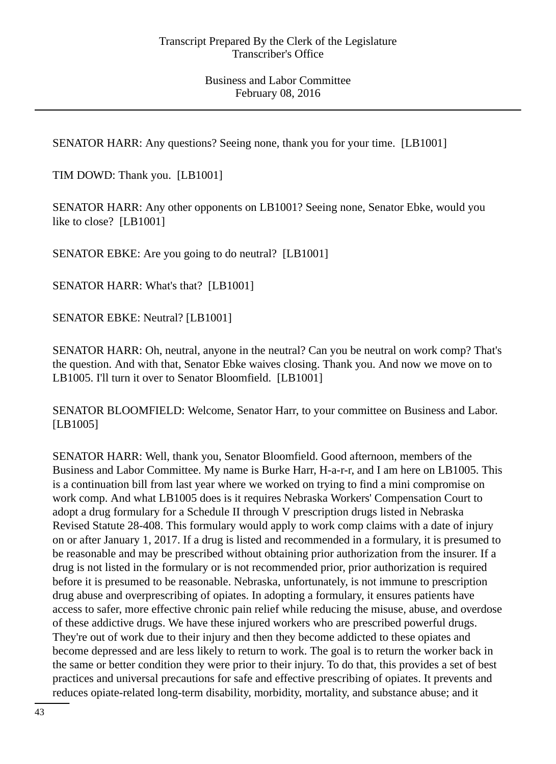SENATOR HARR: Any questions? Seeing none, thank you for your time. [LB1001]

TIM DOWD: Thank you. [LB1001]

SENATOR HARR: Any other opponents on LB1001? Seeing none, Senator Ebke, would you like to close? [LB1001]

SENATOR EBKE: Are you going to do neutral? [LB1001]

SENATOR HARR: What's that? [LB1001]

SENATOR EBKE: Neutral? [LB1001]

SENATOR HARR: Oh, neutral, anyone in the neutral? Can you be neutral on work comp? That's the question. And with that, Senator Ebke waives closing. Thank you. And now we move on to LB1005. I'll turn it over to Senator Bloomfield. [LB1001]

SENATOR BLOOMFIELD: Welcome, Senator Harr, to your committee on Business and Labor. [LB1005]

SENATOR HARR: Well, thank you, Senator Bloomfield. Good afternoon, members of the Business and Labor Committee. My name is Burke Harr, H-a-r-r, and I am here on LB1005. This is a continuation bill from last year where we worked on trying to find a mini compromise on work comp. And what LB1005 does is it requires Nebraska Workers' Compensation Court to adopt a drug formulary for a Schedule II through V prescription drugs listed in Nebraska Revised Statute 28-408. This formulary would apply to work comp claims with a date of injury on or after January 1, 2017. If a drug is listed and recommended in a formulary, it is presumed to be reasonable and may be prescribed without obtaining prior authorization from the insurer. If a drug is not listed in the formulary or is not recommended prior, prior authorization is required before it is presumed to be reasonable. Nebraska, unfortunately, is not immune to prescription drug abuse and overprescribing of opiates. In adopting a formulary, it ensures patients have access to safer, more effective chronic pain relief while reducing the misuse, abuse, and overdose of these addictive drugs. We have these injured workers who are prescribed powerful drugs. They're out of work due to their injury and then they become addicted to these opiates and become depressed and are less likely to return to work. The goal is to return the worker back in the same or better condition they were prior to their injury. To do that, this provides a set of best practices and universal precautions for safe and effective prescribing of opiates. It prevents and reduces opiate-related long-term disability, morbidity, mortality, and substance abuse; and it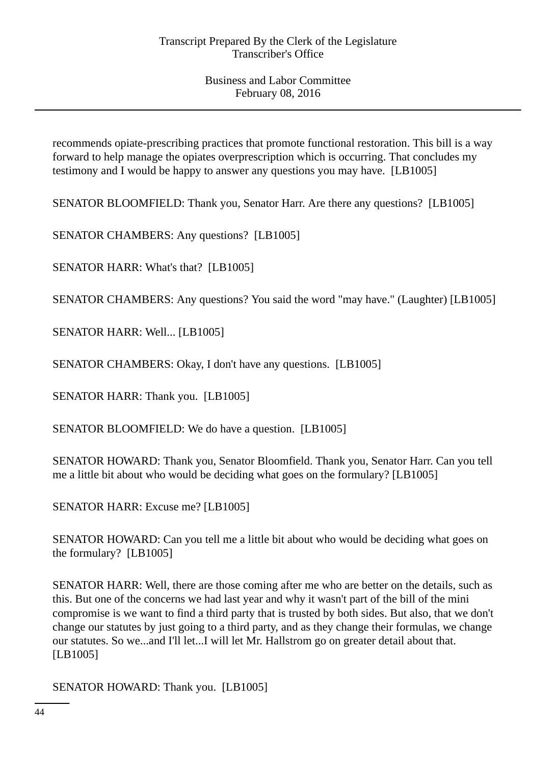recommends opiate-prescribing practices that promote functional restoration. This bill is a way forward to help manage the opiates overprescription which is occurring. That concludes my testimony and I would be happy to answer any questions you may have. [LB1005]

SENATOR BLOOMFIELD: Thank you, Senator Harr. Are there any questions? [LB1005]

SENATOR CHAMBERS: Any questions? [LB1005]

SENATOR HARR: What's that? [LB1005]

SENATOR CHAMBERS: Any questions? You said the word "may have." (Laughter) [LB1005]

SENATOR HARR: Well... [LB1005]

SENATOR CHAMBERS: Okay, I don't have any questions. [LB1005]

SENATOR HARR: Thank you. [LB1005]

SENATOR BLOOMFIELD: We do have a question. [LB1005]

SENATOR HOWARD: Thank you, Senator Bloomfield. Thank you, Senator Harr. Can you tell me a little bit about who would be deciding what goes on the formulary? [LB1005]

SENATOR HARR: Excuse me? [LB1005]

SENATOR HOWARD: Can you tell me a little bit about who would be deciding what goes on the formulary? [LB1005]

SENATOR HARR: Well, there are those coming after me who are better on the details, such as this. But one of the concerns we had last year and why it wasn't part of the bill of the mini compromise is we want to find a third party that is trusted by both sides. But also, that we don't change our statutes by just going to a third party, and as they change their formulas, we change our statutes. So we...and I'll let...I will let Mr. Hallstrom go on greater detail about that. [LB1005]

SENATOR HOWARD: Thank you. [LB1005]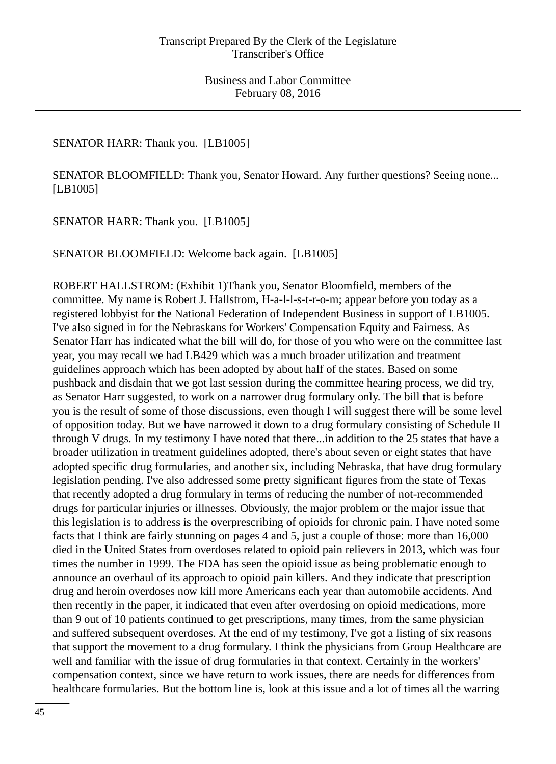## SENATOR HARR: Thank you. [LB1005]

SENATOR BLOOMFIELD: Thank you, Senator Howard. Any further questions? Seeing none... [LB1005]

SENATOR HARR: Thank you. [LB1005]

SENATOR BLOOMFIELD: Welcome back again. [LB1005]

ROBERT HALLSTROM: (Exhibit 1)Thank you, Senator Bloomfield, members of the committee. My name is Robert J. Hallstrom, H-a-l-l-s-t-r-o-m; appear before you today as a registered lobbyist for the National Federation of Independent Business in support of LB1005. I've also signed in for the Nebraskans for Workers' Compensation Equity and Fairness. As Senator Harr has indicated what the bill will do, for those of you who were on the committee last year, you may recall we had LB429 which was a much broader utilization and treatment guidelines approach which has been adopted by about half of the states. Based on some pushback and disdain that we got last session during the committee hearing process, we did try, as Senator Harr suggested, to work on a narrower drug formulary only. The bill that is before you is the result of some of those discussions, even though I will suggest there will be some level of opposition today. But we have narrowed it down to a drug formulary consisting of Schedule II through V drugs. In my testimony I have noted that there...in addition to the 25 states that have a broader utilization in treatment guidelines adopted, there's about seven or eight states that have adopted specific drug formularies, and another six, including Nebraska, that have drug formulary legislation pending. I've also addressed some pretty significant figures from the state of Texas that recently adopted a drug formulary in terms of reducing the number of not-recommended drugs for particular injuries or illnesses. Obviously, the major problem or the major issue that this legislation is to address is the overprescribing of opioids for chronic pain. I have noted some facts that I think are fairly stunning on pages 4 and 5, just a couple of those: more than 16,000 died in the United States from overdoses related to opioid pain relievers in 2013, which was four times the number in 1999. The FDA has seen the opioid issue as being problematic enough to announce an overhaul of its approach to opioid pain killers. And they indicate that prescription drug and heroin overdoses now kill more Americans each year than automobile accidents. And then recently in the paper, it indicated that even after overdosing on opioid medications, more than 9 out of 10 patients continued to get prescriptions, many times, from the same physician and suffered subsequent overdoses. At the end of my testimony, I've got a listing of six reasons that support the movement to a drug formulary. I think the physicians from Group Healthcare are well and familiar with the issue of drug formularies in that context. Certainly in the workers' compensation context, since we have return to work issues, there are needs for differences from healthcare formularies. But the bottom line is, look at this issue and a lot of times all the warring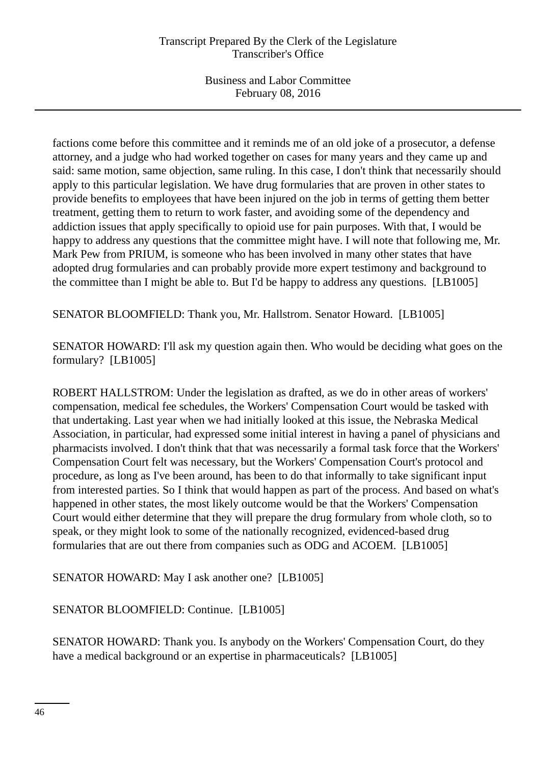factions come before this committee and it reminds me of an old joke of a prosecutor, a defense attorney, and a judge who had worked together on cases for many years and they came up and said: same motion, same objection, same ruling. In this case, I don't think that necessarily should apply to this particular legislation. We have drug formularies that are proven in other states to provide benefits to employees that have been injured on the job in terms of getting them better treatment, getting them to return to work faster, and avoiding some of the dependency and addiction issues that apply specifically to opioid use for pain purposes. With that, I would be happy to address any questions that the committee might have. I will note that following me, Mr. Mark Pew from PRIUM, is someone who has been involved in many other states that have adopted drug formularies and can probably provide more expert testimony and background to the committee than I might be able to. But I'd be happy to address any questions. [LB1005]

SENATOR BLOOMFIELD: Thank you, Mr. Hallstrom. Senator Howard. [LB1005]

SENATOR HOWARD: I'll ask my question again then. Who would be deciding what goes on the formulary? [LB1005]

ROBERT HALLSTROM: Under the legislation as drafted, as we do in other areas of workers' compensation, medical fee schedules, the Workers' Compensation Court would be tasked with that undertaking. Last year when we had initially looked at this issue, the Nebraska Medical Association, in particular, had expressed some initial interest in having a panel of physicians and pharmacists involved. I don't think that that was necessarily a formal task force that the Workers' Compensation Court felt was necessary, but the Workers' Compensation Court's protocol and procedure, as long as I've been around, has been to do that informally to take significant input from interested parties. So I think that would happen as part of the process. And based on what's happened in other states, the most likely outcome would be that the Workers' Compensation Court would either determine that they will prepare the drug formulary from whole cloth, so to speak, or they might look to some of the nationally recognized, evidenced-based drug formularies that are out there from companies such as ODG and ACOEM. [LB1005]

SENATOR HOWARD: May I ask another one? [LB1005]

SENATOR BLOOMFIELD: Continue. [LB1005]

SENATOR HOWARD: Thank you. Is anybody on the Workers' Compensation Court, do they have a medical background or an expertise in pharmaceuticals? [LB1005]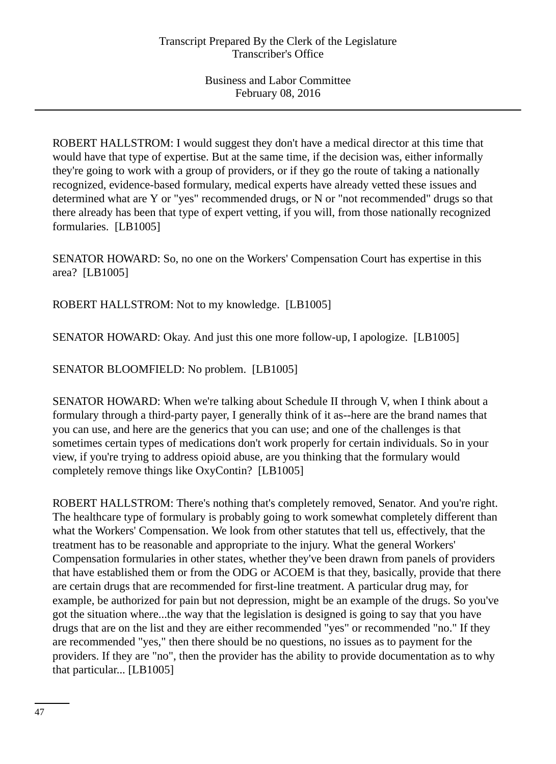ROBERT HALLSTROM: I would suggest they don't have a medical director at this time that would have that type of expertise. But at the same time, if the decision was, either informally they're going to work with a group of providers, or if they go the route of taking a nationally recognized, evidence-based formulary, medical experts have already vetted these issues and determined what are Y or "yes" recommended drugs, or N or "not recommended" drugs so that there already has been that type of expert vetting, if you will, from those nationally recognized formularies. [LB1005]

SENATOR HOWARD: So, no one on the Workers' Compensation Court has expertise in this area? [LB1005]

ROBERT HALLSTROM: Not to my knowledge. [LB1005]

SENATOR HOWARD: Okay. And just this one more follow-up, I apologize. [LB1005]

SENATOR BLOOMFIELD: No problem. [LB1005]

SENATOR HOWARD: When we're talking about Schedule II through V, when I think about a formulary through a third-party payer, I generally think of it as--here are the brand names that you can use, and here are the generics that you can use; and one of the challenges is that sometimes certain types of medications don't work properly for certain individuals. So in your view, if you're trying to address opioid abuse, are you thinking that the formulary would completely remove things like OxyContin? [LB1005]

ROBERT HALLSTROM: There's nothing that's completely removed, Senator. And you're right. The healthcare type of formulary is probably going to work somewhat completely different than what the Workers' Compensation. We look from other statutes that tell us, effectively, that the treatment has to be reasonable and appropriate to the injury. What the general Workers' Compensation formularies in other states, whether they've been drawn from panels of providers that have established them or from the ODG or ACOEM is that they, basically, provide that there are certain drugs that are recommended for first-line treatment. A particular drug may, for example, be authorized for pain but not depression, might be an example of the drugs. So you've got the situation where...the way that the legislation is designed is going to say that you have drugs that are on the list and they are either recommended "yes" or recommended "no." If they are recommended "yes," then there should be no questions, no issues as to payment for the providers. If they are "no", then the provider has the ability to provide documentation as to why that particular... [LB1005]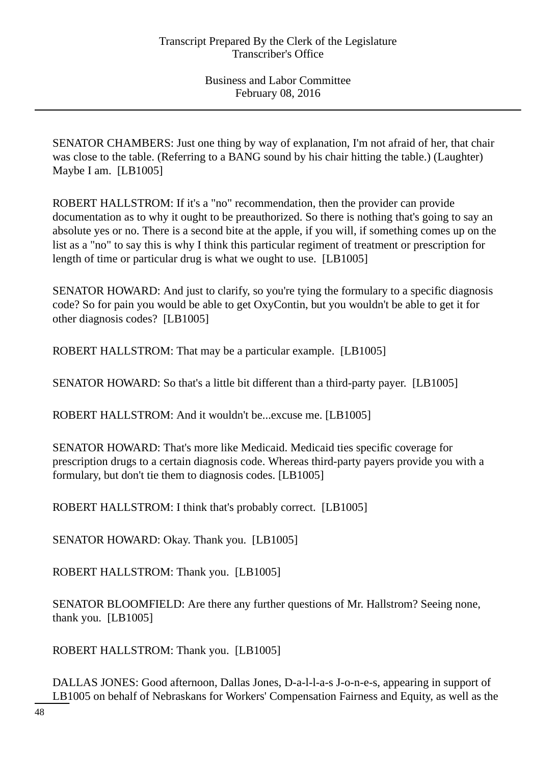SENATOR CHAMBERS: Just one thing by way of explanation, I'm not afraid of her, that chair was close to the table. (Referring to a BANG sound by his chair hitting the table.) (Laughter) Maybe I am. [LB1005]

ROBERT HALLSTROM: If it's a "no" recommendation, then the provider can provide documentation as to why it ought to be preauthorized. So there is nothing that's going to say an absolute yes or no. There is a second bite at the apple, if you will, if something comes up on the list as a "no" to say this is why I think this particular regiment of treatment or prescription for length of time or particular drug is what we ought to use. [LB1005]

SENATOR HOWARD: And just to clarify, so you're tying the formulary to a specific diagnosis code? So for pain you would be able to get OxyContin, but you wouldn't be able to get it for other diagnosis codes? [LB1005]

ROBERT HALLSTROM: That may be a particular example. [LB1005]

SENATOR HOWARD: So that's a little bit different than a third-party payer. [LB1005]

ROBERT HALLSTROM: And it wouldn't be...excuse me. [LB1005]

SENATOR HOWARD: That's more like Medicaid. Medicaid ties specific coverage for prescription drugs to a certain diagnosis code. Whereas third-party payers provide you with a formulary, but don't tie them to diagnosis codes. [LB1005]

ROBERT HALLSTROM: I think that's probably correct. [LB1005]

SENATOR HOWARD: Okay. Thank you. [LB1005]

ROBERT HALLSTROM: Thank you. [LB1005]

SENATOR BLOOMFIELD: Are there any further questions of Mr. Hallstrom? Seeing none, thank you. [LB1005]

ROBERT HALLSTROM: Thank you. [LB1005]

DALLAS JONES: Good afternoon, Dallas Jones, D-a-l-l-a-s J-o-n-e-s, appearing in support of LB1005 on behalf of Nebraskans for Workers' Compensation Fairness and Equity, as well as the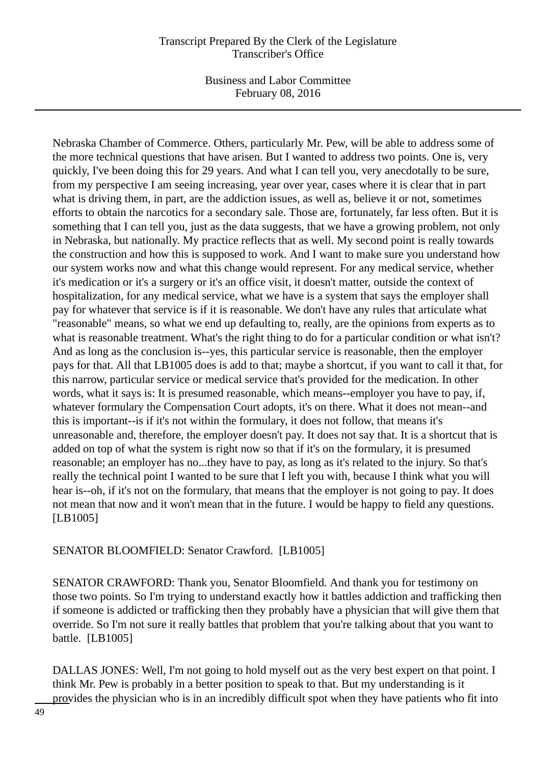Business and Labor Committee February 08, 2016

Nebraska Chamber of Commerce. Others, particularly Mr. Pew, will be able to address some of the more technical questions that have arisen. But I wanted to address two points. One is, very quickly, I've been doing this for 29 years. And what I can tell you, very anecdotally to be sure, from my perspective I am seeing increasing, year over year, cases where it is clear that in part what is driving them, in part, are the addiction issues, as well as, believe it or not, sometimes efforts to obtain the narcotics for a secondary sale. Those are, fortunately, far less often. But it is something that I can tell you, just as the data suggests, that we have a growing problem, not only in Nebraska, but nationally. My practice reflects that as well. My second point is really towards the construction and how this is supposed to work. And I want to make sure you understand how our system works now and what this change would represent. For any medical service, whether it's medication or it's a surgery or it's an office visit, it doesn't matter, outside the context of hospitalization, for any medical service, what we have is a system that says the employer shall pay for whatever that service is if it is reasonable. We don't have any rules that articulate what "reasonable" means, so what we end up defaulting to, really, are the opinions from experts as to what is reasonable treatment. What's the right thing to do for a particular condition or what isn't? And as long as the conclusion is--yes, this particular service is reasonable, then the employer pays for that. All that LB1005 does is add to that; maybe a shortcut, if you want to call it that, for this narrow, particular service or medical service that's provided for the medication. In other words, what it says is: It is presumed reasonable, which means--employer you have to pay, if, whatever formulary the Compensation Court adopts, it's on there. What it does not mean--and this is important--is if it's not within the formulary, it does not follow, that means it's unreasonable and, therefore, the employer doesn't pay. It does not say that. It is a shortcut that is added on top of what the system is right now so that if it's on the formulary, it is presumed reasonable; an employer has no...they have to pay, as long as it's related to the injury. So that's really the technical point I wanted to be sure that I left you with, because I think what you will hear is--oh, if it's not on the formulary, that means that the employer is not going to pay. It does not mean that now and it won't mean that in the future. I would be happy to field any questions. [LB1005]

## SENATOR BLOOMFIELD: Senator Crawford. [LB1005]

SENATOR CRAWFORD: Thank you, Senator Bloomfield. And thank you for testimony on those two points. So I'm trying to understand exactly how it battles addiction and trafficking then if someone is addicted or trafficking then they probably have a physician that will give them that override. So I'm not sure it really battles that problem that you're talking about that you want to battle. [LB1005]

DALLAS JONES: Well, I'm not going to hold myself out as the very best expert on that point. I think Mr. Pew is probably in a better position to speak to that. But my understanding is it provides the physician who is in an incredibly difficult spot when they have patients who fit into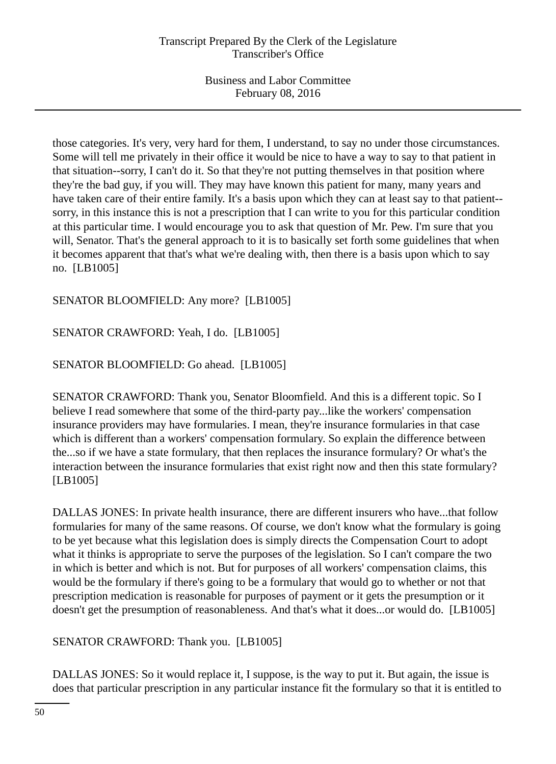those categories. It's very, very hard for them, I understand, to say no under those circumstances. Some will tell me privately in their office it would be nice to have a way to say to that patient in that situation--sorry, I can't do it. So that they're not putting themselves in that position where they're the bad guy, if you will. They may have known this patient for many, many years and have taken care of their entire family. It's a basis upon which they can at least say to that patient- sorry, in this instance this is not a prescription that I can write to you for this particular condition at this particular time. I would encourage you to ask that question of Mr. Pew. I'm sure that you will, Senator. That's the general approach to it is to basically set forth some guidelines that when it becomes apparent that that's what we're dealing with, then there is a basis upon which to say no. [LB1005]

# SENATOR BLOOMFIELD: Any more? [LB1005]

SENATOR CRAWFORD: Yeah, I do. [LB1005]

SENATOR BLOOMFIELD: Go ahead. [LB1005]

SENATOR CRAWFORD: Thank you, Senator Bloomfield. And this is a different topic. So I believe I read somewhere that some of the third-party pay...like the workers' compensation insurance providers may have formularies. I mean, they're insurance formularies in that case which is different than a workers' compensation formulary. So explain the difference between the...so if we have a state formulary, that then replaces the insurance formulary? Or what's the interaction between the insurance formularies that exist right now and then this state formulary? [LB1005]

DALLAS JONES: In private health insurance, there are different insurers who have...that follow formularies for many of the same reasons. Of course, we don't know what the formulary is going to be yet because what this legislation does is simply directs the Compensation Court to adopt what it thinks is appropriate to serve the purposes of the legislation. So I can't compare the two in which is better and which is not. But for purposes of all workers' compensation claims, this would be the formulary if there's going to be a formulary that would go to whether or not that prescription medication is reasonable for purposes of payment or it gets the presumption or it doesn't get the presumption of reasonableness. And that's what it does...or would do. [LB1005]

SENATOR CRAWFORD: Thank you. [LB1005]

DALLAS JONES: So it would replace it, I suppose, is the way to put it. But again, the issue is does that particular prescription in any particular instance fit the formulary so that it is entitled to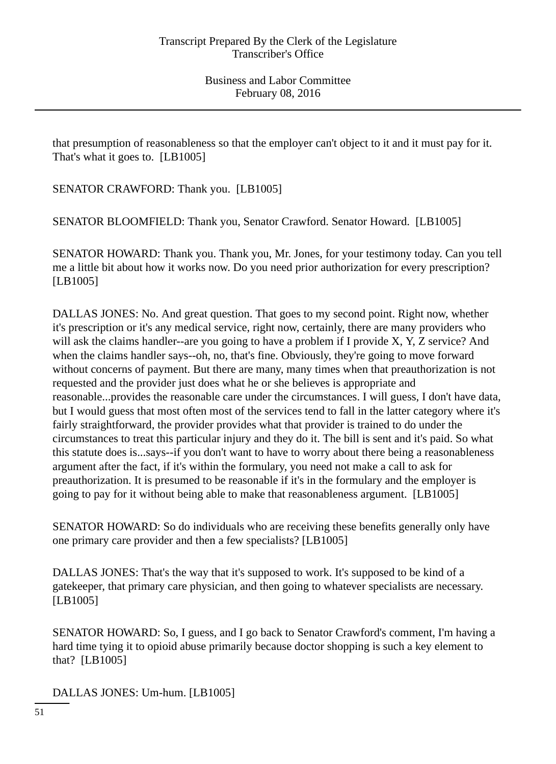that presumption of reasonableness so that the employer can't object to it and it must pay for it. That's what it goes to. [LB1005]

SENATOR CRAWFORD: Thank you. [LB1005]

SENATOR BLOOMFIELD: Thank you, Senator Crawford. Senator Howard. [LB1005]

SENATOR HOWARD: Thank you. Thank you, Mr. Jones, for your testimony today. Can you tell me a little bit about how it works now. Do you need prior authorization for every prescription? [LB1005]

DALLAS JONES: No. And great question. That goes to my second point. Right now, whether it's prescription or it's any medical service, right now, certainly, there are many providers who will ask the claims handler--are you going to have a problem if I provide X, Y, Z service? And when the claims handler says--oh, no, that's fine. Obviously, they're going to move forward without concerns of payment. But there are many, many times when that preauthorization is not requested and the provider just does what he or she believes is appropriate and reasonable...provides the reasonable care under the circumstances. I will guess, I don't have data, but I would guess that most often most of the services tend to fall in the latter category where it's fairly straightforward, the provider provides what that provider is trained to do under the circumstances to treat this particular injury and they do it. The bill is sent and it's paid. So what this statute does is...says--if you don't want to have to worry about there being a reasonableness argument after the fact, if it's within the formulary, you need not make a call to ask for preauthorization. It is presumed to be reasonable if it's in the formulary and the employer is going to pay for it without being able to make that reasonableness argument. [LB1005]

SENATOR HOWARD: So do individuals who are receiving these benefits generally only have one primary care provider and then a few specialists? [LB1005]

DALLAS JONES: That's the way that it's supposed to work. It's supposed to be kind of a gatekeeper, that primary care physician, and then going to whatever specialists are necessary. [LB1005]

SENATOR HOWARD: So, I guess, and I go back to Senator Crawford's comment, I'm having a hard time tying it to opioid abuse primarily because doctor shopping is such a key element to that? [LB1005]

DALLAS JONES: Um-hum. [LB1005]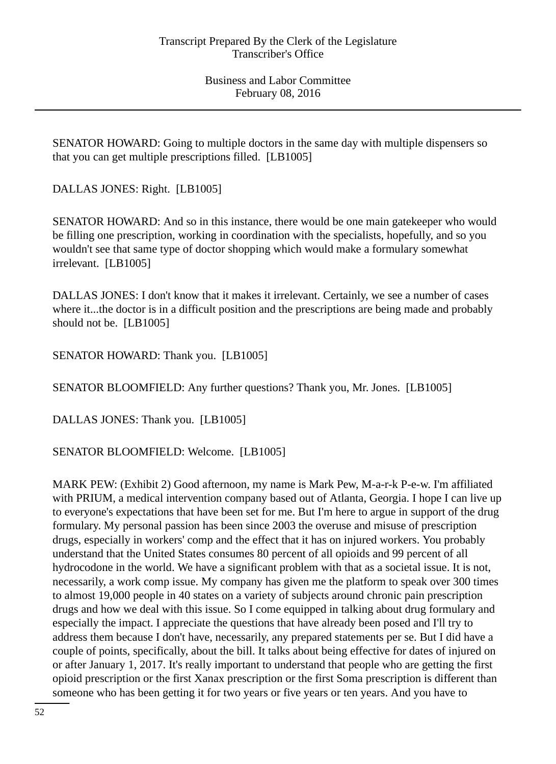SENATOR HOWARD: Going to multiple doctors in the same day with multiple dispensers so that you can get multiple prescriptions filled. [LB1005]

DALLAS JONES: Right. [LB1005]

SENATOR HOWARD: And so in this instance, there would be one main gatekeeper who would be filling one prescription, working in coordination with the specialists, hopefully, and so you wouldn't see that same type of doctor shopping which would make a formulary somewhat irrelevant. [LB1005]

DALLAS JONES: I don't know that it makes it irrelevant. Certainly, we see a number of cases where it...the doctor is in a difficult position and the prescriptions are being made and probably should not be. [LB1005]

SENATOR HOWARD: Thank you. [LB1005]

SENATOR BLOOMFIELD: Any further questions? Thank you, Mr. Jones. [LB1005]

DALLAS JONES: Thank you. [LB1005]

SENATOR BLOOMFIELD: Welcome. [LB1005]

MARK PEW: (Exhibit 2) Good afternoon, my name is Mark Pew, M-a-r-k P-e-w. I'm affiliated with PRIUM, a medical intervention company based out of Atlanta, Georgia. I hope I can live up to everyone's expectations that have been set for me. But I'm here to argue in support of the drug formulary. My personal passion has been since 2003 the overuse and misuse of prescription drugs, especially in workers' comp and the effect that it has on injured workers. You probably understand that the United States consumes 80 percent of all opioids and 99 percent of all hydrocodone in the world. We have a significant problem with that as a societal issue. It is not, necessarily, a work comp issue. My company has given me the platform to speak over 300 times to almost 19,000 people in 40 states on a variety of subjects around chronic pain prescription drugs and how we deal with this issue. So I come equipped in talking about drug formulary and especially the impact. I appreciate the questions that have already been posed and I'll try to address them because I don't have, necessarily, any prepared statements per se. But I did have a couple of points, specifically, about the bill. It talks about being effective for dates of injured on or after January 1, 2017. It's really important to understand that people who are getting the first opioid prescription or the first Xanax prescription or the first Soma prescription is different than someone who has been getting it for two years or five years or ten years. And you have to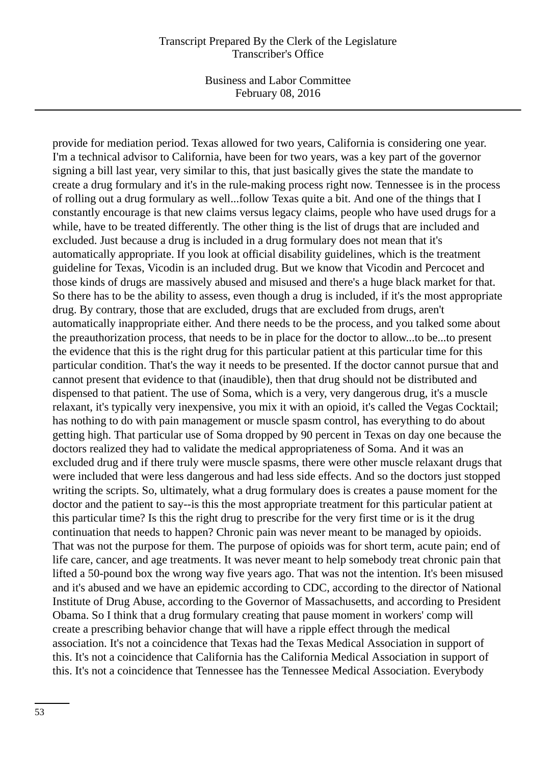Business and Labor Committee February 08, 2016

provide for mediation period. Texas allowed for two years, California is considering one year. I'm a technical advisor to California, have been for two years, was a key part of the governor signing a bill last year, very similar to this, that just basically gives the state the mandate to create a drug formulary and it's in the rule-making process right now. Tennessee is in the process of rolling out a drug formulary as well...follow Texas quite a bit. And one of the things that I constantly encourage is that new claims versus legacy claims, people who have used drugs for a while, have to be treated differently. The other thing is the list of drugs that are included and excluded. Just because a drug is included in a drug formulary does not mean that it's automatically appropriate. If you look at official disability guidelines, which is the treatment guideline for Texas, Vicodin is an included drug. But we know that Vicodin and Percocet and those kinds of drugs are massively abused and misused and there's a huge black market for that. So there has to be the ability to assess, even though a drug is included, if it's the most appropriate drug. By contrary, those that are excluded, drugs that are excluded from drugs, aren't automatically inappropriate either. And there needs to be the process, and you talked some about the preauthorization process, that needs to be in place for the doctor to allow...to be...to present the evidence that this is the right drug for this particular patient at this particular time for this particular condition. That's the way it needs to be presented. If the doctor cannot pursue that and cannot present that evidence to that (inaudible), then that drug should not be distributed and dispensed to that patient. The use of Soma, which is a very, very dangerous drug, it's a muscle relaxant, it's typically very inexpensive, you mix it with an opioid, it's called the Vegas Cocktail; has nothing to do with pain management or muscle spasm control, has everything to do about getting high. That particular use of Soma dropped by 90 percent in Texas on day one because the doctors realized they had to validate the medical appropriateness of Soma. And it was an excluded drug and if there truly were muscle spasms, there were other muscle relaxant drugs that were included that were less dangerous and had less side effects. And so the doctors just stopped writing the scripts. So, ultimately, what a drug formulary does is creates a pause moment for the doctor and the patient to say--is this the most appropriate treatment for this particular patient at this particular time? Is this the right drug to prescribe for the very first time or is it the drug continuation that needs to happen? Chronic pain was never meant to be managed by opioids. That was not the purpose for them. The purpose of opioids was for short term, acute pain; end of life care, cancer, and age treatments. It was never meant to help somebody treat chronic pain that lifted a 50-pound box the wrong way five years ago. That was not the intention. It's been misused and it's abused and we have an epidemic according to CDC, according to the director of National Institute of Drug Abuse, according to the Governor of Massachusetts, and according to President Obama. So I think that a drug formulary creating that pause moment in workers' comp will create a prescribing behavior change that will have a ripple effect through the medical association. It's not a coincidence that Texas had the Texas Medical Association in support of this. It's not a coincidence that California has the California Medical Association in support of this. It's not a coincidence that Tennessee has the Tennessee Medical Association. Everybody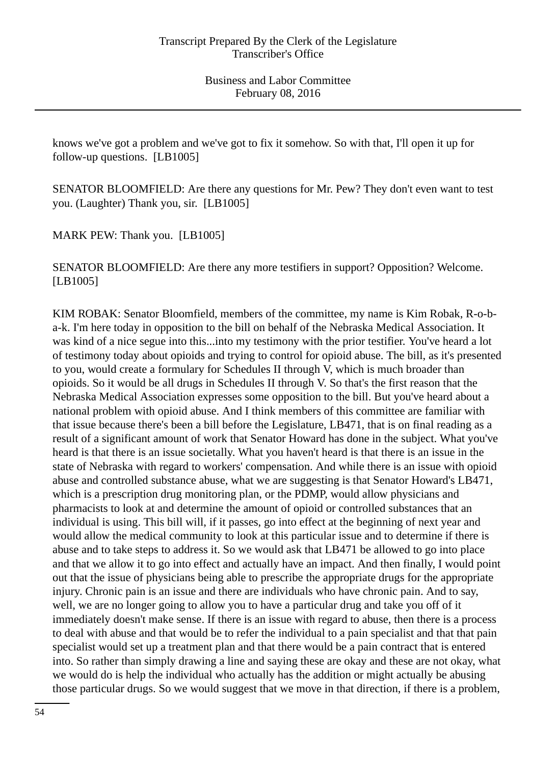knows we've got a problem and we've got to fix it somehow. So with that, I'll open it up for follow-up questions. [LB1005]

SENATOR BLOOMFIELD: Are there any questions for Mr. Pew? They don't even want to test you. (Laughter) Thank you, sir. [LB1005]

MARK PEW: Thank you. [LB1005]

SENATOR BLOOMFIELD: Are there any more testifiers in support? Opposition? Welcome. [LB1005]

KIM ROBAK: Senator Bloomfield, members of the committee, my name is Kim Robak, R-o-ba-k. I'm here today in opposition to the bill on behalf of the Nebraska Medical Association. It was kind of a nice segue into this...into my testimony with the prior testifier. You've heard a lot of testimony today about opioids and trying to control for opioid abuse. The bill, as it's presented to you, would create a formulary for Schedules II through V, which is much broader than opioids. So it would be all drugs in Schedules II through V. So that's the first reason that the Nebraska Medical Association expresses some opposition to the bill. But you've heard about a national problem with opioid abuse. And I think members of this committee are familiar with that issue because there's been a bill before the Legislature, LB471, that is on final reading as a result of a significant amount of work that Senator Howard has done in the subject. What you've heard is that there is an issue societally. What you haven't heard is that there is an issue in the state of Nebraska with regard to workers' compensation. And while there is an issue with opioid abuse and controlled substance abuse, what we are suggesting is that Senator Howard's LB471, which is a prescription drug monitoring plan, or the PDMP, would allow physicians and pharmacists to look at and determine the amount of opioid or controlled substances that an individual is using. This bill will, if it passes, go into effect at the beginning of next year and would allow the medical community to look at this particular issue and to determine if there is abuse and to take steps to address it. So we would ask that LB471 be allowed to go into place and that we allow it to go into effect and actually have an impact. And then finally, I would point out that the issue of physicians being able to prescribe the appropriate drugs for the appropriate injury. Chronic pain is an issue and there are individuals who have chronic pain. And to say, well, we are no longer going to allow you to have a particular drug and take you off of it immediately doesn't make sense. If there is an issue with regard to abuse, then there is a process to deal with abuse and that would be to refer the individual to a pain specialist and that that pain specialist would set up a treatment plan and that there would be a pain contract that is entered into. So rather than simply drawing a line and saying these are okay and these are not okay, what we would do is help the individual who actually has the addition or might actually be abusing those particular drugs. So we would suggest that we move in that direction, if there is a problem,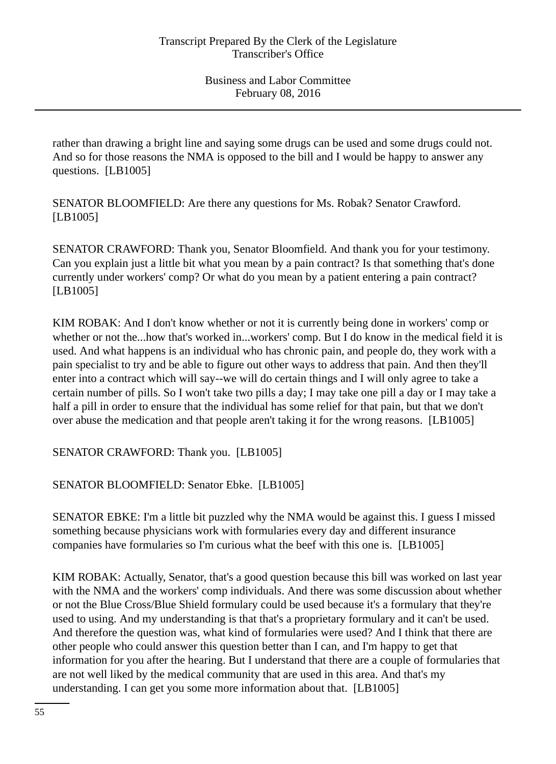rather than drawing a bright line and saying some drugs can be used and some drugs could not. And so for those reasons the NMA is opposed to the bill and I would be happy to answer any questions. [LB1005]

SENATOR BLOOMFIELD: Are there any questions for Ms. Robak? Senator Crawford. [LB1005]

SENATOR CRAWFORD: Thank you, Senator Bloomfield. And thank you for your testimony. Can you explain just a little bit what you mean by a pain contract? Is that something that's done currently under workers' comp? Or what do you mean by a patient entering a pain contract? [LB1005]

KIM ROBAK: And I don't know whether or not it is currently being done in workers' comp or whether or not the...how that's worked in...workers' comp. But I do know in the medical field it is used. And what happens is an individual who has chronic pain, and people do, they work with a pain specialist to try and be able to figure out other ways to address that pain. And then they'll enter into a contract which will say--we will do certain things and I will only agree to take a certain number of pills. So I won't take two pills a day; I may take one pill a day or I may take a half a pill in order to ensure that the individual has some relief for that pain, but that we don't over abuse the medication and that people aren't taking it for the wrong reasons. [LB1005]

SENATOR CRAWFORD: Thank you. [LB1005]

SENATOR BLOOMFIELD: Senator Ebke. [LB1005]

SENATOR EBKE: I'm a little bit puzzled why the NMA would be against this. I guess I missed something because physicians work with formularies every day and different insurance companies have formularies so I'm curious what the beef with this one is. [LB1005]

KIM ROBAK: Actually, Senator, that's a good question because this bill was worked on last year with the NMA and the workers' comp individuals. And there was some discussion about whether or not the Blue Cross/Blue Shield formulary could be used because it's a formulary that they're used to using. And my understanding is that that's a proprietary formulary and it can't be used. And therefore the question was, what kind of formularies were used? And I think that there are other people who could answer this question better than I can, and I'm happy to get that information for you after the hearing. But I understand that there are a couple of formularies that are not well liked by the medical community that are used in this area. And that's my understanding. I can get you some more information about that. [LB1005]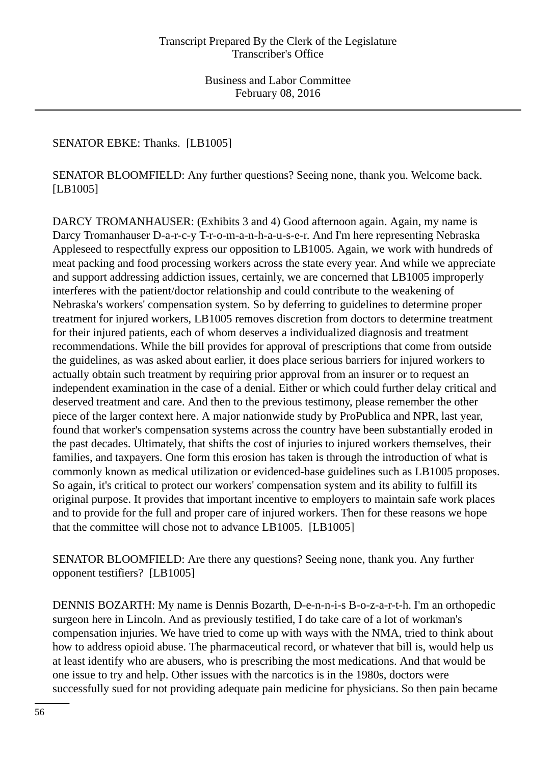# SENATOR EBKE: Thanks. [LB1005]

SENATOR BLOOMFIELD: Any further questions? Seeing none, thank you. Welcome back. [LB1005]

DARCY TROMANHAUSER: (Exhibits 3 and 4) Good afternoon again. Again, my name is Darcy Tromanhauser D-a-r-c-y T-r-o-m-a-n-h-a-u-s-e-r. And I'm here representing Nebraska Appleseed to respectfully express our opposition to LB1005. Again, we work with hundreds of meat packing and food processing workers across the state every year. And while we appreciate and support addressing addiction issues, certainly, we are concerned that LB1005 improperly interferes with the patient/doctor relationship and could contribute to the weakening of Nebraska's workers' compensation system. So by deferring to guidelines to determine proper treatment for injured workers, LB1005 removes discretion from doctors to determine treatment for their injured patients, each of whom deserves a individualized diagnosis and treatment recommendations. While the bill provides for approval of prescriptions that come from outside the guidelines, as was asked about earlier, it does place serious barriers for injured workers to actually obtain such treatment by requiring prior approval from an insurer or to request an independent examination in the case of a denial. Either or which could further delay critical and deserved treatment and care. And then to the previous testimony, please remember the other piece of the larger context here. A major nationwide study by ProPublica and NPR, last year, found that worker's compensation systems across the country have been substantially eroded in the past decades. Ultimately, that shifts the cost of injuries to injured workers themselves, their families, and taxpayers. One form this erosion has taken is through the introduction of what is commonly known as medical utilization or evidenced-base guidelines such as LB1005 proposes. So again, it's critical to protect our workers' compensation system and its ability to fulfill its original purpose. It provides that important incentive to employers to maintain safe work places and to provide for the full and proper care of injured workers. Then for these reasons we hope that the committee will chose not to advance LB1005. [LB1005]

SENATOR BLOOMFIELD: Are there any questions? Seeing none, thank you. Any further opponent testifiers? [LB1005]

DENNIS BOZARTH: My name is Dennis Bozarth, D-e-n-n-i-s B-o-z-a-r-t-h. I'm an orthopedic surgeon here in Lincoln. And as previously testified, I do take care of a lot of workman's compensation injuries. We have tried to come up with ways with the NMA, tried to think about how to address opioid abuse. The pharmaceutical record, or whatever that bill is, would help us at least identify who are abusers, who is prescribing the most medications. And that would be one issue to try and help. Other issues with the narcotics is in the 1980s, doctors were successfully sued for not providing adequate pain medicine for physicians. So then pain became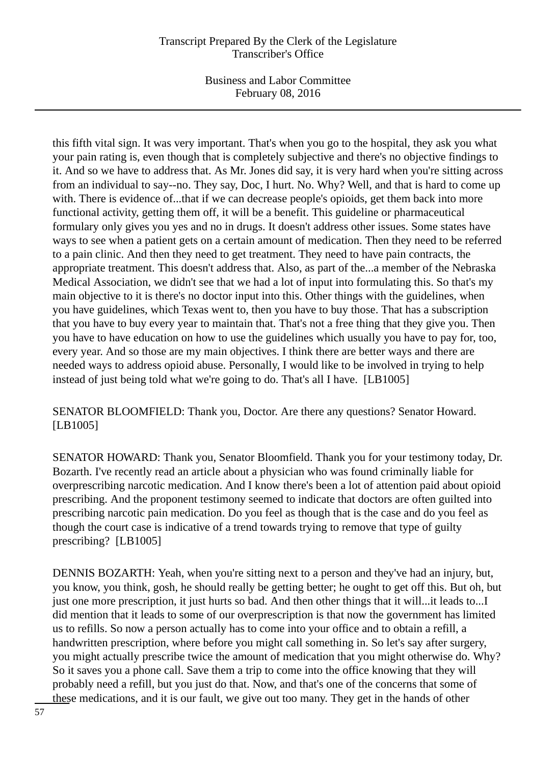Business and Labor Committee February 08, 2016

this fifth vital sign. It was very important. That's when you go to the hospital, they ask you what your pain rating is, even though that is completely subjective and there's no objective findings to it. And so we have to address that. As Mr. Jones did say, it is very hard when you're sitting across from an individual to say--no. They say, Doc, I hurt. No. Why? Well, and that is hard to come up with. There is evidence of...that if we can decrease people's opioids, get them back into more functional activity, getting them off, it will be a benefit. This guideline or pharmaceutical formulary only gives you yes and no in drugs. It doesn't address other issues. Some states have ways to see when a patient gets on a certain amount of medication. Then they need to be referred to a pain clinic. And then they need to get treatment. They need to have pain contracts, the appropriate treatment. This doesn't address that. Also, as part of the...a member of the Nebraska Medical Association, we didn't see that we had a lot of input into formulating this. So that's my main objective to it is there's no doctor input into this. Other things with the guidelines, when you have guidelines, which Texas went to, then you have to buy those. That has a subscription that you have to buy every year to maintain that. That's not a free thing that they give you. Then you have to have education on how to use the guidelines which usually you have to pay for, too, every year. And so those are my main objectives. I think there are better ways and there are needed ways to address opioid abuse. Personally, I would like to be involved in trying to help instead of just being told what we're going to do. That's all I have. [LB1005]

SENATOR BLOOMFIELD: Thank you, Doctor. Are there any questions? Senator Howard. [LB1005]

SENATOR HOWARD: Thank you, Senator Bloomfield. Thank you for your testimony today, Dr. Bozarth. I've recently read an article about a physician who was found criminally liable for overprescribing narcotic medication. And I know there's been a lot of attention paid about opioid prescribing. And the proponent testimony seemed to indicate that doctors are often guilted into prescribing narcotic pain medication. Do you feel as though that is the case and do you feel as though the court case is indicative of a trend towards trying to remove that type of guilty prescribing? [LB1005]

DENNIS BOZARTH: Yeah, when you're sitting next to a person and they've had an injury, but, you know, you think, gosh, he should really be getting better; he ought to get off this. But oh, but just one more prescription, it just hurts so bad. And then other things that it will...it leads to...I did mention that it leads to some of our overprescription is that now the government has limited us to refills. So now a person actually has to come into your office and to obtain a refill, a handwritten prescription, where before you might call something in. So let's say after surgery, you might actually prescribe twice the amount of medication that you might otherwise do. Why? So it saves you a phone call. Save them a trip to come into the office knowing that they will probably need a refill, but you just do that. Now, and that's one of the concerns that some of these medications, and it is our fault, we give out too many. They get in the hands of other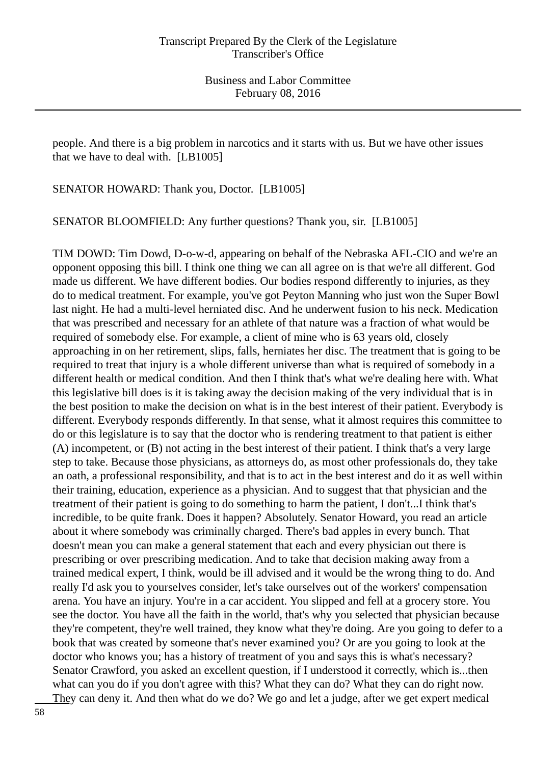people. And there is a big problem in narcotics and it starts with us. But we have other issues that we have to deal with. [LB1005]

SENATOR HOWARD: Thank you, Doctor. [LB1005]

SENATOR BLOOMFIELD: Any further questions? Thank you, sir. [LB1005]

TIM DOWD: Tim Dowd, D-o-w-d, appearing on behalf of the Nebraska AFL-CIO and we're an opponent opposing this bill. I think one thing we can all agree on is that we're all different. God made us different. We have different bodies. Our bodies respond differently to injuries, as they do to medical treatment. For example, you've got Peyton Manning who just won the Super Bowl last night. He had a multi-level herniated disc. And he underwent fusion to his neck. Medication that was prescribed and necessary for an athlete of that nature was a fraction of what would be required of somebody else. For example, a client of mine who is 63 years old, closely approaching in on her retirement, slips, falls, herniates her disc. The treatment that is going to be required to treat that injury is a whole different universe than what is required of somebody in a different health or medical condition. And then I think that's what we're dealing here with. What this legislative bill does is it is taking away the decision making of the very individual that is in the best position to make the decision on what is in the best interest of their patient. Everybody is different. Everybody responds differently. In that sense, what it almost requires this committee to do or this legislature is to say that the doctor who is rendering treatment to that patient is either (A) incompetent, or (B) not acting in the best interest of their patient. I think that's a very large step to take. Because those physicians, as attorneys do, as most other professionals do, they take an oath, a professional responsibility, and that is to act in the best interest and do it as well within their training, education, experience as a physician. And to suggest that that physician and the treatment of their patient is going to do something to harm the patient, I don't...I think that's incredible, to be quite frank. Does it happen? Absolutely. Senator Howard, you read an article about it where somebody was criminally charged. There's bad apples in every bunch. That doesn't mean you can make a general statement that each and every physician out there is prescribing or over prescribing medication. And to take that decision making away from a trained medical expert, I think, would be ill advised and it would be the wrong thing to do. And really I'd ask you to yourselves consider, let's take ourselves out of the workers' compensation arena. You have an injury. You're in a car accident. You slipped and fell at a grocery store. You see the doctor. You have all the faith in the world, that's why you selected that physician because they're competent, they're well trained, they know what they're doing. Are you going to defer to a book that was created by someone that's never examined you? Or are you going to look at the doctor who knows you; has a history of treatment of you and says this is what's necessary? Senator Crawford, you asked an excellent question, if I understood it correctly, which is...then what can you do if you don't agree with this? What they can do? What they can do right now. They can deny it. And then what do we do? We go and let a judge, after we get expert medical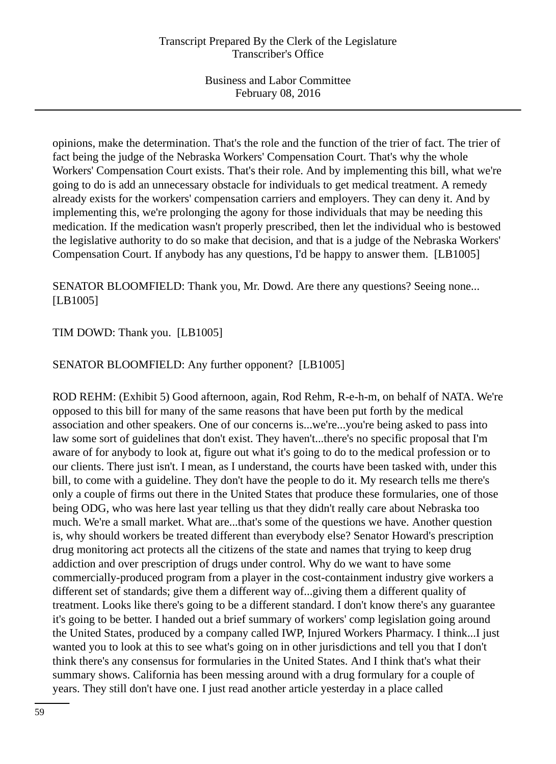opinions, make the determination. That's the role and the function of the trier of fact. The trier of fact being the judge of the Nebraska Workers' Compensation Court. That's why the whole Workers' Compensation Court exists. That's their role. And by implementing this bill, what we're going to do is add an unnecessary obstacle for individuals to get medical treatment. A remedy already exists for the workers' compensation carriers and employers. They can deny it. And by implementing this, we're prolonging the agony for those individuals that may be needing this medication. If the medication wasn't properly prescribed, then let the individual who is bestowed the legislative authority to do so make that decision, and that is a judge of the Nebraska Workers' Compensation Court. If anybody has any questions, I'd be happy to answer them. [LB1005]

SENATOR BLOOMFIELD: Thank you, Mr. Dowd. Are there any questions? Seeing none... [LB1005]

# TIM DOWD: Thank you. [LB1005]

# SENATOR BLOOMFIELD: Any further opponent? [LB1005]

ROD REHM: (Exhibit 5) Good afternoon, again, Rod Rehm, R-e-h-m, on behalf of NATA. We're opposed to this bill for many of the same reasons that have been put forth by the medical association and other speakers. One of our concerns is...we're...you're being asked to pass into law some sort of guidelines that don't exist. They haven't...there's no specific proposal that I'm aware of for anybody to look at, figure out what it's going to do to the medical profession or to our clients. There just isn't. I mean, as I understand, the courts have been tasked with, under this bill, to come with a guideline. They don't have the people to do it. My research tells me there's only a couple of firms out there in the United States that produce these formularies, one of those being ODG, who was here last year telling us that they didn't really care about Nebraska too much. We're a small market. What are...that's some of the questions we have. Another question is, why should workers be treated different than everybody else? Senator Howard's prescription drug monitoring act protects all the citizens of the state and names that trying to keep drug addiction and over prescription of drugs under control. Why do we want to have some commercially-produced program from a player in the cost-containment industry give workers a different set of standards; give them a different way of...giving them a different quality of treatment. Looks like there's going to be a different standard. I don't know there's any guarantee it's going to be better. I handed out a brief summary of workers' comp legislation going around the United States, produced by a company called IWP, Injured Workers Pharmacy. I think...I just wanted you to look at this to see what's going on in other jurisdictions and tell you that I don't think there's any consensus for formularies in the United States. And I think that's what their summary shows. California has been messing around with a drug formulary for a couple of years. They still don't have one. I just read another article yesterday in a place called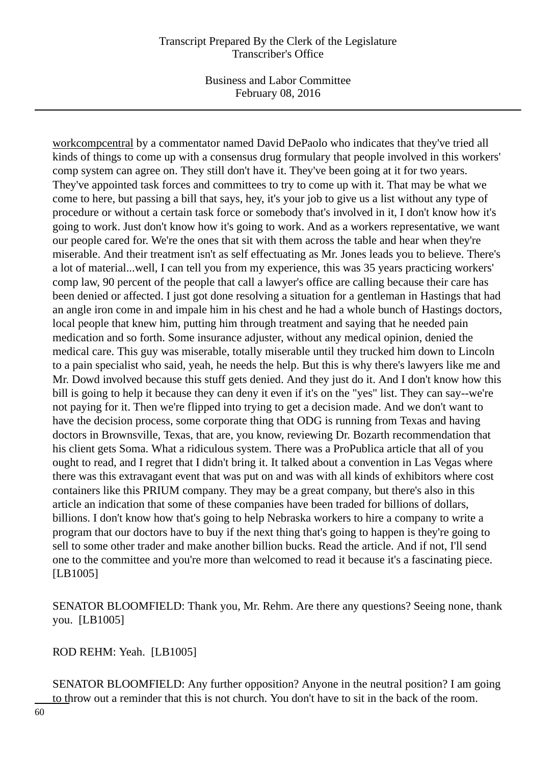Business and Labor Committee February 08, 2016

workcompcentral by a commentator named David DePaolo who indicates that they've tried all kinds of things to come up with a consensus drug formulary that people involved in this workers' comp system can agree on. They still don't have it. They've been going at it for two years. They've appointed task forces and committees to try to come up with it. That may be what we come to here, but passing a bill that says, hey, it's your job to give us a list without any type of procedure or without a certain task force or somebody that's involved in it, I don't know how it's going to work. Just don't know how it's going to work. And as a workers representative, we want our people cared for. We're the ones that sit with them across the table and hear when they're miserable. And their treatment isn't as self effectuating as Mr. Jones leads you to believe. There's a lot of material...well, I can tell you from my experience, this was 35 years practicing workers' comp law, 90 percent of the people that call a lawyer's office are calling because their care has been denied or affected. I just got done resolving a situation for a gentleman in Hastings that had an angle iron come in and impale him in his chest and he had a whole bunch of Hastings doctors, local people that knew him, putting him through treatment and saying that he needed pain medication and so forth. Some insurance adjuster, without any medical opinion, denied the medical care. This guy was miserable, totally miserable until they trucked him down to Lincoln to a pain specialist who said, yeah, he needs the help. But this is why there's lawyers like me and Mr. Dowd involved because this stuff gets denied. And they just do it. And I don't know how this bill is going to help it because they can deny it even if it's on the "yes" list. They can say--we're not paying for it. Then we're flipped into trying to get a decision made. And we don't want to have the decision process, some corporate thing that ODG is running from Texas and having doctors in Brownsville, Texas, that are, you know, reviewing Dr. Bozarth recommendation that his client gets Soma. What a ridiculous system. There was a ProPublica article that all of you ought to read, and I regret that I didn't bring it. It talked about a convention in Las Vegas where there was this extravagant event that was put on and was with all kinds of exhibitors where cost containers like this PRIUM company. They may be a great company, but there's also in this article an indication that some of these companies have been traded for billions of dollars, billions. I don't know how that's going to help Nebraska workers to hire a company to write a program that our doctors have to buy if the next thing that's going to happen is they're going to sell to some other trader and make another billion bucks. Read the article. And if not, I'll send one to the committee and you're more than welcomed to read it because it's a fascinating piece. [LB1005]

SENATOR BLOOMFIELD: Thank you, Mr. Rehm. Are there any questions? Seeing none, thank you. [LB1005]

ROD REHM: Yeah. [LB1005]

SENATOR BLOOMFIELD: Any further opposition? Anyone in the neutral position? I am going to throw out a reminder that this is not church. You don't have to sit in the back of the room.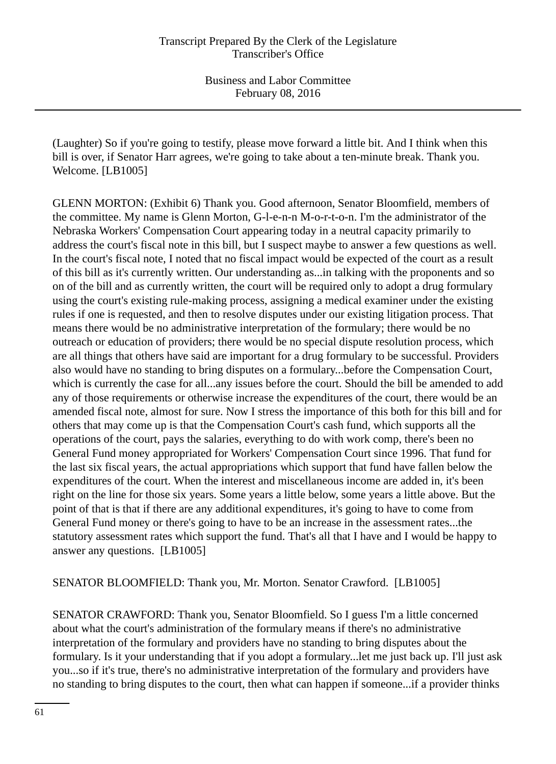(Laughter) So if you're going to testify, please move forward a little bit. And I think when this bill is over, if Senator Harr agrees, we're going to take about a ten-minute break. Thank you. Welcome. [LB1005]

GLENN MORTON: (Exhibit 6) Thank you. Good afternoon, Senator Bloomfield, members of the committee. My name is Glenn Morton, G-l-e-n-n M-o-r-t-o-n. I'm the administrator of the Nebraska Workers' Compensation Court appearing today in a neutral capacity primarily to address the court's fiscal note in this bill, but I suspect maybe to answer a few questions as well. In the court's fiscal note, I noted that no fiscal impact would be expected of the court as a result of this bill as it's currently written. Our understanding as...in talking with the proponents and so on of the bill and as currently written, the court will be required only to adopt a drug formulary using the court's existing rule-making process, assigning a medical examiner under the existing rules if one is requested, and then to resolve disputes under our existing litigation process. That means there would be no administrative interpretation of the formulary; there would be no outreach or education of providers; there would be no special dispute resolution process, which are all things that others have said are important for a drug formulary to be successful. Providers also would have no standing to bring disputes on a formulary...before the Compensation Court, which is currently the case for all...any issues before the court. Should the bill be amended to add any of those requirements or otherwise increase the expenditures of the court, there would be an amended fiscal note, almost for sure. Now I stress the importance of this both for this bill and for others that may come up is that the Compensation Court's cash fund, which supports all the operations of the court, pays the salaries, everything to do with work comp, there's been no General Fund money appropriated for Workers' Compensation Court since 1996. That fund for the last six fiscal years, the actual appropriations which support that fund have fallen below the expenditures of the court. When the interest and miscellaneous income are added in, it's been right on the line for those six years. Some years a little below, some years a little above. But the point of that is that if there are any additional expenditures, it's going to have to come from General Fund money or there's going to have to be an increase in the assessment rates...the statutory assessment rates which support the fund. That's all that I have and I would be happy to answer any questions. [LB1005]

# SENATOR BLOOMFIELD: Thank you, Mr. Morton. Senator Crawford. [LB1005]

SENATOR CRAWFORD: Thank you, Senator Bloomfield. So I guess I'm a little concerned about what the court's administration of the formulary means if there's no administrative interpretation of the formulary and providers have no standing to bring disputes about the formulary. Is it your understanding that if you adopt a formulary...let me just back up. I'll just ask you...so if it's true, there's no administrative interpretation of the formulary and providers have no standing to bring disputes to the court, then what can happen if someone...if a provider thinks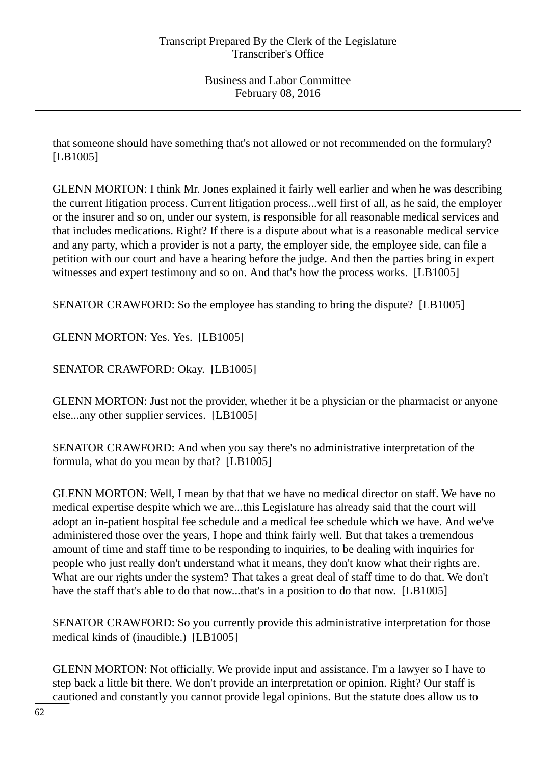that someone should have something that's not allowed or not recommended on the formulary? [LB1005]

GLENN MORTON: I think Mr. Jones explained it fairly well earlier and when he was describing the current litigation process. Current litigation process...well first of all, as he said, the employer or the insurer and so on, under our system, is responsible for all reasonable medical services and that includes medications. Right? If there is a dispute about what is a reasonable medical service and any party, which a provider is not a party, the employer side, the employee side, can file a petition with our court and have a hearing before the judge. And then the parties bring in expert witnesses and expert testimony and so on. And that's how the process works. [LB1005]

SENATOR CRAWFORD: So the employee has standing to bring the dispute? [LB1005]

GLENN MORTON: Yes. Yes. [LB1005]

SENATOR CRAWFORD: Okay. [LB1005]

GLENN MORTON: Just not the provider, whether it be a physician or the pharmacist or anyone else...any other supplier services. [LB1005]

SENATOR CRAWFORD: And when you say there's no administrative interpretation of the formula, what do you mean by that? [LB1005]

GLENN MORTON: Well, I mean by that that we have no medical director on staff. We have no medical expertise despite which we are...this Legislature has already said that the court will adopt an in-patient hospital fee schedule and a medical fee schedule which we have. And we've administered those over the years, I hope and think fairly well. But that takes a tremendous amount of time and staff time to be responding to inquiries, to be dealing with inquiries for people who just really don't understand what it means, they don't know what their rights are. What are our rights under the system? That takes a great deal of staff time to do that. We don't have the staff that's able to do that now...that's in a position to do that now. [LB1005]

SENATOR CRAWFORD: So you currently provide this administrative interpretation for those medical kinds of (inaudible.) [LB1005]

GLENN MORTON: Not officially. We provide input and assistance. I'm a lawyer so I have to step back a little bit there. We don't provide an interpretation or opinion. Right? Our staff is cautioned and constantly you cannot provide legal opinions. But the statute does allow us to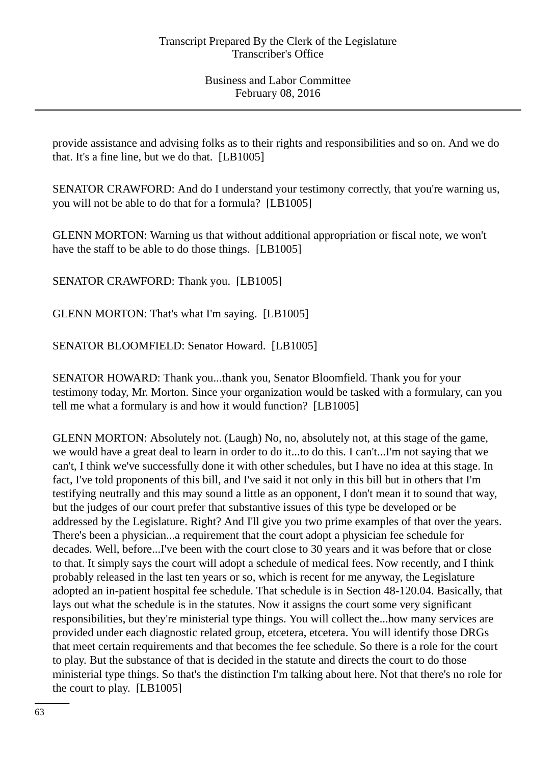provide assistance and advising folks as to their rights and responsibilities and so on. And we do that. It's a fine line, but we do that. [LB1005]

SENATOR CRAWFORD: And do I understand your testimony correctly, that you're warning us, you will not be able to do that for a formula? [LB1005]

GLENN MORTON: Warning us that without additional appropriation or fiscal note, we won't have the staff to be able to do those things. [LB1005]

SENATOR CRAWFORD: Thank you. [LB1005]

GLENN MORTON: That's what I'm saying. [LB1005]

SENATOR BLOOMFIELD: Senator Howard. [LB1005]

SENATOR HOWARD: Thank you...thank you, Senator Bloomfield. Thank you for your testimony today, Mr. Morton. Since your organization would be tasked with a formulary, can you tell me what a formulary is and how it would function? [LB1005]

GLENN MORTON: Absolutely not. (Laugh) No, no, absolutely not, at this stage of the game, we would have a great deal to learn in order to do it...to do this. I can't...I'm not saying that we can't, I think we've successfully done it with other schedules, but I have no idea at this stage. In fact, I've told proponents of this bill, and I've said it not only in this bill but in others that I'm testifying neutrally and this may sound a little as an opponent, I don't mean it to sound that way, but the judges of our court prefer that substantive issues of this type be developed or be addressed by the Legislature. Right? And I'll give you two prime examples of that over the years. There's been a physician...a requirement that the court adopt a physician fee schedule for decades. Well, before...I've been with the court close to 30 years and it was before that or close to that. It simply says the court will adopt a schedule of medical fees. Now recently, and I think probably released in the last ten years or so, which is recent for me anyway, the Legislature adopted an in-patient hospital fee schedule. That schedule is in Section 48-120.04. Basically, that lays out what the schedule is in the statutes. Now it assigns the court some very significant responsibilities, but they're ministerial type things. You will collect the...how many services are provided under each diagnostic related group, etcetera, etcetera. You will identify those DRGs that meet certain requirements and that becomes the fee schedule. So there is a role for the court to play. But the substance of that is decided in the statute and directs the court to do those ministerial type things. So that's the distinction I'm talking about here. Not that there's no role for the court to play. [LB1005]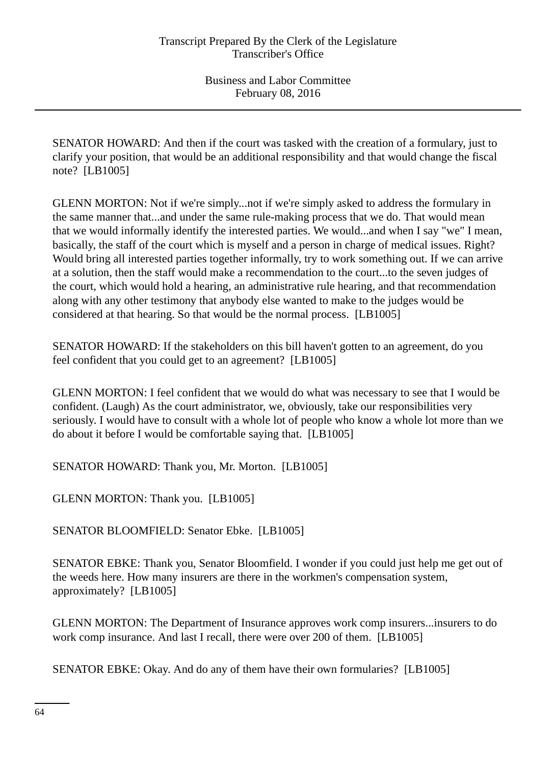SENATOR HOWARD: And then if the court was tasked with the creation of a formulary, just to clarify your position, that would be an additional responsibility and that would change the fiscal note? [LB1005]

GLENN MORTON: Not if we're simply...not if we're simply asked to address the formulary in the same manner that...and under the same rule-making process that we do. That would mean that we would informally identify the interested parties. We would...and when I say "we" I mean, basically, the staff of the court which is myself and a person in charge of medical issues. Right? Would bring all interested parties together informally, try to work something out. If we can arrive at a solution, then the staff would make a recommendation to the court...to the seven judges of the court, which would hold a hearing, an administrative rule hearing, and that recommendation along with any other testimony that anybody else wanted to make to the judges would be considered at that hearing. So that would be the normal process. [LB1005]

SENATOR HOWARD: If the stakeholders on this bill haven't gotten to an agreement, do you feel confident that you could get to an agreement? [LB1005]

GLENN MORTON: I feel confident that we would do what was necessary to see that I would be confident. (Laugh) As the court administrator, we, obviously, take our responsibilities very seriously. I would have to consult with a whole lot of people who know a whole lot more than we do about it before I would be comfortable saying that. [LB1005]

SENATOR HOWARD: Thank you, Mr. Morton. [LB1005]

GLENN MORTON: Thank you. [LB1005]

SENATOR BLOOMFIELD: Senator Ebke. [LB1005]

SENATOR EBKE: Thank you, Senator Bloomfield. I wonder if you could just help me get out of the weeds here. How many insurers are there in the workmen's compensation system, approximately? [LB1005]

GLENN MORTON: The Department of Insurance approves work comp insurers...insurers to do work comp insurance. And last I recall, there were over 200 of them. [LB1005]

SENATOR EBKE: Okay. And do any of them have their own formularies? [LB1005]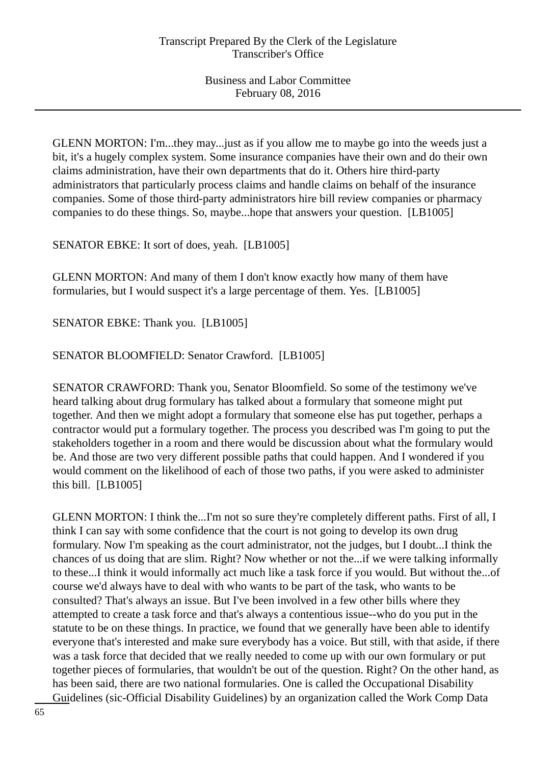GLENN MORTON: I'm...they may...just as if you allow me to maybe go into the weeds just a bit, it's a hugely complex system. Some insurance companies have their own and do their own claims administration, have their own departments that do it. Others hire third-party administrators that particularly process claims and handle claims on behalf of the insurance companies. Some of those third-party administrators hire bill review companies or pharmacy companies to do these things. So, maybe...hope that answers your question. [LB1005]

SENATOR EBKE: It sort of does, yeah. [LB1005]

GLENN MORTON: And many of them I don't know exactly how many of them have formularies, but I would suspect it's a large percentage of them. Yes. [LB1005]

SENATOR EBKE: Thank you. [LB1005]

SENATOR BLOOMFIELD: Senator Crawford. [LB1005]

SENATOR CRAWFORD: Thank you, Senator Bloomfield. So some of the testimony we've heard talking about drug formulary has talked about a formulary that someone might put together. And then we might adopt a formulary that someone else has put together, perhaps a contractor would put a formulary together. The process you described was I'm going to put the stakeholders together in a room and there would be discussion about what the formulary would be. And those are two very different possible paths that could happen. And I wondered if you would comment on the likelihood of each of those two paths, if you were asked to administer this bill. [LB1005]

GLENN MORTON: I think the...I'm not so sure they're completely different paths. First of all, I think I can say with some confidence that the court is not going to develop its own drug formulary. Now I'm speaking as the court administrator, not the judges, but I doubt...I think the chances of us doing that are slim. Right? Now whether or not the...if we were talking informally to these...I think it would informally act much like a task force if you would. But without the...of course we'd always have to deal with who wants to be part of the task, who wants to be consulted? That's always an issue. But I've been involved in a few other bills where they attempted to create a task force and that's always a contentious issue--who do you put in the statute to be on these things. In practice, we found that we generally have been able to identify everyone that's interested and make sure everybody has a voice. But still, with that aside, if there was a task force that decided that we really needed to come up with our own formulary or put together pieces of formularies, that wouldn't be out of the question. Right? On the other hand, as has been said, there are two national formularies. One is called the Occupational Disability Guidelines (sic-Official Disability Guidelines) by an organization called the Work Comp Data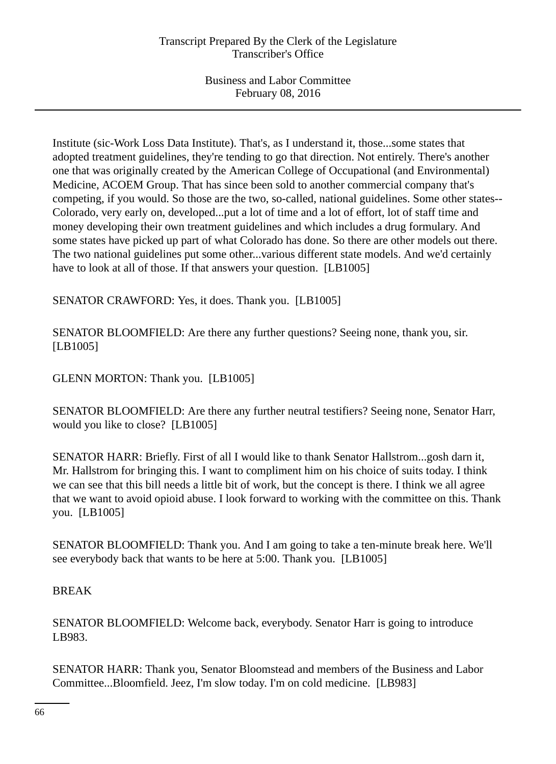Institute (sic-Work Loss Data Institute). That's, as I understand it, those...some states that adopted treatment guidelines, they're tending to go that direction. Not entirely. There's another one that was originally created by the American College of Occupational (and Environmental) Medicine, ACOEM Group. That has since been sold to another commercial company that's competing, if you would. So those are the two, so-called, national guidelines. Some other states-- Colorado, very early on, developed...put a lot of time and a lot of effort, lot of staff time and money developing their own treatment guidelines and which includes a drug formulary. And some states have picked up part of what Colorado has done. So there are other models out there. The two national guidelines put some other...various different state models. And we'd certainly have to look at all of those. If that answers your question. [LB1005]

SENATOR CRAWFORD: Yes, it does. Thank you. [LB1005]

SENATOR BLOOMFIELD: Are there any further questions? Seeing none, thank you, sir. [LB1005]

GLENN MORTON: Thank you. [LB1005]

SENATOR BLOOMFIELD: Are there any further neutral testifiers? Seeing none, Senator Harr, would you like to close? [LB1005]

SENATOR HARR: Briefly. First of all I would like to thank Senator Hallstrom...gosh darn it, Mr. Hallstrom for bringing this. I want to compliment him on his choice of suits today. I think we can see that this bill needs a little bit of work, but the concept is there. I think we all agree that we want to avoid opioid abuse. I look forward to working with the committee on this. Thank you. [LB1005]

SENATOR BLOOMFIELD: Thank you. And I am going to take a ten-minute break here. We'll see everybody back that wants to be here at 5:00. Thank you. [LB1005]

## BREAK

SENATOR BLOOMFIELD: Welcome back, everybody. Senator Harr is going to introduce LB983.

SENATOR HARR: Thank you, Senator Bloomstead and members of the Business and Labor Committee...Bloomfield. Jeez, I'm slow today. I'm on cold medicine. [LB983]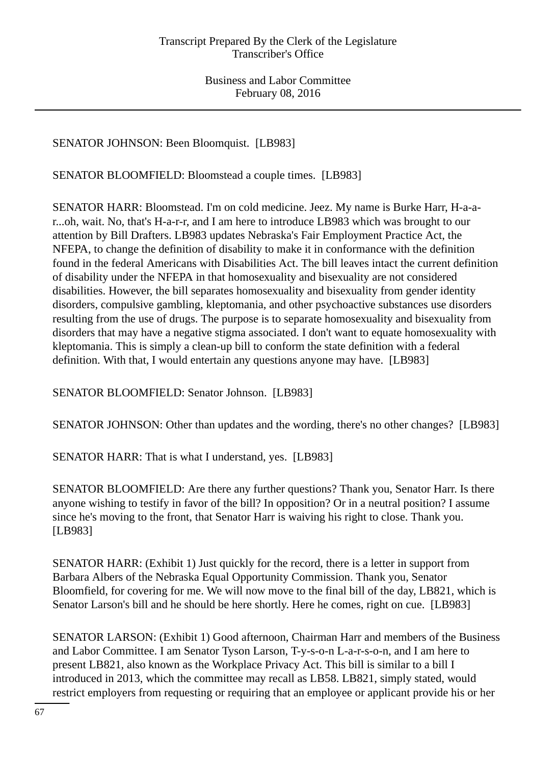SENATOR JOHNSON: Been Bloomquist. [LB983]

SENATOR BLOOMFIELD: Bloomstead a couple times. [LB983]

SENATOR HARR: Bloomstead. I'm on cold medicine. Jeez. My name is Burke Harr, H-a-ar...oh, wait. No, that's H-a-r-r, and I am here to introduce LB983 which was brought to our attention by Bill Drafters. LB983 updates Nebraska's Fair Employment Practice Act, the NFEPA, to change the definition of disability to make it in conformance with the definition found in the federal Americans with Disabilities Act. The bill leaves intact the current definition of disability under the NFEPA in that homosexuality and bisexuality are not considered disabilities. However, the bill separates homosexuality and bisexuality from gender identity disorders, compulsive gambling, kleptomania, and other psychoactive substances use disorders resulting from the use of drugs. The purpose is to separate homosexuality and bisexuality from disorders that may have a negative stigma associated. I don't want to equate homosexuality with kleptomania. This is simply a clean-up bill to conform the state definition with a federal definition. With that, I would entertain any questions anyone may have. [LB983]

SENATOR BLOOMFIELD: Senator Johnson. [LB983]

SENATOR JOHNSON: Other than updates and the wording, there's no other changes? [LB983]

SENATOR HARR: That is what I understand, yes. [LB983]

SENATOR BLOOMFIELD: Are there any further questions? Thank you, Senator Harr. Is there anyone wishing to testify in favor of the bill? In opposition? Or in a neutral position? I assume since he's moving to the front, that Senator Harr is waiving his right to close. Thank you. [LB983]

SENATOR HARR: (Exhibit 1) Just quickly for the record, there is a letter in support from Barbara Albers of the Nebraska Equal Opportunity Commission. Thank you, Senator Bloomfield, for covering for me. We will now move to the final bill of the day, LB821, which is Senator Larson's bill and he should be here shortly. Here he comes, right on cue. [LB983]

SENATOR LARSON: (Exhibit 1) Good afternoon, Chairman Harr and members of the Business and Labor Committee. I am Senator Tyson Larson, T-y-s-o-n L-a-r-s-o-n, and I am here to present LB821, also known as the Workplace Privacy Act. This bill is similar to a bill I introduced in 2013, which the committee may recall as LB58. LB821, simply stated, would restrict employers from requesting or requiring that an employee or applicant provide his or her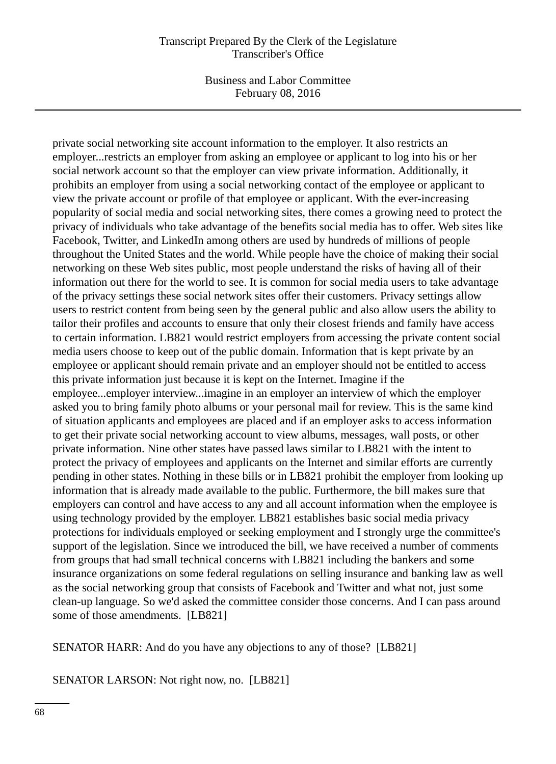Business and Labor Committee February 08, 2016

private social networking site account information to the employer. It also restricts an employer...restricts an employer from asking an employee or applicant to log into his or her social network account so that the employer can view private information. Additionally, it prohibits an employer from using a social networking contact of the employee or applicant to view the private account or profile of that employee or applicant. With the ever-increasing popularity of social media and social networking sites, there comes a growing need to protect the privacy of individuals who take advantage of the benefits social media has to offer. Web sites like Facebook, Twitter, and LinkedIn among others are used by hundreds of millions of people throughout the United States and the world. While people have the choice of making their social networking on these Web sites public, most people understand the risks of having all of their information out there for the world to see. It is common for social media users to take advantage of the privacy settings these social network sites offer their customers. Privacy settings allow users to restrict content from being seen by the general public and also allow users the ability to tailor their profiles and accounts to ensure that only their closest friends and family have access to certain information. LB821 would restrict employers from accessing the private content social media users choose to keep out of the public domain. Information that is kept private by an employee or applicant should remain private and an employer should not be entitled to access this private information just because it is kept on the Internet. Imagine if the employee...employer interview...imagine in an employer an interview of which the employer asked you to bring family photo albums or your personal mail for review. This is the same kind of situation applicants and employees are placed and if an employer asks to access information to get their private social networking account to view albums, messages, wall posts, or other private information. Nine other states have passed laws similar to LB821 with the intent to protect the privacy of employees and applicants on the Internet and similar efforts are currently pending in other states. Nothing in these bills or in LB821 prohibit the employer from looking up information that is already made available to the public. Furthermore, the bill makes sure that employers can control and have access to any and all account information when the employee is using technology provided by the employer. LB821 establishes basic social media privacy protections for individuals employed or seeking employment and I strongly urge the committee's support of the legislation. Since we introduced the bill, we have received a number of comments from groups that had small technical concerns with LB821 including the bankers and some insurance organizations on some federal regulations on selling insurance and banking law as well as the social networking group that consists of Facebook and Twitter and what not, just some clean-up language. So we'd asked the committee consider those concerns. And I can pass around some of those amendments. [LB821]

SENATOR HARR: And do you have any objections to any of those? [LB821]

SENATOR LARSON: Not right now, no. [LB821]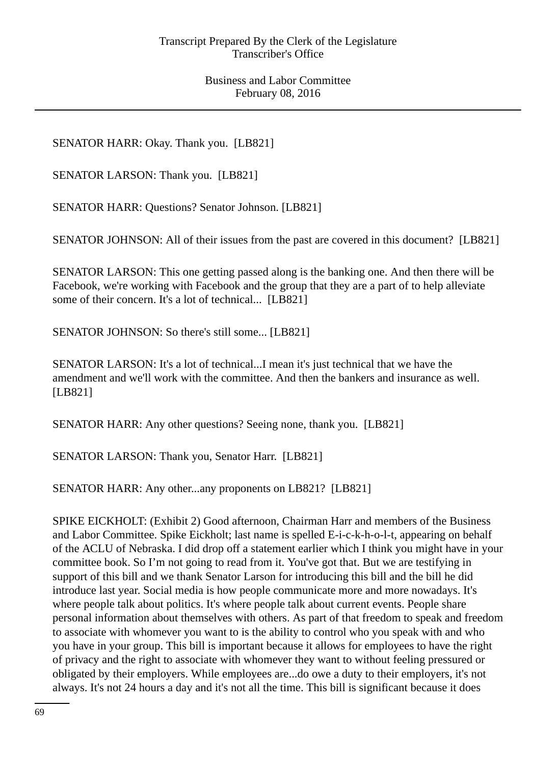SENATOR HARR: Okay. Thank you. [LB821]

SENATOR LARSON: Thank you. [LB821]

SENATOR HARR: Questions? Senator Johnson. [LB821]

SENATOR JOHNSON: All of their issues from the past are covered in this document? [LB821]

SENATOR LARSON: This one getting passed along is the banking one. And then there will be Facebook, we're working with Facebook and the group that they are a part of to help alleviate some of their concern. It's a lot of technical... [LB821]

SENATOR JOHNSON: So there's still some... [LB821]

SENATOR LARSON: It's a lot of technical...I mean it's just technical that we have the amendment and we'll work with the committee. And then the bankers and insurance as well. [LB821]

SENATOR HARR: Any other questions? Seeing none, thank you. [LB821]

SENATOR LARSON: Thank you, Senator Harr. [LB821]

SENATOR HARR: Any other...any proponents on LB821? [LB821]

SPIKE EICKHOLT: (Exhibit 2) Good afternoon, Chairman Harr and members of the Business and Labor Committee. Spike Eickholt; last name is spelled E-i-c-k-h-o-l-t, appearing on behalf of the ACLU of Nebraska. I did drop off a statement earlier which I think you might have in your committee book. So I'm not going to read from it. You've got that. But we are testifying in support of this bill and we thank Senator Larson for introducing this bill and the bill he did introduce last year. Social media is how people communicate more and more nowadays. It's where people talk about politics. It's where people talk about current events. People share personal information about themselves with others. As part of that freedom to speak and freedom to associate with whomever you want to is the ability to control who you speak with and who you have in your group. This bill is important because it allows for employees to have the right of privacy and the right to associate with whomever they want to without feeling pressured or obligated by their employers. While employees are...do owe a duty to their employers, it's not always. It's not 24 hours a day and it's not all the time. This bill is significant because it does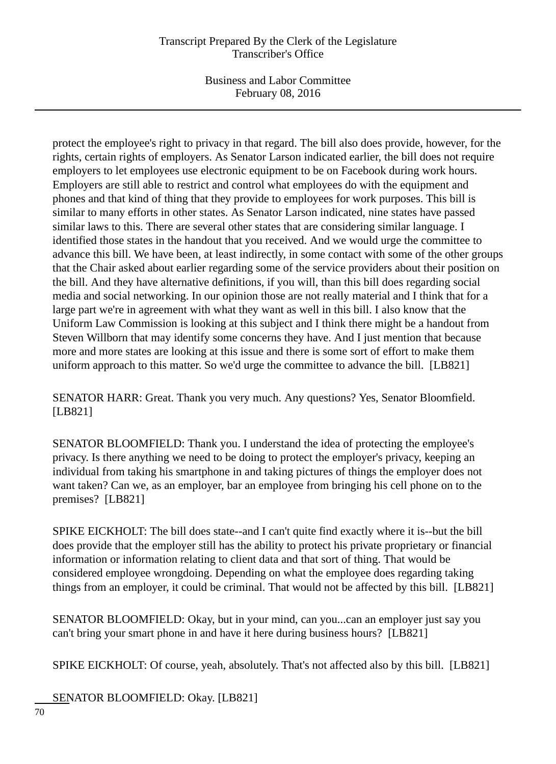Business and Labor Committee February 08, 2016

protect the employee's right to privacy in that regard. The bill also does provide, however, for the rights, certain rights of employers. As Senator Larson indicated earlier, the bill does not require employers to let employees use electronic equipment to be on Facebook during work hours. Employers are still able to restrict and control what employees do with the equipment and phones and that kind of thing that they provide to employees for work purposes. This bill is similar to many efforts in other states. As Senator Larson indicated, nine states have passed similar laws to this. There are several other states that are considering similar language. I identified those states in the handout that you received. And we would urge the committee to advance this bill. We have been, at least indirectly, in some contact with some of the other groups that the Chair asked about earlier regarding some of the service providers about their position on the bill. And they have alternative definitions, if you will, than this bill does regarding social media and social networking. In our opinion those are not really material and I think that for a large part we're in agreement with what they want as well in this bill. I also know that the Uniform Law Commission is looking at this subject and I think there might be a handout from Steven Willborn that may identify some concerns they have. And I just mention that because more and more states are looking at this issue and there is some sort of effort to make them uniform approach to this matter. So we'd urge the committee to advance the bill. [LB821]

SENATOR HARR: Great. Thank you very much. Any questions? Yes, Senator Bloomfield. [LB821]

SENATOR BLOOMFIELD: Thank you. I understand the idea of protecting the employee's privacy. Is there anything we need to be doing to protect the employer's privacy, keeping an individual from taking his smartphone in and taking pictures of things the employer does not want taken? Can we, as an employer, bar an employee from bringing his cell phone on to the premises? [LB821]

SPIKE EICKHOLT: The bill does state--and I can't quite find exactly where it is--but the bill does provide that the employer still has the ability to protect his private proprietary or financial information or information relating to client data and that sort of thing. That would be considered employee wrongdoing. Depending on what the employee does regarding taking things from an employer, it could be criminal. That would not be affected by this bill. [LB821]

SENATOR BLOOMFIELD: Okay, but in your mind, can you...can an employer just say you can't bring your smart phone in and have it here during business hours? [LB821]

SPIKE EICKHOLT: Of course, yeah, absolutely. That's not affected also by this bill. [LB821]

SENATOR BLOOMFIELD: Okay. [LB821]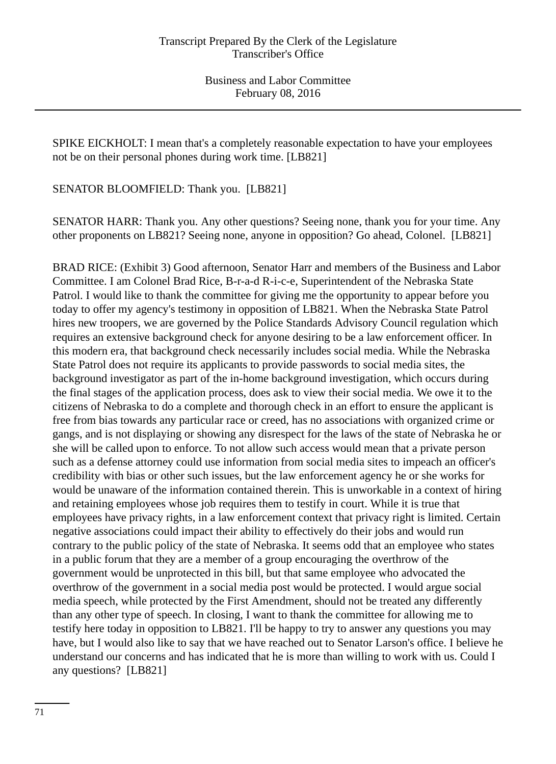SPIKE EICKHOLT: I mean that's a completely reasonable expectation to have your employees not be on their personal phones during work time. [LB821]

SENATOR BLOOMFIELD: Thank you. [LB821]

SENATOR HARR: Thank you. Any other questions? Seeing none, thank you for your time. Any other proponents on LB821? Seeing none, anyone in opposition? Go ahead, Colonel. [LB821]

BRAD RICE: (Exhibit 3) Good afternoon, Senator Harr and members of the Business and Labor Committee. I am Colonel Brad Rice, B-r-a-d R-i-c-e, Superintendent of the Nebraska State Patrol. I would like to thank the committee for giving me the opportunity to appear before you today to offer my agency's testimony in opposition of LB821. When the Nebraska State Patrol hires new troopers, we are governed by the Police Standards Advisory Council regulation which requires an extensive background check for anyone desiring to be a law enforcement officer. In this modern era, that background check necessarily includes social media. While the Nebraska State Patrol does not require its applicants to provide passwords to social media sites, the background investigator as part of the in-home background investigation, which occurs during the final stages of the application process, does ask to view their social media. We owe it to the citizens of Nebraska to do a complete and thorough check in an effort to ensure the applicant is free from bias towards any particular race or creed, has no associations with organized crime or gangs, and is not displaying or showing any disrespect for the laws of the state of Nebraska he or she will be called upon to enforce. To not allow such access would mean that a private person such as a defense attorney could use information from social media sites to impeach an officer's credibility with bias or other such issues, but the law enforcement agency he or she works for would be unaware of the information contained therein. This is unworkable in a context of hiring and retaining employees whose job requires them to testify in court. While it is true that employees have privacy rights, in a law enforcement context that privacy right is limited. Certain negative associations could impact their ability to effectively do their jobs and would run contrary to the public policy of the state of Nebraska. It seems odd that an employee who states in a public forum that they are a member of a group encouraging the overthrow of the government would be unprotected in this bill, but that same employee who advocated the overthrow of the government in a social media post would be protected. I would argue social media speech, while protected by the First Amendment, should not be treated any differently than any other type of speech. In closing, I want to thank the committee for allowing me to testify here today in opposition to LB821. I'll be happy to try to answer any questions you may have, but I would also like to say that we have reached out to Senator Larson's office. I believe he understand our concerns and has indicated that he is more than willing to work with us. Could I any questions? [LB821]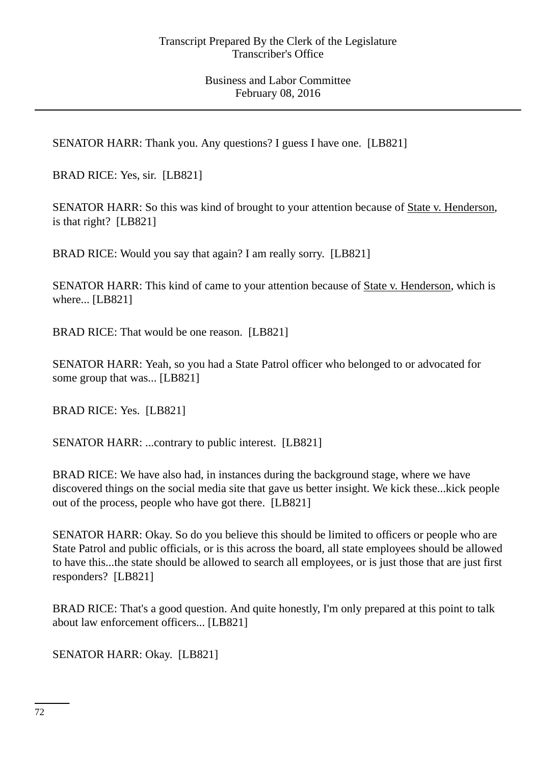SENATOR HARR: Thank you. Any questions? I guess I have one. [LB821]

BRAD RICE: Yes, sir. [LB821]

SENATOR HARR: So this was kind of brought to your attention because of State v. Henderson, is that right? [LB821]

BRAD RICE: Would you say that again? I am really sorry. [LB821]

SENATOR HARR: This kind of came to your attention because of State v. Henderson, which is where... [LB821]

BRAD RICE: That would be one reason. [LB821]

SENATOR HARR: Yeah, so you had a State Patrol officer who belonged to or advocated for some group that was... [LB821]

BRAD RICE: Yes. [LB821]

SENATOR HARR: ...contrary to public interest. [LB821]

BRAD RICE: We have also had, in instances during the background stage, where we have discovered things on the social media site that gave us better insight. We kick these...kick people out of the process, people who have got there. [LB821]

SENATOR HARR: Okay. So do you believe this should be limited to officers or people who are State Patrol and public officials, or is this across the board, all state employees should be allowed to have this...the state should be allowed to search all employees, or is just those that are just first responders? [LB821]

BRAD RICE: That's a good question. And quite honestly, I'm only prepared at this point to talk about law enforcement officers... [LB821]

SENATOR HARR: Okay. [LB821]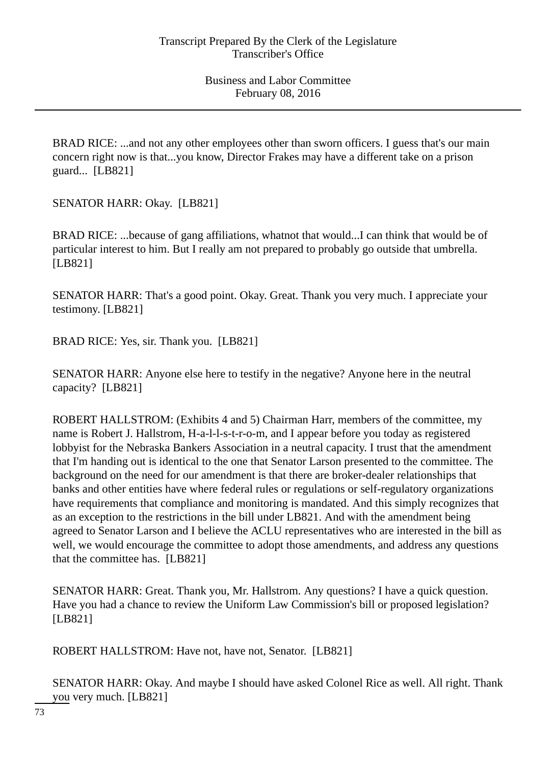Business and Labor Committee February 08, 2016

BRAD RICE: ...and not any other employees other than sworn officers. I guess that's our main concern right now is that...you know, Director Frakes may have a different take on a prison guard... [LB821]

SENATOR HARR: Okay. [LB821]

BRAD RICE: ...because of gang affiliations, whatnot that would...I can think that would be of particular interest to him. But I really am not prepared to probably go outside that umbrella. [LB821]

SENATOR HARR: That's a good point. Okay. Great. Thank you very much. I appreciate your testimony. [LB821]

BRAD RICE: Yes, sir. Thank you. [LB821]

SENATOR HARR: Anyone else here to testify in the negative? Anyone here in the neutral capacity? [LB821]

ROBERT HALLSTROM: (Exhibits 4 and 5) Chairman Harr, members of the committee, my name is Robert J. Hallstrom, H-a-l-l-s-t-r-o-m, and I appear before you today as registered lobbyist for the Nebraska Bankers Association in a neutral capacity. I trust that the amendment that I'm handing out is identical to the one that Senator Larson presented to the committee. The background on the need for our amendment is that there are broker-dealer relationships that banks and other entities have where federal rules or regulations or self-regulatory organizations have requirements that compliance and monitoring is mandated. And this simply recognizes that as an exception to the restrictions in the bill under LB821. And with the amendment being agreed to Senator Larson and I believe the ACLU representatives who are interested in the bill as well, we would encourage the committee to adopt those amendments, and address any questions that the committee has. [LB821]

SENATOR HARR: Great. Thank you, Mr. Hallstrom. Any questions? I have a quick question. Have you had a chance to review the Uniform Law Commission's bill or proposed legislation? [LB821]

ROBERT HALLSTROM: Have not, have not, Senator. [LB821]

SENATOR HARR: Okay. And maybe I should have asked Colonel Rice as well. All right. Thank you very much. [LB821]